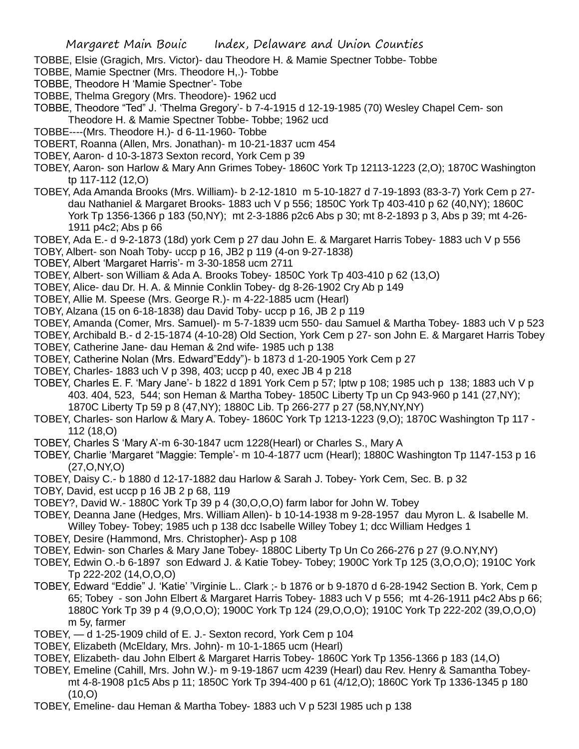- TOBBE, Elsie (Gragich, Mrs. Victor)- dau Theodore H. & Mamie Spectner Tobbe- Tobbe
- TOBBE, Mamie Spectner (Mrs. Theodore H,.)- Tobbe
- TOBBE, Theodore H 'Mamie Spectner'- Tobe
- TOBBE, Thelma Gregory (Mrs. Theodore)- 1962 ucd
- TOBBE, Theodore "Ted" J. 'Thelma Gregory'- b 7-4-1915 d 12-19-1985 (70) Wesley Chapel Cem- son Theodore H. & Mamie Spectner Tobbe- Tobbe; 1962 ucd
- TOBBE----(Mrs. Theodore H.)- d 6-11-1960- Tobbe
- TOBERT, Roanna (Allen, Mrs. Jonathan)- m 10-21-1837 ucm 454
- TOBEY, Aaron- d 10-3-1873 Sexton record, York Cem p 39
- TOBEY, Aaron- son Harlow & Mary Ann Grimes Tobey- 1860C York Tp 12113-1223 (2,O); 1870C Washington tp 117-112 (12,O)
- TOBEY, Ada Amanda Brooks (Mrs. William)- b 2-12-1810 m 5-10-1827 d 7-19-1893 (83-3-7) York Cem p 27 dau Nathaniel & Margaret Brooks- 1883 uch V p 556; 1850C York Tp 403-410 p 62 (40,NY); 1860C York Tp 1356-1366 p 183 (50,NY); mt 2-3-1886 p2c6 Abs p 30; mt 8-2-1893 p 3, Abs p 39; mt 4-26- 1911 p4c2; Abs p 66
- TOBEY, Ada E.- d 9-2-1873 (18d) york Cem p 27 dau John E. & Margaret Harris Tobey- 1883 uch V p 556 TOBY, Albert- son Noah Toby- uccp p 16, JB2 p 119 (4-on 9-27-1838)
- TOBEY, Albert 'Margaret Harris'- m 3-30-1858 ucm 2711
- TOBEY, Albert- son William & Ada A. Brooks Tobey- 1850C York Tp 403-410 p 62 (13,O)
- TOBEY, Alice- dau Dr. H. A. & Minnie Conklin Tobey- dg 8-26-1902 Cry Ab p 149
- TOBEY, Allie M. Speese (Mrs. George R.)- m 4-22-1885 ucm (Hearl)
- TOBY, Alzana (15 on 6-18-1838) dau David Toby- uccp p 16, JB 2 p 119
- TOBEY, Amanda (Comer, Mrs. Samuel)- m 5-7-1839 ucm 550- dau Samuel & Martha Tobey- 1883 uch V p 523
- TOBEY, Archibald B.- d 2-15-1874 (4-10-28) Old Section, York Cem p 27- son John E. & Margaret Harris Tobey
- TOBEY, Catherine Jane- dau Heman & 2nd wife- 1985 uch p 138
- TOBEY, Catherine Nolan (Mrs. Edward"Eddy")- b 1873 d 1-20-1905 York Cem p 27
- TOBEY, Charles- 1883 uch V p 398, 403; uccp p 40, exec JB 4 p 218
- TOBEY, Charles E. F. 'Mary Jane'- b 1822 d 1891 York Cem p 57; lptw p 108; 1985 uch p 138; 1883 uch V p 403. 404, 523, 544; son Heman & Martha Tobey- 1850C Liberty Tp un Cp 943-960 p 141 (27,NY); 1870C Liberty Tp 59 p 8 (47,NY); 1880C Lib. Tp 266-277 p 27 (58,NY,NY,NY)
- TOBEY, Charles- son Harlow & Mary A. Tobey- 1860C York Tp 1213-1223 (9,O); 1870C Washington Tp 117 112 (18,O)
- TOBEY, Charles S 'Mary A'-m 6-30-1847 ucm 1228(Hearl) or Charles S., Mary A
- TOBEY, Charlie 'Margaret "Maggie: Temple'- m 10-4-1877 ucm (Hearl); 1880C Washington Tp 1147-153 p 16 (27,O,NY,O)
- TOBEY, Daisy C.- b 1880 d 12-17-1882 dau Harlow & Sarah J. Tobey- York Cem, Sec. B. p 32
- TOBY, David, est uccp p 16 JB 2 p 68, 119
- TOBEY?, David W.- 1880C York Tp 39 p 4 (30,O,O,O) farm labor for John W. Tobey
- TOBEY, Deanna Jane (Hedges, Mrs. William Allen)- b 10-14-1938 m 9-28-1957 dau Myron L. & Isabelle M. Willey Tobey- Tobey; 1985 uch p 138 dcc Isabelle Willey Tobey 1; dcc William Hedges 1
- TOBEY, Desire (Hammond, Mrs. Christopher)- Asp p 108
- TOBEY, Edwin- son Charles & Mary Jane Tobey- 1880C Liberty Tp Un Co 266-276 p 27 (9.O.NY,NY)
- TOBEY, Edwin O.-b 6-1897 son Edward J. & Katie Tobey- Tobey; 1900C York Tp 125 (3,O,O,O); 1910C York Tp 222-202 (14,O,O,O)
- TOBEY, Edward "Eddie" J. 'Katie' 'Virginie L.. Clark ;- b 1876 or b 9-1870 d 6-28-1942 Section B. York, Cem p 65; Tobey - son John Elbert & Margaret Harris Tobey- 1883 uch V p 556; mt 4-26-1911 p4c2 Abs p 66; 1880C York Tp 39 p 4 (9,O,O,O); 1900C York Tp 124 (29,O,O,O); 1910C York Tp 222-202 (39,O,O,O) m 5y, farmer
- TOBEY, d 1-25-1909 child of E. J.- Sexton record, York Cem p 104
- TOBEY, Elizabeth (McEldary, Mrs. John)- m 10-1-1865 ucm (Hearl)
- TOBEY, Elizabeth- dau John Elbert & Margaret Harris Tobey- 1860C York Tp 1356-1366 p 183 (14,O)
- TOBEY, Emeline (Cahill, Mrs. John W.)- m 9-19-1867 ucm 4239 (Hearl) dau Rev. Henry & Samantha Tobeymt 4-8-1908 p1c5 Abs p 11; 1850C York Tp 394-400 p 61 (4/12,O); 1860C York Tp 1336-1345 p 180  $(10,0)$
- TOBEY, Emeline- dau Heman & Martha Tobey- 1883 uch V p 523l 1985 uch p 138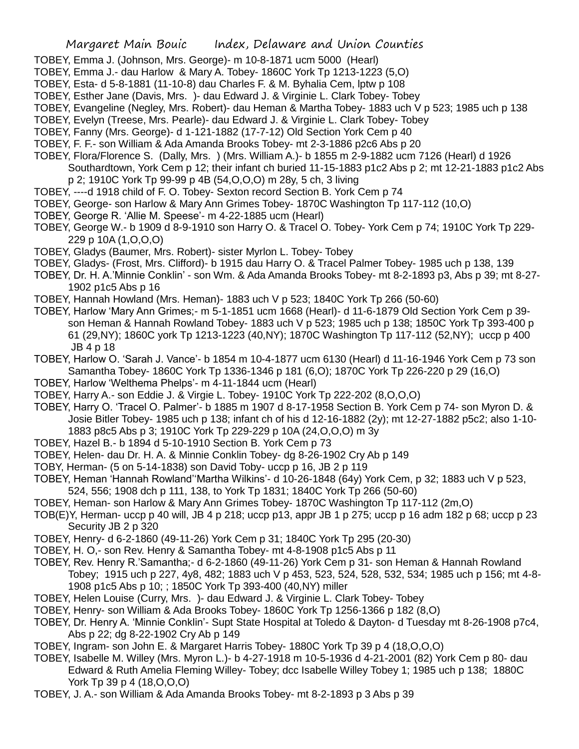- TOBEY, Emma J. (Johnson, Mrs. George)- m 10-8-1871 ucm 5000 (Hearl)
- TOBEY, Emma J.- dau Harlow & Mary A. Tobey- 1860C York Tp 1213-1223 (5,O)
- TOBEY, Esta- d 5-8-1881 (11-10-8) dau Charles F. & M. Byhalia Cem, lptw p 108
- TOBEY, Esther Jane (Davis, Mrs. )- dau Edward J. & Virginie L. Clark Tobey- Tobey
- TOBEY, Evangeline (Negley, Mrs. Robert)- dau Heman & Martha Tobey- 1883 uch V p 523; 1985 uch p 138
- TOBEY, Evelyn (Treese, Mrs. Pearle)- dau Edward J. & Virginie L. Clark Tobey- Tobey
- TOBEY, Fanny (Mrs. George)- d 1-121-1882 (17-7-12) Old Section York Cem p 40
- TOBEY, F. F.- son William & Ada Amanda Brooks Tobey- mt 2-3-1886 p2c6 Abs p 20
- TOBEY, Flora/Florence S. (Dally, Mrs. ) (Mrs. William A.)- b 1855 m 2-9-1882 ucm 7126 (Hearl) d 1926 Southardtown, York Cem p 12; their infant ch buried 11-15-1883 p1c2 Abs p 2; mt 12-21-1883 p1c2 Abs
	- p 2; 1910C York Tp 99-99 p 4B (54,O,O,O) m 28y, 5 ch, 3 living
- TOBEY, ----d 1918 child of F. O. Tobey- Sexton record Section B. York Cem p 74
- TOBEY, George- son Harlow & Mary Ann Grimes Tobey- 1870C Washington Tp 117-112 (10,O)
- TOBEY, George R. 'Allie M. Speese'- m 4-22-1885 ucm (Hearl)
- TOBEY, George W.- b 1909 d 8-9-1910 son Harry O. & Tracel O. Tobey- York Cem p 74; 1910C York Tp 229- 229 p 10A (1,O,O,O)
- TOBEY, Gladys (Baumer, Mrs. Robert)- sister Myrlon L. Tobey- Tobey
- TOBEY, Gladys- (Frost, Mrs. Clifford)- b 1915 dau Harry O. & Tracel Palmer Tobey- 1985 uch p 138, 139
- TOBEY, Dr. H. A.'Minnie Conklin' son Wm. & Ada Amanda Brooks Tobey- mt 8-2-1893 p3, Abs p 39; mt 8-27- 1902 p1c5 Abs p 16
- TOBEY, Hannah Howland (Mrs. Heman)- 1883 uch V p 523; 1840C York Tp 266 (50-60)
- TOBEY, Harlow 'Mary Ann Grimes;- m 5-1-1851 ucm 1668 (Hearl)- d 11-6-1879 Old Section York Cem p 39 son Heman & Hannah Rowland Tobey- 1883 uch V p 523; 1985 uch p 138; 1850C York Tp 393-400 p 61 (29,NY); 1860C york Tp 1213-1223 (40,NY); 1870C Washington Tp 117-112 (52,NY); uccp p 400 JB 4 p 18
- TOBEY, Harlow O. 'Sarah J. Vance'- b 1854 m 10-4-1877 ucm 6130 (Hearl) d 11-16-1946 York Cem p 73 son Samantha Tobey- 1860C York Tp 1336-1346 p 181 (6,O); 1870C York Tp 226-220 p 29 (16,O)
- TOBEY, Harlow 'Welthema Phelps'- m 4-11-1844 ucm (Hearl)
- TOBEY, Harry A.- son Eddie J. & Virgie L. Tobey- 1910C York Tp 222-202 (8,O,O,O)
- TOBEY, Harry O. 'Tracel O. Palmer'- b 1885 m 1907 d 8-17-1958 Section B. York Cem p 74- son Myron D. & Josie Bitler Tobey- 1985 uch p 138; infant ch of his d 12-16-1882 (2y); mt 12-27-1882 p5c2; also 1-10- 1883 p8c5 Abs p 3; 1910C York Tp 229-229 p 10A (24,O,O,O) m 3y
- TOBEY, Hazel B.- b 1894 d 5-10-1910 Section B. York Cem p 73
- TOBEY, Helen- dau Dr. H. A. & Minnie Conklin Tobey- dg 8-26-1902 Cry Ab p 149
- TOBY, Herman- (5 on 5-14-1838) son David Toby- uccp p 16, JB 2 p 119
- TOBEY, Heman 'Hannah Rowland''Martha Wilkins'- d 10-26-1848 (64y) York Cem, p 32; 1883 uch V p 523, 524, 556; 1908 dch p 111, 138, to York Tp 1831; 1840C York Tp 266 (50-60)
- TOBEY, Heman- son Harlow & Mary Ann Grimes Tobey- 1870C Washington Tp 117-112 (2m,O)
- TOB(E)Y, Herman- uccp p 40 will, JB 4 p 218; uccp p13, appr JB 1 p 275; uccp p 16 adm 182 p 68; uccp p 23 Security JB 2 p 320
- TOBEY, Henry- d 6-2-1860 (49-11-26) York Cem p 31; 1840C York Tp 295 (20-30)
- TOBEY, H. O,- son Rev. Henry & Samantha Tobey- mt 4-8-1908 p1c5 Abs p 11
- TOBEY, Rev. Henry R.'Samantha;- d 6-2-1860 (49-11-26) York Cem p 31- son Heman & Hannah Rowland Tobey; 1915 uch p 227, 4y8, 482; 1883 uch V p 453, 523, 524, 528, 532, 534; 1985 uch p 156; mt 4-8- 1908 p1c5 Abs p 10; ; 1850C York Tp 393-400 (40,NY) miller
- TOBEY, Helen Louise (Curry, Mrs. )- dau Edward J. & Virginie L. Clark Tobey- Tobey
- TOBEY, Henry- son William & Ada Brooks Tobey- 1860C York Tp 1256-1366 p 182 (8,O)
- TOBEY, Dr. Henry A. 'Minnie Conklin'- Supt State Hospital at Toledo & Dayton- d Tuesday mt 8-26-1908 p7c4, Abs p 22; dg 8-22-1902 Cry Ab p 149
- TOBEY, Ingram- son John E. & Margaret Harris Tobey- 1880C York Tp 39 p 4 (18,O,O,O)
- TOBEY, Isabelle M. Willey (Mrs. Myron L.)- b 4-27-1918 m 10-5-1936 d 4-21-2001 (82) York Cem p 80- dau Edward & Ruth Amelia Fleming Willey- Tobey; dcc Isabelle Willey Tobey 1; 1985 uch p 138; 1880C York Tp 39 p 4 (18,O,O,O)
- TOBEY, J. A.- son William & Ada Amanda Brooks Tobey- mt 8-2-1893 p 3 Abs p 39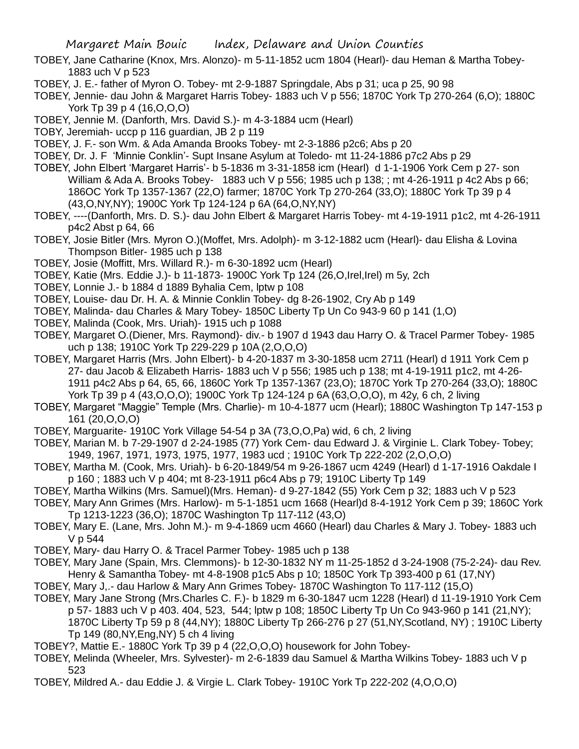- TOBEY, Jane Catharine (Knox, Mrs. Alonzo)- m 5-11-1852 ucm 1804 (Hearl)- dau Heman & Martha Tobey-1883 uch V p 523
- TOBEY, J. E.- father of Myron O. Tobey- mt 2-9-1887 Springdale, Abs p 31; uca p 25, 90 98

TOBEY, Jennie- dau John & Margaret Harris Tobey- 1883 uch V p 556; 1870C York Tp 270-264 (6,O); 1880C York Tp 39 p 4 (16,O,O,O)

- TOBEY, Jennie M. (Danforth, Mrs. David S.)- m 4-3-1884 ucm (Hearl)
- TOBY, Jeremiah- uccp p 116 guardian, JB 2 p 119
- TOBEY, J. F.- son Wm. & Ada Amanda Brooks Tobey- mt 2-3-1886 p2c6; Abs p 20
- TOBEY, Dr. J. F 'Minnie Conklin'- Supt Insane Asylum at Toledo- mt 11-24-1886 p7c2 Abs p 29
- TOBEY, John Elbert 'Margaret Harris'- b 5-1836 m 3-31-1858 icm (Hearl) d 1-1-1906 York Cem p 27- son William & Ada A. Brooks Tobey- 1883 uch V p 556; 1985 uch p 138; ; mt 4-26-1911 p 4c2 Abs p 66; 186OC York Tp 1357-1367 (22,O) farmer; 1870C York Tp 270-264 (33,O); 1880C York Tp 39 p 4 (43,O,NY,NY); 1900C York Tp 124-124 p 6A (64,O,NY,NY)
- TOBEY, ----(Danforth, Mrs. D. S.)- dau John Elbert & Margaret Harris Tobey- mt 4-19-1911 p1c2, mt 4-26-1911 p4c2 Abst p 64, 66
- TOBEY, Josie Bitler (Mrs. Myron O.)(Moffet, Mrs. Adolph)- m 3-12-1882 ucm (Hearl)- dau Elisha & Lovina Thompson Bitler- 1985 uch p 138
- TOBEY, Josie (Moffitt, Mrs. Willard R.)- m 6-30-1892 ucm (Hearl)
- TOBEY, Katie (Mrs. Eddie J.)- b 11-1873- 1900C York Tp 124 (26,O,Irel,Irel) m 5y, 2ch
- TOBEY, Lonnie J.- b 1884 d 1889 Byhalia Cem, lptw p 108
- TOBEY, Louise- dau Dr. H. A. & Minnie Conklin Tobey- dg 8-26-1902, Cry Ab p 149
- TOBEY, Malinda- dau Charles & Mary Tobey- 1850C Liberty Tp Un Co 943-9 60 p 141 (1,O)
- TOBEY, Malinda (Cook, Mrs. Uriah)- 1915 uch p 1088
- TOBEY, Margaret O.(Diener, Mrs. Raymond)- div.- b 1907 d 1943 dau Harry O. & Tracel Parmer Tobey- 1985 uch p 138; 1910C York Tp 229-229 p 10A (2,O,O,O)
- TOBEY, Margaret Harris (Mrs. John Elbert)- b 4-20-1837 m 3-30-1858 ucm 2711 (Hearl) d 1911 York Cem p 27- dau Jacob & Elizabeth Harris- 1883 uch V p 556; 1985 uch p 138; mt 4-19-1911 p1c2, mt 4-26- 1911 p4c2 Abs p 64, 65, 66, 1860C York Tp 1357-1367 (23,O); 1870C York Tp 270-264 (33,O); 1880C York Tp 39 p 4 (43,O,O,O); 1900C York Tp 124-124 p 6A (63,O,O,O), m 42y, 6 ch, 2 living
- TOBEY, Margaret "Maggie" Temple (Mrs. Charlie)- m 10-4-1877 ucm (Hearl); 1880C Washington Tp 147-153 p 161 (20,O,O,O)
- TOBEY, Marguarite- 1910C York Village 54-54 p 3A (73,O,O,Pa) wid, 6 ch, 2 living
- TOBEY, Marian M. b 7-29-1907 d 2-24-1985 (77) York Cem- dau Edward J. & Virginie L. Clark Tobey- Tobey; 1949, 1967, 1971, 1973, 1975, 1977, 1983 ucd ; 1910C York Tp 222-202 (2,O,O,O)
- TOBEY, Martha M. (Cook, Mrs. Uriah)- b 6-20-1849/54 m 9-26-1867 ucm 4249 (Hearl) d 1-17-1916 Oakdale I p 160 ; 1883 uch V p 404; mt 8-23-1911 p6c4 Abs p 79; 1910C Liberty Tp 149
- TOBEY, Martha Wilkins (Mrs. Samuel)(Mrs. Heman)- d 9-27-1842 (55) York Cem p 32; 1883 uch V p 523
- TOBEY, Mary Ann Grimes (Mrs. Harlow)- m 5-1-1851 ucm 1668 (Hearl)d 8-4-1912 York Cem p 39; 1860C York Tp 1213-1223 (36,O); 1870C Washington Tp 117-112 (43,O)
- TOBEY, Mary E. (Lane, Mrs. John M.)- m 9-4-1869 ucm 4660 (Hearl) dau Charles & Mary J. Tobey- 1883 uch V p 544
- TOBEY, Mary- dau Harry O. & Tracel Parmer Tobey- 1985 uch p 138
- TOBEY, Mary Jane (Spain, Mrs. Clemmons)- b 12-30-1832 NY m 11-25-1852 d 3-24-1908 (75-2-24)- dau Rev. Henry & Samantha Tobey- mt 4-8-1908 p1c5 Abs p 10; 1850C York Tp 393-400 p 61 (17,NY)
- TOBEY, Mary J,.- dau Harlow & Mary Ann Grimes Tobey- 1870C Washington To 117-112 (15,O)
- TOBEY, Mary Jane Strong (Mrs.Charles C. F.)- b 1829 m 6-30-1847 ucm 1228 (Hearl) d 11-19-1910 York Cem p 57- 1883 uch V p 403. 404, 523, 544; lptw p 108; 1850C Liberty Tp Un Co 943-960 p 141 (21,NY); 1870C Liberty Tp 59 p 8 (44,NY); 1880C Liberty Tp 266-276 p 27 (51,NY,Scotland, NY) ; 1910C Liberty Tp 149 (80,NY,Eng,NY) 5 ch 4 living
- TOBEY?, Mattie E.- 1880C York Tp 39 p 4 (22,O,O,O) housework for John Tobey-
- TOBEY, Melinda (Wheeler, Mrs. Sylvester)- m 2-6-1839 dau Samuel & Martha Wilkins Tobey- 1883 uch V p 523
- TOBEY, Mildred A.- dau Eddie J. & Virgie L. Clark Tobey- 1910C York Tp 222-202 (4,O,O,O)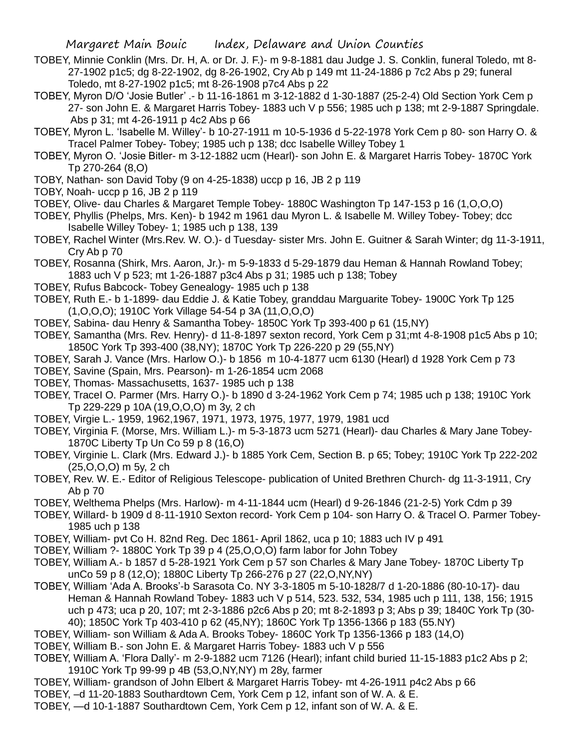- TOBEY, Minnie Conklin (Mrs. Dr. H, A. or Dr. J. F.)- m 9-8-1881 dau Judge J. S. Conklin, funeral Toledo, mt 8- 27-1902 p1c5; dg 8-22-1902, dg 8-26-1902, Cry Ab p 149 mt 11-24-1886 p 7c2 Abs p 29; funeral Toledo, mt 8-27-1902 p1c5; mt 8-26-1908 p7c4 Abs p 22
- TOBEY, Myron D/O 'Josie Butler' .- b 11-16-1861 m 3-12-1882 d 1-30-1887 (25-2-4) Old Section York Cem p 27- son John E. & Margaret Harris Tobey- 1883 uch V p 556; 1985 uch p 138; mt 2-9-1887 Springdale. Abs p 31; mt 4-26-1911 p 4c2 Abs p 66
- TOBEY, Myron L. 'Isabelle M. Willey'- b 10-27-1911 m 10-5-1936 d 5-22-1978 York Cem p 80- son Harry O. & Tracel Palmer Tobey- Tobey; 1985 uch p 138; dcc Isabelle Willey Tobey 1
- TOBEY, Myron O. 'Josie Bitler- m 3-12-1882 ucm (Hearl)- son John E. & Margaret Harris Tobey- 1870C York Tp 270-264 (8,O)
- TOBY, Nathan- son David Toby (9 on 4-25-1838) uccp p 16, JB 2 p 119
- TOBY, Noah- uccp p 16, JB 2 p 119
- TOBEY, Olive- dau Charles & Margaret Temple Tobey- 1880C Washington Tp 147-153 p 16 (1,O,O,O)
- TOBEY, Phyllis (Phelps, Mrs. Ken)- b 1942 m 1961 dau Myron L. & Isabelle M. Willey Tobey- Tobey; dcc Isabelle Willey Tobey- 1; 1985 uch p 138, 139
- TOBEY, Rachel Winter (Mrs.Rev. W. O.)- d Tuesday- sister Mrs. John E. Guitner & Sarah Winter; dg 11-3-1911, Cry Ab p 70
- TOBEY, Rosanna (Shirk, Mrs. Aaron, Jr.)- m 5-9-1833 d 5-29-1879 dau Heman & Hannah Rowland Tobey; 1883 uch V p 523; mt 1-26-1887 p3c4 Abs p 31; 1985 uch p 138; Tobey
- TOBEY, Rufus Babcock- Tobey Genealogy- 1985 uch p 138
- TOBEY, Ruth E.- b 1-1899- dau Eddie J. & Katie Tobey, granddau Marguarite Tobey- 1900C York Tp 125 (1,O,O,O); 1910C York Village 54-54 p 3A (11,O,O,O)
- TOBEY, Sabina- dau Henry & Samantha Tobey- 1850C York Tp 393-400 p 61 (15,NY)
- TOBEY, Samantha (Mrs. Rev. Henry)- d 11-8-1897 sexton record, York Cem p 31;mt 4-8-1908 p1c5 Abs p 10; 1850C York Tp 393-400 (38,NY); 1870C York Tp 226-220 p 29 (55,NY)
- TOBEY, Sarah J. Vance (Mrs. Harlow O.)- b 1856 m 10-4-1877 ucm 6130 (Hearl) d 1928 York Cem p 73
- TOBEY, Savine (Spain, Mrs. Pearson)- m 1-26-1854 ucm 2068
- TOBEY, Thomas- Massachusetts, 1637- 1985 uch p 138
- TOBEY, TraceI O. Parmer (Mrs. Harry O.)- b 1890 d 3-24-1962 York Cem p 74; 1985 uch p 138; 1910C York Tp 229-229 p 10A (19,O,O,O) m 3y, 2 ch
- TOBEY, Virgie L.- 1959, 1962,1967, 1971, 1973, 1975, 1977, 1979, 1981 ucd
- TOBEY, Virginia F. (Morse, Mrs. William L.)- m 5-3-1873 ucm 5271 (Hearl)- dau Charles & Mary Jane Tobey-1870C Liberty Tp Un Co 59 p 8 (16,O)
- TOBEY, Virginie L. Clark (Mrs. Edward J.)- b 1885 York Cem, Section B. p 65; Tobey; 1910C York Tp 222-202 (25,O,O,O) m 5y, 2 ch
- TOBEY, Rev. W. E.- Editor of Religious Telescope- publication of United Brethren Church- dg 11-3-1911, Cry Ab p 70
- TOBEY, Welthema Phelps (Mrs. Harlow)- m 4-11-1844 ucm (Hearl) d 9-26-1846 (21-2-5) York Cdm p 39
- TOBEY, Willard- b 1909 d 8-11-1910 Sexton record- York Cem p 104- son Harry O. & Tracel O. Parmer Tobey-1985 uch p 138
- TOBEY, William- pvt Co H. 82nd Reg. Dec 1861- April 1862, uca p 10; 1883 uch IV p 491
- TOBEY, William ?- 1880C York Tp 39 p 4 (25,O,O,O) farm labor for John Tobey
- TOBEY, William A.- b 1857 d 5-28-1921 York Cem p 57 son Charles & Mary Jane Tobey- 1870C Liberty Tp unCo 59 p 8 (12,O); 1880C Liberty Tp 266-276 p 27 (22,O,NY,NY)
- TOBEY, William 'Ada A. Brooks'-b Sarasota Co. NY 3-3-1805 m 5-10-1828/7 d 1-20-1886 (80-10-17)- dau Heman & Hannah Rowland Tobey- 1883 uch V p 514, 523. 532, 534, 1985 uch p 111, 138, 156; 1915 uch p 473; uca p 20, 107; mt 2-3-1886 p2c6 Abs p 20; mt 8-2-1893 p 3; Abs p 39; 1840C York Tp (30- 40); 1850C York Tp 403-410 p 62 (45,NY); 1860C York Tp 1356-1366 p 183 (55.NY)
- TOBEY, William- son William & Ada A. Brooks Tobey- 1860C York Tp 1356-1366 p 183 (14,O)
- TOBEY, William B.- son John E. & Margaret Harris Tobey- 1883 uch V p 556
- TOBEY, William A. 'Flora Dally'- m 2-9-1882 ucm 7126 (Hearl); infant child buried 11-15-1883 p1c2 Abs p 2; 1910C York Tp 99-99 p 4B (53,O,NY,NY) m 28y, farmer
- TOBEY, William- grandson of John Elbert & Margaret Harris Tobey- mt 4-26-1911 p4c2 Abs p 66
- TOBEY, –d 11-20-1883 Southardtown Cem, York Cem p 12, infant son of W. A. & E.
- TOBEY, —d 10-1-1887 Southardtown Cem, York Cem p 12, infant son of W. A. & E.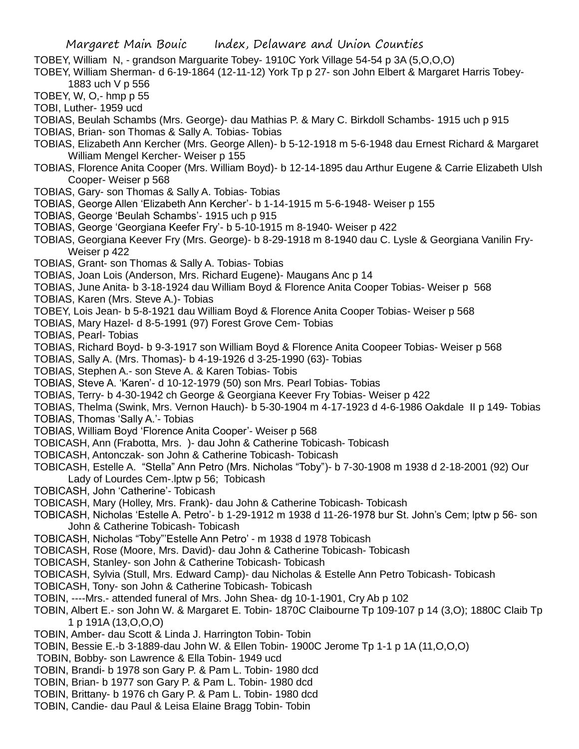- TOBEY, William N, grandson Marguarite Tobey- 1910C York Village 54-54 p 3A (5,O,O,O)
- TOBEY, William Sherman- d 6-19-1864 (12-11-12) York Tp p 27- son John Elbert & Margaret Harris Tobey-1883 uch V p 556

TOBEY, W, O,- hmp p 55

TOBI, Luther- 1959 ucd

TOBIAS, Beulah Schambs (Mrs. George)- dau Mathias P. & Mary C. Birkdoll Schambs- 1915 uch p 915

- TOBIAS, Brian- son Thomas & Sally A. Tobias- Tobias
- TOBIAS, Elizabeth Ann Kercher (Mrs. George Allen)- b 5-12-1918 m 5-6-1948 dau Ernest Richard & Margaret William Mengel Kercher- Weiser p 155
- TOBIAS, Florence Anita Cooper (Mrs. William Boyd)- b 12-14-1895 dau Arthur Eugene & Carrie Elizabeth Ulsh Cooper- Weiser p 568
- TOBIAS, Gary- son Thomas & Sally A. Tobias- Tobias
- TOBIAS, George Allen 'Elizabeth Ann Kercher'- b 1-14-1915 m 5-6-1948- Weiser p 155
- TOBIAS, George 'Beulah Schambs'- 1915 uch p 915
- TOBIAS, George 'Georgiana Keefer Fry'- b 5-10-1915 m 8-1940- Weiser p 422
- TOBIAS, Georgiana Keever Fry (Mrs. George)- b 8-29-1918 m 8-1940 dau C. Lysle & Georgiana Vanilin Fry-Weiser p 422
- TOBIAS, Grant- son Thomas & Sally A. Tobias- Tobias
- TOBIAS, Joan Lois (Anderson, Mrs. Richard Eugene)- Maugans Anc p 14
- TOBIAS, June Anita- b 3-18-1924 dau William Boyd & Florence Anita Cooper Tobias- Weiser p 568
- TOBIAS, Karen (Mrs. Steve A.)- Tobias
- TOBEY, Lois Jean- b 5-8-1921 dau William Boyd & Florence Anita Cooper Tobias- Weiser p 568
- TOBIAS, Mary Hazel- d 8-5-1991 (97) Forest Grove Cem- Tobias

TOBIAS, Pearl- Tobias

- TOBIAS, Richard Boyd- b 9-3-1917 son William Boyd & Florence Anita Coopeer Tobias- Weiser p 568
- TOBIAS, Sally A. (Mrs. Thomas)- b 4-19-1926 d 3-25-1990 (63)- Tobias
- TOBIAS, Stephen A.- son Steve A. & Karen Tobias- Tobis
- TOBIAS, Steve A. 'Karen'- d 10-12-1979 (50) son Mrs. Pearl Tobias- Tobias
- TOBIAS, Terry- b 4-30-1942 ch George & Georgiana Keever Fry Tobias- Weiser p 422
- TOBIAS, Thelma (Swink, Mrs. Vernon Hauch)- b 5-30-1904 m 4-17-1923 d 4-6-1986 Oakdale II p 149- Tobias
- TOBIAS, Thomas 'Sally A.'- Tobias
- TOBIAS, William Boyd 'Florence Anita Cooper'- Weiser p 568
- TOBICASH, Ann (Frabotta, Mrs. )- dau John & Catherine Tobicash- Tobicash
- TOBICASH, Antonczak- son John & Catherine Tobicash- Tobicash
- TOBICASH, Estelle A. "Stella" Ann Petro (Mrs. Nicholas "Toby")- b 7-30-1908 m 1938 d 2-18-2001 (92) Our Lady of Lourdes Cem-.lptw p 56; Tobicash
- TOBICASH, John 'Catherine'- Tobicash
- TOBICASH, Mary (Holley, Mrs. Frank)- dau John & Catherine Tobicash- Tobicash
- TOBICASH, Nicholas 'Estelle A. Petro'- b 1-29-1912 m 1938 d 11-26-1978 bur St. John's Cem; lptw p 56- son John & Catherine Tobicash- Tobicash
- TOBICASH, Nicholas "Toby"'Estelle Ann Petro' m 1938 d 1978 Tobicash
- TOBICASH, Rose (Moore, Mrs. David)- dau John & Catherine Tobicash- Tobicash
- TOBICASH, Stanley- son John & Catherine Tobicash- Tobicash
- TOBICASH, Sylvia (Stull, Mrs. Edward Camp)- dau Nicholas & Estelle Ann Petro Tobicash- Tobicash
- TOBICASH, Tony- son John & Catherine Tobicash- Tobicash
- TOBIN, ----Mrs.- attended funeral of Mrs. John Shea- dg 10-1-1901, Cry Ab p 102
- TOBIN, Albert E.- son John W. & Margaret E. Tobin- 1870C Claibourne Tp 109-107 p 14 (3,O); 1880C Claib Tp 1 p 191A (13,O,O,O)
- TOBIN, Amber- dau Scott & Linda J. Harrington Tobin- Tobin
- TOBIN, Bessie E.-b 3-1889-dau John W. & Ellen Tobin- 1900C Jerome Tp 1-1 p 1A (11,O,O,O)
- TOBIN, Bobby- son Lawrence & Ella Tobin- 1949 ucd
- TOBIN, Brandi- b 1978 son Gary P. & Pam L. Tobin- 1980 dcd
- TOBIN, Brian- b 1977 son Gary P. & Pam L. Tobin- 1980 dcd
- TOBIN, Brittany- b 1976 ch Gary P. & Pam L. Tobin- 1980 dcd
- TOBIN, Candie- dau Paul & Leisa Elaine Bragg Tobin- Tobin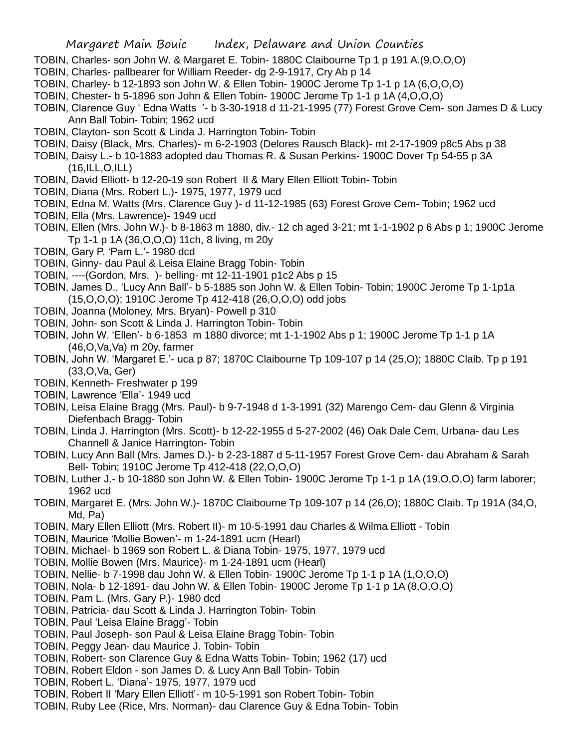- TOBIN, Charles- son John W. & Margaret E. Tobin- 1880C Claibourne Tp 1 p 191 A.(9,O,O,O)
- TOBIN, Charles- pallbearer for William Reeder- dg 2-9-1917, Cry Ab p 14
- TOBIN, Charley- b 12-1893 son John W. & Ellen Tobin- 1900C Jerome Tp 1-1 p 1A (6,O,O,O)
- TOBIN, Chester- b 5-1896 son John & Ellen Tobin- 1900C Jerome Tp 1-1 p 1A (4,O,O,O)
- TOBIN, Clarence Guy ' Edna Watts '- b 3-30-1918 d 11-21-1995 (77) Forest Grove Cem- son James D & Lucy Ann Ball Tobin- Tobin; 1962 ucd
- TOBIN, Clayton- son Scott & Linda J. Harrington Tobin- Tobin
- TOBIN, Daisy (Black, Mrs. Charles)- m 6-2-1903 (Delores Rausch Black)- mt 2-17-1909 p8c5 Abs p 38
- TOBIN, Daisy L.- b 10-1883 adopted dau Thomas R. & Susan Perkins- 1900C Dover Tp 54-55 p 3A (16,ILL,O,ILL)
- TOBIN, David Elliott- b 12-20-19 son Robert II & Mary Ellen Elliott Tobin- Tobin
- TOBIN, Diana (Mrs. Robert L.)- 1975, 1977, 1979 ucd
- TOBIN, Edna M. Watts (Mrs. Clarence Guy )- d 11-12-1985 (63) Forest Grove Cem- Tobin; 1962 ucd
- TOBIN, Ella (Mrs. Lawrence)- 1949 ucd
- TOBIN, Ellen (Mrs. John W.)- b 8-1863 m 1880, div.- 12 ch aged 3-21; mt 1-1-1902 p 6 Abs p 1; 1900C Jerome Tp 1-1 p 1A (36,O,O,O) 11ch, 8 living, m 20y
- TOBIN, Gary P. 'Pam L.'- 1980 dcd
- TOBIN, Ginny- dau Paul & Leisa Elaine Bragg Tobin- Tobin
- TOBIN, ----(Gordon, Mrs. )- belling- mt 12-11-1901 p1c2 Abs p 15
- TOBIN, James D.. 'Lucy Ann Ball'- b 5-1885 son John W. & Ellen Tobin- Tobin; 1900C Jerome Tp 1-1p1a (15,O,O,O); 1910C Jerome Tp 412-418 (26,O,O,O) odd jobs
- TOBIN, Joanna (Moloney, Mrs. Bryan)- Powell p 310
- TOBIN, John- son Scott & Linda J. Harrington Tobin- Tobin
- TOBIN, John W. 'Ellen'- b 6-1853 m 1880 divorce; mt 1-1-1902 Abs p 1; 1900C Jerome Tp 1-1 p 1A (46,O,Va,Va) m 20y, farmer
- TOBIN, John W. 'Margaret E.'- uca p 87; 1870C Claibourne Tp 109-107 p 14 (25,O); 1880C Claib. Tp p 191 (33,O,Va, Ger)
- TOBIN, Kenneth- Freshwater p 199
- TOBIN, Lawrence 'Ella'- 1949 ucd
- TOBIN, Leisa Elaine Bragg (Mrs. Paul)- b 9-7-1948 d 1-3-1991 (32) Marengo Cem- dau Glenn & Virginia Diefenbach Bragg- Tobin
- TOBIN, Linda J. Harrington (Mrs. Scott)- b 12-22-1955 d 5-27-2002 (46) Oak Dale Cem, Urbana- dau Les Channell & Janice Harrington- Tobin
- TOBIN, Lucy Ann Ball (Mrs. James D.)- b 2-23-1887 d 5-11-1957 Forest Grove Cem- dau Abraham & Sarah Bell- Tobin; 1910C Jerome Tp 412-418 (22,O,O,O)
- TOBIN, Luther J.- b 10-1880 son John W. & Ellen Tobin- 1900C Jerome Tp 1-1 p 1A (19,O,O,O) farm laborer; 1962 ucd
- TOBIN, Margaret E. (Mrs. John W.)- 1870C Claibourne Tp 109-107 p 14 (26,O); 1880C Claib. Tp 191A (34,O, Md, Pa)
- TOBIN, Mary Ellen Elliott (Mrs. Robert II)- m 10-5-1991 dau Charles & Wilma Elliott Tobin
- TOBIN, Maurice 'Mollie Bowen'- m 1-24-1891 ucm (Hearl)
- TOBIN, Michael- b 1969 son Robert L. & Diana Tobin- 1975, 1977, 1979 ucd
- TOBIN, Mollie Bowen (Mrs. Maurice)- m 1-24-1891 ucm (Hearl)
- TOBIN, Nellie- b 7-1998 dau John W. & Ellen Tobin- 1900C Jerome Tp 1-1 p 1A (1,O,O,O)
- TOBIN, Nola- b 12-1891- dau John W. & Ellen Tobin- 1900C Jerome Tp 1-1 p 1A (8,O,O,O)
- TOBIN, Pam L. (Mrs. Gary P.)- 1980 dcd
- TOBIN, Patricia- dau Scott & Linda J. Harrington Tobin- Tobin
- TOBIN, Paul 'Leisa Elaine Bragg'- Tobin
- TOBIN, Paul Joseph- son Paul & Leisa Elaine Bragg Tobin- Tobin
- TOBIN, Peggy Jean- dau Maurice J. Tobin- Tobin
- TOBIN, Robert- son Clarence Guy & Edna Watts Tobin- Tobin; 1962 (17) ucd
- TOBIN, Robert Eldon son James D. & Lucy Ann Ball Tobin- Tobin
- TOBIN, Robert L. 'Diana'- 1975, 1977, 1979 ucd
- TOBIN, Robert II 'Mary Ellen Elliott'- m 10-5-1991 son Robert Tobin- Tobin
- TOBIN, Ruby Lee (Rice, Mrs. Norman)- dau Clarence Guy & Edna Tobin- Tobin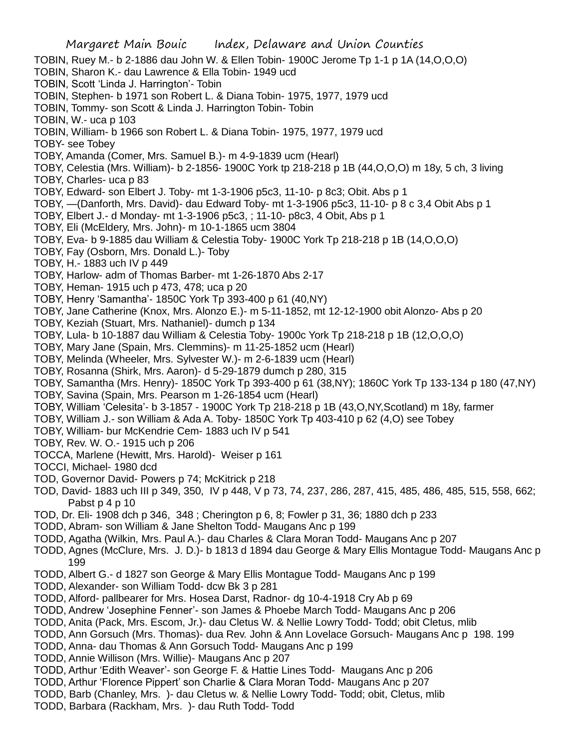- Margaret Main Bouic Index, Delaware and Union Counties TOBIN, Ruey M.- b 2-1886 dau John W. & Ellen Tobin- 1900C Jerome Tp 1-1 p 1A (14,O,O,O) TOBIN, Sharon K.- dau Lawrence & Ella Tobin- 1949 ucd TOBIN, Scott 'Linda J. Harrington'- Tobin TOBIN, Stephen- b 1971 son Robert L. & Diana Tobin- 1975, 1977, 1979 ucd TOBIN, Tommy- son Scott & Linda J. Harrington Tobin- Tobin TOBIN, W.- uca p 103 TOBIN, William- b 1966 son Robert L. & Diana Tobin- 1975, 1977, 1979 ucd TOBY- see Tobey TOBY, Amanda (Comer, Mrs. Samuel B.)- m 4-9-1839 ucm (Hearl) TOBY, Celestia (Mrs. William)- b 2-1856- 1900C York tp 218-218 p 1B (44,O,O,O) m 18y, 5 ch, 3 living TOBY, Charles- uca p 83 TOBY, Edward- son Elbert J. Toby- mt 1-3-1906 p5c3, 11-10- p 8c3; Obit. Abs p 1 TOBY, —(Danforth, Mrs. David)- dau Edward Toby- mt 1-3-1906 p5c3, 11-10- p 8 c 3,4 Obit Abs p 1 TOBY, Elbert J.- d Monday- mt 1-3-1906 p5c3, ; 11-10- p8c3, 4 Obit, Abs p 1 TOBY, Eli (McEldery, Mrs. John)- m 10-1-1865 ucm 3804 TOBY, Eva- b 9-1885 dau William & Celestia Toby- 1900C York Tp 218-218 p 1B (14,O,O,O) TOBY, Fay (Osborn, Mrs. Donald L.)- Toby TOBY, H.- 1883 uch IV p 449 TOBY, Harlow- adm of Thomas Barber- mt 1-26-1870 Abs 2-17 TOBY, Heman- 1915 uch p 473, 478; uca p 20 TOBY, Henry 'Samantha'- 1850C York Tp 393-400 p 61 (40,NY) TOBY, Jane Catherine (Knox, Mrs. Alonzo E.)- m 5-11-1852, mt 12-12-1900 obit Alonzo- Abs p 20 TOBY, Keziah (Stuart, Mrs. Nathaniel)- dumch p 134 TOBY, Lula- b 10-1887 dau William & Celestia Toby- 1900c York Tp 218-218 p 1B (12,O,O,O) TOBY, Mary Jane (Spain, Mrs. Clemmins)- m 11-25-1852 ucm (Hearl) TOBY, Melinda (Wheeler, Mrs. Sylvester W.)- m 2-6-1839 ucm (Hearl) TOBY, Rosanna (Shirk, Mrs. Aaron)- d 5-29-1879 dumch p 280, 315 TOBY, Samantha (Mrs. Henry)- 1850C York Tp 393-400 p 61 (38,NY); 1860C York Tp 133-134 p 180 (47,NY) TOBY, Savina (Spain, Mrs. Pearson m 1-26-1854 ucm (Hearl) TOBY, William 'Celesita'- b 3-1857 - 1900C York Tp 218-218 p 1B (43,O,NY,Scotland) m 18y, farmer TOBY, William J.- son William & Ada A. Toby- 1850C York Tp 403-410 p 62 (4,O) see Tobey TOBY, William- bur McKendrie Cem- 1883 uch IV p 541 TOBY, Rev. W. O.- 1915 uch p 206 TOCCA, Marlene (Hewitt, Mrs. Harold)- Weiser p 161 TOCCI, Michael- 1980 dcd TOD, Governor David- Powers p 74; McKitrick p 218 TOD, David- 1883 uch III p 349, 350, IV p 448, V p 73, 74, 237, 286, 287, 415, 485, 486, 485, 515, 558, 662; Pabst p 4 p 10 TOD, Dr. Eli- 1908 dch p 346, 348 ; Cherington p 6, 8; Fowler p 31, 36; 1880 dch p 233 TODD, Abram- son William & Jane Shelton Todd- Maugans Anc p 199 TODD, Agatha (Wilkin, Mrs. Paul A.)- dau Charles & Clara Moran Todd- Maugans Anc p 207 TODD, Agnes (McClure, Mrs. J. D.)- b 1813 d 1894 dau George & Mary Ellis Montague Todd- Maugans Anc p 199 TODD, Albert G.- d 1827 son George & Mary Ellis Montague Todd- Maugans Anc p 199 TODD, Alexander- son William Todd- dcw Bk 3 p 281 TODD, Alford- pallbearer for Mrs. Hosea Darst, Radnor- dg 10-4-1918 Cry Ab p 69 TODD, Andrew 'Josephine Fenner'- son James & Phoebe March Todd- Maugans Anc p 206
- TODD, Anita (Pack, Mrs. Escom, Jr.)- dau Cletus W. & Nellie Lowry Todd- Todd; obit Cletus, mlib
- TODD, Ann Gorsuch (Mrs. Thomas)- dua Rev. John & Ann Lovelace Gorsuch- Maugans Anc p 198. 199
- TODD, Anna- dau Thomas & Ann Gorsuch Todd- Maugans Anc p 199
- TODD, Annie Willison (Mrs. Willie)- Maugans Anc p 207
- TODD, Arthur 'Edith Weaver'- son George F. & Hattie Lines Todd- Maugans Anc p 206
- TODD, Arthur 'Florence Pippert' son Charlie & Clara Moran Todd- Maugans Anc p 207
- TODD, Barb (Chanley, Mrs. )- dau Cletus w. & Nellie Lowry Todd- Todd; obit, Cletus, mlib
- TODD, Barbara (Rackham, Mrs. )- dau Ruth Todd- Todd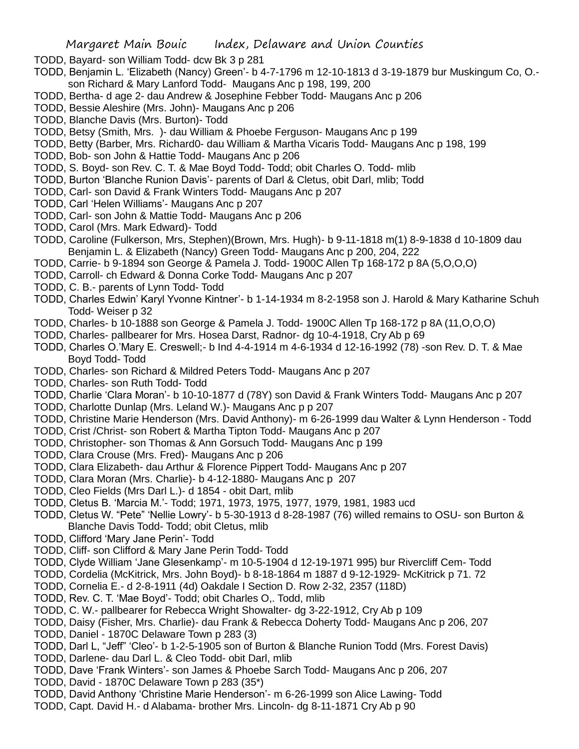- TODD, Bayard- son William Todd- dcw Bk 3 p 281
- TODD, Benjamin L. 'Elizabeth (Nancy) Green'- b 4-7-1796 m 12-10-1813 d 3-19-1879 bur Muskingum Co, O. son Richard & Mary Lanford Todd- Maugans Anc p 198, 199, 200
- TODD, Bertha- d age 2- dau Andrew & Josephine Febber Todd- Maugans Anc p 206
- TODD, Bessie Aleshire (Mrs. John)- Maugans Anc p 206
- TODD, Blanche Davis (Mrs. Burton)- Todd
- TODD, Betsy (Smith, Mrs. )- dau William & Phoebe Ferguson- Maugans Anc p 199
- TODD, Betty (Barber, Mrs. Richard0- dau William & Martha Vicaris Todd- Maugans Anc p 198, 199
- TODD, Bob- son John & Hattie Todd- Maugans Anc p 206
- TODD, S. Boyd- son Rev. C. T. & Mae Boyd Todd- Todd; obit Charles O. Todd- mlib
- TODD, Burton 'Blanche Runion Davis'- parents of Darl & Cletus, obit Darl, mlib; Todd
- TODD, Carl- son David & Frank Winters Todd- Maugans Anc p 207
- TODD, Carl 'Helen Williams'- Maugans Anc p 207
- TODD, Carl- son John & Mattie Todd- Maugans Anc p 206
- TODD, Carol (Mrs. Mark Edward)- Todd
- TODD, Caroline (Fulkerson, Mrs, Stephen)(Brown, Mrs. Hugh)- b 9-11-1818 m(1) 8-9-1838 d 10-1809 dau Benjamin L. & Elizabeth (Nancy) Green Todd- Maugans Anc p 200, 204, 222
- TODD, Carrie- b 9-1894 son George & Pamela J. Todd- 1900C Allen Tp 168-172 p 8A (5,O,O,O)
- TODD, Carroll- ch Edward & Donna Corke Todd- Maugans Anc p 207
- TODD, C. B.- parents of Lynn Todd- Todd
- TODD, Charles Edwin' Karyl Yvonne Kintner'- b 1-14-1934 m 8-2-1958 son J. Harold & Mary Katharine Schuh Todd- Weiser p 32
- TODD, Charles- b 10-1888 son George & Pamela J. Todd- 1900C Allen Tp 168-172 p 8A (11,O,O,O)
- TODD, Charles- pallbearer for Mrs. Hosea Darst, Radnor- dg 10-4-1918, Cry Ab p 69
- TODD, Charles O.'Mary E. Creswell;- b Ind 4-4-1914 m 4-6-1934 d 12-16-1992 (78) -son Rev. D. T. & Mae Boyd Todd- Todd
- TODD, Charles- son Richard & Mildred Peters Todd- Maugans Anc p 207
- TODD, Charles- son Ruth Todd- Todd
- TODD, Charlie 'Clara Moran'- b 10-10-1877 d (78Y) son David & Frank Winters Todd- Maugans Anc p 207
- TODD, Charlotte Dunlap (Mrs. Leland W.)- Maugans Anc p p 207
- TODD, Christine Marie Henderson (Mrs. David Anthony)- m 6-26-1999 dau Walter & Lynn Henderson Todd
- TODD, Crist /Christ- son Robert & Martha Tipton Todd- Maugans Anc p 207
- TODD, Christopher- son Thomas & Ann Gorsuch Todd- Maugans Anc p 199
- TODD, Clara Crouse (Mrs. Fred)- Maugans Anc p 206
- TODD, Clara Elizabeth- dau Arthur & Florence Pippert Todd- Maugans Anc p 207
- TODD, Clara Moran (Mrs. Charlie)- b 4-12-1880- Maugans Anc p 207
- TODD, Cleo Fields (Mrs Darl L.)- d 1854 obit Dart, mlib
- TODD, Cletus B. 'Marcia M.'- Todd; 1971, 1973, 1975, 1977, 1979, 1981, 1983 ucd
- TODD, Cletus W. "Pete" 'Nellie Lowry'- b 5-30-1913 d 8-28-1987 (76) willed remains to OSU- son Burton & Blanche Davis Todd- Todd; obit Cletus, mlib
- TODD, Clifford 'Mary Jane Perin'- Todd
- TODD, Cliff- son Clifford & Mary Jane Perin Todd- Todd
- TODD, Clyde William 'Jane Glesenkamp'- m 10-5-1904 d 12-19-1971 995) bur Rivercliff Cem- Todd
- TODD, Cordelia (McKitrick, Mrs. John Boyd)- b 8-18-1864 m 1887 d 9-12-1929- McKitrick p 71. 72
- TODD, Cornelia E.- d 2-8-1911 (4d) Oakdale I Section D. Row 2-32, 2357 (118D)
- TODD, Rev. C. T. 'Mae Boyd'- Todd; obit Charles O,. Todd, mlib
- TODD, C. W.- pallbearer for Rebecca Wright Showalter- dg 3-22-1912, Cry Ab p 109
- TODD, Daisy (Fisher, Mrs. Charlie)- dau Frank & Rebecca Doherty Todd- Maugans Anc p 206, 207
- TODD, Daniel 1870C Delaware Town p 283 (3)
- TODD, Darl L, "Jeff" 'Cleo'- b 1-2-5-1905 son of Burton & Blanche Runion Todd (Mrs. Forest Davis)
- TODD, Darlene- dau Darl L. & Cleo Todd- obit Darl, mlib
- TODD, Dave 'Frank Winters'- son James & Phoebe Sarch Todd- Maugans Anc p 206, 207
- TODD, David 1870C Delaware Town p 283 (35\*)
- TODD, David Anthony 'Christine Marie Henderson'- m 6-26-1999 son Alice Lawing- Todd
- TODD, Capt. David H.- d Alabama- brother Mrs. Lincoln- dg 8-11-1871 Cry Ab p 90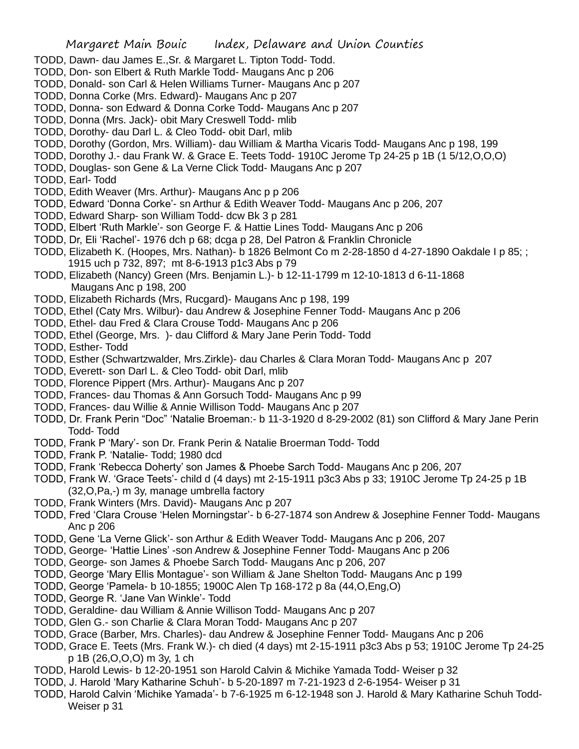- TODD, Dawn- dau James E.,Sr. & Margaret L. Tipton Todd- Todd.
- TODD, Don- son Elbert & Ruth Markle Todd- Maugans Anc p 206
- TODD, Donald- son Carl & Helen Williams Turner- Maugans Anc p 207
- TODD, Donna Corke (Mrs. Edward)- Maugans Anc p 207
- TODD, Donna- son Edward & Donna Corke Todd- Maugans Anc p 207
- TODD, Donna (Mrs. Jack)- obit Mary Creswell Todd- mlib
- TODD, Dorothy- dau Darl L. & Cleo Todd- obit Darl, mlib
- TODD, Dorothy (Gordon, Mrs. William)- dau William & Martha Vicaris Todd- Maugans Anc p 198, 199
- TODD, Dorothy J.- dau Frank W. & Grace E. Teets Todd- 1910C Jerome Tp 24-25 p 1B (1 5/12,O,O,O)
- TODD, Douglas- son Gene & La Verne Click Todd- Maugans Anc p 207
- TODD, Earl- Todd
- TODD, Edith Weaver (Mrs. Arthur)- Maugans Anc p p 206
- TODD, Edward 'Donna Corke'- sn Arthur & Edith Weaver Todd- Maugans Anc p 206, 207
- TODD, Edward Sharp- son William Todd- dcw Bk 3 p 281
- TODD, Elbert 'Ruth Markle'- son George F. & Hattie Lines Todd- Maugans Anc p 206
- TODD, Dr, Eli 'Rachel'- 1976 dch p 68; dcga p 28, Del Patron & Franklin Chronicle
- TODD, Elizabeth K. (Hoopes, Mrs. Nathan)- b 1826 Belmont Co m 2-28-1850 d 4-27-1890 Oakdale I p 85; ; 1915 uch p 732, 897; mt 8-6-1913 p1c3 Abs p 79
- TODD, Elizabeth (Nancy) Green (Mrs. Benjamin L.)- b 12-11-1799 m 12-10-1813 d 6-11-1868 Maugans Anc p 198, 200
- TODD, Elizabeth Richards (Mrs, Rucgard)- Maugans Anc p 198, 199
- TODD, Ethel (Caty Mrs. Wilbur)- dau Andrew & Josephine Fenner Todd- Maugans Anc p 206
- TODD, Ethel- dau Fred & Clara Crouse Todd- Maugans Anc p 206
- TODD, Ethel (George, Mrs. )- dau Clifford & Mary Jane Perin Todd- Todd
- TODD, Esther- Todd
- TODD, Esther (Schwartzwalder, Mrs.Zirkle)- dau Charles & Clara Moran Todd- Maugans Anc p 207
- TODD, Everett- son Darl L. & Cleo Todd- obit Darl, mlib
- TODD, Florence Pippert (Mrs. Arthur)- Maugans Anc p 207
- TODD, Frances- dau Thomas & Ann Gorsuch Todd- Maugans Anc p 99
- TODD, Frances- dau Willie & Annie Willison Todd- Maugans Anc p 207
- TODD, Dr. Frank Perin "Doc" 'Natalie Broeman:- b 11-3-1920 d 8-29-2002 (81) son Clifford & Mary Jane Perin Todd- Todd
- TODD, Frank P 'Mary'- son Dr. Frank Perin & Natalie Broerman Todd- Todd
- TODD, Frank P. 'Natalie- Todd; 1980 dcd
- TODD, Frank 'Rebecca Doherty' son James & Phoebe Sarch Todd- Maugans Anc p 206, 207
- TODD, Frank W. 'Grace Teets'- child d (4 days) mt 2-15-1911 p3c3 Abs p 33; 1910C Jerome Tp 24-25 p 1B (32,O,Pa,-) m 3y, manage umbrella factory
- TODD, Frank Winters (Mrs. David)- Maugans Anc p 207
- TODD, Fred 'Clara Crouse 'Helen Morningstar'- b 6-27-1874 son Andrew & Josephine Fenner Todd- Maugans Anc p 206
- TODD, Gene 'La Verne Glick'- son Arthur & Edith Weaver Todd- Maugans Anc p 206, 207
- TODD, George- 'Hattie Lines' -son Andrew & Josephine Fenner Todd- Maugans Anc p 206
- TODD, George- son James & Phoebe Sarch Todd- Maugans Anc p 206, 207
- TODD, George 'Mary Ellis Montague'- son William & Jane Shelton Todd- Maugans Anc p 199
- TODD, George 'Pamela- b 10-1855; 1900C Alen Tp 168-172 p 8a (44,O,Eng,O)
- TODD, George R. 'Jane Van Winkle'- Todd
- TODD, Geraldine- dau William & Annie Willison Todd- Maugans Anc p 207
- TODD, Glen G.- son Charlie & Clara Moran Todd- Maugans Anc p 207
- TODD, Grace (Barber, Mrs. Charles)- dau Andrew & Josephine Fenner Todd- Maugans Anc p 206
- TODD, Grace E. Teets (Mrs. Frank W.)- ch died (4 days) mt 2-15-1911 p3c3 Abs p 53; 1910C Jerome Tp 24-25 p 1B (26,O,O,O) m 3y, 1 ch
- TODD, Harold Lewis- b 12-20-1951 son Harold Calvin & Michike Yamada Todd- Weiser p 32
- TODD, J. Harold 'Mary Katharine Schuh'- b 5-20-1897 m 7-21-1923 d 2-6-1954- Weiser p 31
- TODD, Harold Calvin 'Michike Yamada'- b 7-6-1925 m 6-12-1948 son J. Harold & Mary Katharine Schuh Todd-Weiser p 31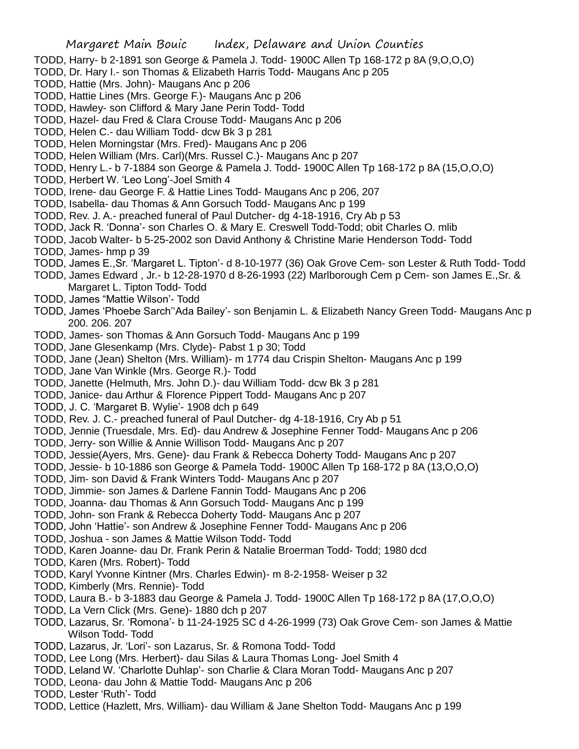- TODD, Harry- b 2-1891 son George & Pamela J. Todd- 1900C Allen Tp 168-172 p 8A (9,O,O,O)
- TODD, Dr. Hary I.- son Thomas & Elizabeth Harris Todd- Maugans Anc p 205
- TODD, Hattie (Mrs. John)- Maugans Anc p 206
- TODD, Hattie Lines (Mrs. George F.)- Maugans Anc p 206
- TODD, Hawley- son Clifford & Mary Jane Perin Todd- Todd
- TODD, Hazel- dau Fred & Clara Crouse Todd- Maugans Anc p 206
- TODD, Helen C.- dau William Todd- dcw Bk 3 p 281
- TODD, Helen Morningstar (Mrs. Fred)- Maugans Anc p 206
- TODD, Helen William (Mrs. Carl)(Mrs. Russel C.)- Maugans Anc p 207
- TODD, Henry L.- b 7-1884 son George & Pamela J. Todd- 1900C Allen Tp 168-172 p 8A (15,O,O,O)
- TODD, Herbert W. 'Leo Long'-Joel Smith 4
- TODD, Irene- dau George F. & Hattie Lines Todd- Maugans Anc p 206, 207
- TODD, Isabella- dau Thomas & Ann Gorsuch Todd- Maugans Anc p 199
- TODD, Rev. J. A.- preached funeral of Paul Dutcher- dg 4-18-1916, Cry Ab p 53
- TODD, Jack R. 'Donna'- son Charles O. & Mary E. Creswell Todd-Todd; obit Charles O. mlib
- TODD, Jacob Walter- b 5-25-2002 son David Anthony & Christine Marie Henderson Todd- Todd
- TODD, James- hmp p 39
- TODD, James E.,Sr. 'Margaret L. Tipton'- d 8-10-1977 (36) Oak Grove Cem- son Lester & Ruth Todd- Todd
- TODD, James Edward , Jr.- b 12-28-1970 d 8-26-1993 (22) Marlborough Cem p Cem- son James E.,Sr. & Margaret L. Tipton Todd- Todd
- TODD, James "Mattie Wilson'- Todd
- TODD, James 'Phoebe Sarch''Ada Bailey'- son Benjamin L. & Elizabeth Nancy Green Todd- Maugans Anc p 200. 206. 207
- TODD, James- son Thomas & Ann Gorsuch Todd- Maugans Anc p 199
- TODD, Jane Glesenkamp (Mrs. Clyde)- Pabst 1 p 30; Todd
- TODD, Jane (Jean) Shelton (Mrs. William)- m 1774 dau Crispin Shelton- Maugans Anc p 199
- TODD, Jane Van Winkle (Mrs. George R.)- Todd
- TODD, Janette (Helmuth, Mrs. John D.)- dau William Todd- dcw Bk 3 p 281
- TODD, Janice- dau Arthur & Florence Pippert Todd- Maugans Anc p 207
- TODD, J. C. 'Margaret B. Wylie'- 1908 dch p 649
- TODD, Rev. J. C.- preached funeral of Paul Dutcher- dg 4-18-1916, Cry Ab p 51
- TODD, Jennie (Truesdale, Mrs. Ed)- dau Andrew & Josephine Fenner Todd- Maugans Anc p 206
- TODD, Jerry- son Willie & Annie Willison Todd- Maugans Anc p 207
- TODD, Jessie(Ayers, Mrs. Gene)- dau Frank & Rebecca Doherty Todd- Maugans Anc p 207
- TODD, Jessie- b 10-1886 son George & Pamela Todd- 1900C Allen Tp 168-172 p 8A (13,O,O,O)
- TODD, Jim- son David & Frank Winters Todd- Maugans Anc p 207
- TODD, Jimmie- son James & Darlene Fannin Todd- Maugans Anc p 206
- TODD, Joanna- dau Thomas & Ann Gorsuch Todd- Maugans Anc p 199
- TODD, John- son Frank & Rebecca Doherty Todd- Maugans Anc p 207
- TODD, John 'Hattie'- son Andrew & Josephine Fenner Todd- Maugans Anc p 206
- TODD, Joshua son James & Mattie Wilson Todd- Todd
- TODD, Karen Joanne- dau Dr. Frank Perin & Natalie Broerman Todd- Todd; 1980 dcd
- TODD, Karen (Mrs. Robert)- Todd
- TODD, Karyl Yvonne Kintner (Mrs. Charles Edwin)- m 8-2-1958- Weiser p 32
- TODD, Kimberly (Mrs. Rennie)- Todd
- TODD, Laura B.- b 3-1883 dau George & Pamela J. Todd- 1900C Allen Tp 168-172 p 8A (17,O,O,O)
- TODD, La Vern Click (Mrs. Gene)- 1880 dch p 207
- TODD, Lazarus, Sr. 'Romona'- b 11-24-1925 SC d 4-26-1999 (73) Oak Grove Cem- son James & Mattie Wilson Todd- Todd
- TODD, Lazarus, Jr. 'Lori'- son Lazarus, Sr. & Romona Todd- Todd
- TODD, Lee Long (Mrs. Herbert)- dau Silas & Laura Thomas Long- Joel Smith 4
- TODD, Leland W. 'Charlotte Duhlap'- son Charlie & Clara Moran Todd- Maugans Anc p 207
- TODD, Leona- dau John & Mattie Todd- Maugans Anc p 206
- TODD, Lester 'Ruth'- Todd
- TODD, Lettice (Hazlett, Mrs. William)- dau William & Jane Shelton Todd- Maugans Anc p 199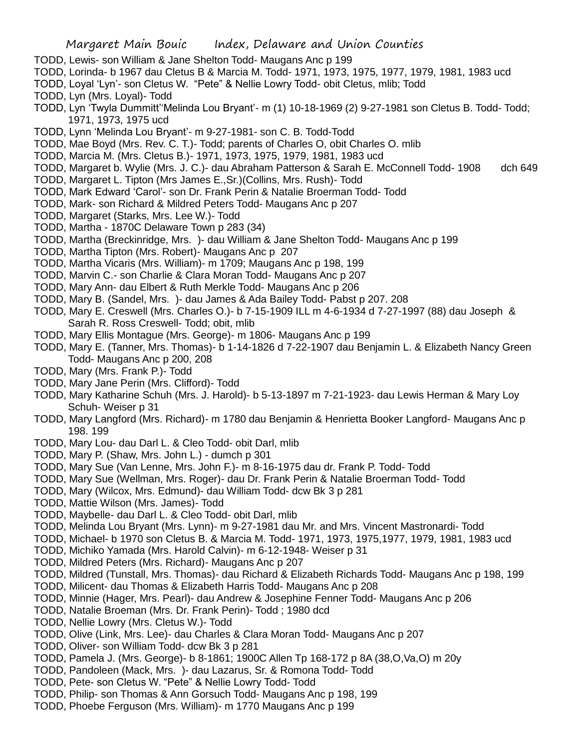- TODD, Lewis- son William & Jane Shelton Todd- Maugans Anc p 199
- TODD, Lorinda- b 1967 dau Cletus B & Marcia M. Todd- 1971, 1973, 1975, 1977, 1979, 1981, 1983 ucd
- TODD, Loyal 'Lyn'- son Cletus W. "Pete" & Nellie Lowry Todd- obit Cletus, mlib; Todd
- TODD, Lyn (Mrs. Loyal)- Todd
- TODD, Lyn 'Twyla Dummitt''Melinda Lou Bryant'- m (1) 10-18-1969 (2) 9-27-1981 son Cletus B. Todd- Todd; 1971, 1973, 1975 ucd
- TODD, Lynn 'Melinda Lou Bryant'- m 9-27-1981- son C. B. Todd-Todd
- TODD, Mae Boyd (Mrs. Rev. C. T.)- Todd; parents of Charles O, obit Charles O. mlib
- TODD, Marcia M. (Mrs. Cletus B.)- 1971, 1973, 1975, 1979, 1981, 1983 ucd
- TODD, Margaret b. Wylie (Mrs. J. C.)- dau Abraham Patterson & Sarah E. McConnell Todd- 1908 dch 649
- TODD, Margaret L. Tipton (Mrs James E.,Sr.)(Collins, Mrs. Rush)- Todd
- TODD, Mark Edward 'Carol'- son Dr. Frank Perin & Natalie Broerman Todd- Todd
- TODD, Mark- son Richard & Mildred Peters Todd- Maugans Anc p 207
- TODD, Margaret (Starks, Mrs. Lee W.)- Todd
- TODD, Martha 1870C Delaware Town p 283 (34)
- TODD, Martha (Breckinridge, Mrs. )- dau William & Jane Shelton Todd- Maugans Anc p 199
- TODD, Martha Tipton (Mrs. Robert)- Maugans Anc p 207
- TODD, Martha Vicaris (Mrs. William)- m 1709; Maugans Anc p 198, 199
- TODD, Marvin C.- son Charlie & Clara Moran Todd- Maugans Anc p 207
- TODD, Mary Ann- dau Elbert & Ruth Merkle Todd- Maugans Anc p 206
- TODD, Mary B. (Sandel, Mrs. )- dau James & Ada Bailey Todd- Pabst p 207. 208
- TODD, Mary E. Creswell (Mrs. Charles O.)- b 7-15-1909 ILL m 4-6-1934 d 7-27-1997 (88) dau Joseph & Sarah R. Ross Creswell- Todd; obit, mlib
- TODD, Mary Ellis Montague (Mrs. George)- m 1806- Maugans Anc p 199
- TODD, Mary E. (Tanner, Mrs. Thomas)- b 1-14-1826 d 7-22-1907 dau Benjamin L. & Elizabeth Nancy Green Todd- Maugans Anc p 200, 208
- TODD, Mary (Mrs. Frank P.)- Todd
- TODD, Mary Jane Perin (Mrs. Clifford)- Todd
- TODD, Mary Katharine Schuh (Mrs. J. Harold)- b 5-13-1897 m 7-21-1923- dau Lewis Herman & Mary Loy Schuh- Weiser p 31
- TODD, Mary Langford (Mrs. Richard)- m 1780 dau Benjamin & Henrietta Booker Langford- Maugans Anc p 198. 199
- TODD, Mary Lou- dau Darl L. & Cleo Todd- obit Darl, mlib
- TODD, Mary P. (Shaw, Mrs. John L.) dumch p 301
- TODD, Mary Sue (Van Lenne, Mrs. John F.)- m 8-16-1975 dau dr. Frank P. Todd- Todd
- TODD, Mary Sue (Wellman, Mrs. Roger)- dau Dr. Frank Perin & Natalie Broerman Todd- Todd
- TODD, Mary (Wilcox, Mrs. Edmund)- dau William Todd- dcw Bk 3 p 281
- TODD, Mattie Wilson (Mrs. James)- Todd
- TODD, Maybelle- dau Darl L. & Cleo Todd- obit Darl, mlib
- TODD, Melinda Lou Bryant (Mrs. Lynn)- m 9-27-1981 dau Mr. and Mrs. Vincent Mastronardi- Todd
- TODD, Michael- b 1970 son Cletus B. & Marcia M. Todd- 1971, 1973, 1975,1977, 1979, 1981, 1983 ucd
- TODD, Michiko Yamada (Mrs. Harold Calvin)- m 6-12-1948- Weiser p 31
- TODD, Mildred Peters (Mrs. Richard)- Maugans Anc p 207
- TODD, Mildred (Tunstall, Mrs. Thomas)- dau Richard & Elizabeth Richards Todd- Maugans Anc p 198, 199
- TODD, Milicent- dau Thomas & Elizabeth Harris Todd- Maugans Anc p 208
- TODD, Minnie (Hager, Mrs. Pearl)- dau Andrew & Josephine Fenner Todd- Maugans Anc p 206
- TODD, Natalie Broeman (Mrs. Dr. Frank Perin)- Todd ; 1980 dcd
- TODD, Nellie Lowry (Mrs. Cletus W.)- Todd
- TODD, Olive (Link, Mrs. Lee)- dau Charles & Clara Moran Todd- Maugans Anc p 207
- TODD, Oliver- son William Todd- dcw Bk 3 p 281
- TODD, Pamela J. (Mrs. George)- b 8-1861; 1900C Allen Tp 168-172 p 8A (38,O,Va,O) m 20y
- TODD, Pandoleen (Mack, Mrs. )- dau Lazarus, Sr. & Romona Todd- Todd
- TODD, Pete- son Cletus W. "Pete" & Nellie Lowry Todd- Todd
- TODD, Philip- son Thomas & Ann Gorsuch Todd- Maugans Anc p 198, 199
- TODD, Phoebe Ferguson (Mrs. William)- m 1770 Maugans Anc p 199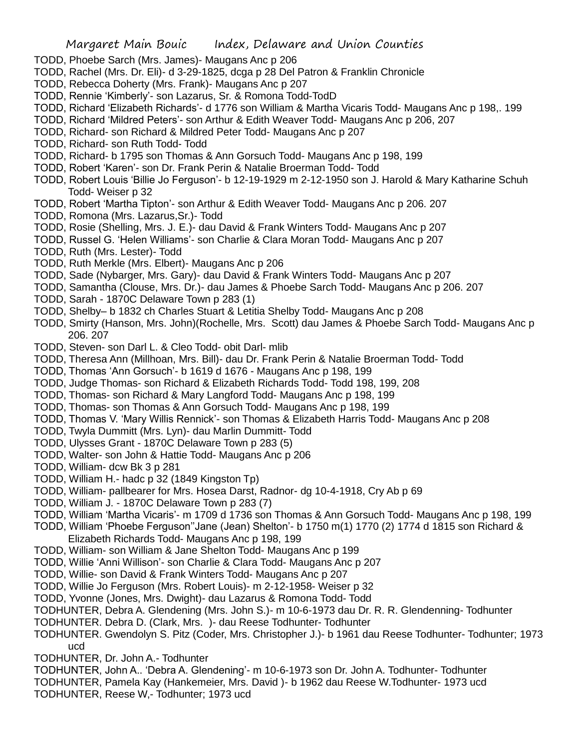- TODD, Phoebe Sarch (Mrs. James)- Maugans Anc p 206
- TODD, Rachel (Mrs. Dr. Eli)- d 3-29-1825, dcga p 28 Del Patron & Franklin Chronicle
- TODD, Rebecca Doherty (Mrs. Frank)- Maugans Anc p 207
- TODD, Rennie 'Kimberly'- son Lazarus, Sr. & Romona Todd-TodD
- TODD, Richard 'Elizabeth Richards'- d 1776 son William & Martha Vicaris Todd- Maugans Anc p 198,. 199
- TODD, Richard 'Mildred Peters'- son Arthur & Edith Weaver Todd- Maugans Anc p 206, 207
- TODD, Richard- son Richard & Mildred Peter Todd- Maugans Anc p 207
- TODD, Richard- son Ruth Todd- Todd
- TODD, Richard- b 1795 son Thomas & Ann Gorsuch Todd- Maugans Anc p 198, 199
- TODD, Robert 'Karen'- son Dr. Frank Perin & Natalie Broerman Todd- Todd
- TODD, Robert Louis 'Billie Jo Ferguson'- b 12-19-1929 m 2-12-1950 son J. Harold & Mary Katharine Schuh Todd- Weiser p 32
- TODD, Robert 'Martha Tipton'- son Arthur & Edith Weaver Todd- Maugans Anc p 206. 207
- TODD, Romona (Mrs. Lazarus,Sr.)- Todd
- TODD, Rosie (Shelling, Mrs. J. E.)- dau David & Frank Winters Todd- Maugans Anc p 207
- TODD, Russel G. 'Helen Williams'- son Charlie & Clara Moran Todd- Maugans Anc p 207
- TODD, Ruth (Mrs. Lester)- Todd
- TODD, Ruth Merkle (Mrs. Elbert)- Maugans Anc p 206
- TODD, Sade (Nybarger, Mrs. Gary)- dau David & Frank Winters Todd- Maugans Anc p 207
- TODD, Samantha (Clouse, Mrs. Dr.)- dau James & Phoebe Sarch Todd- Maugans Anc p 206. 207
- TODD, Sarah 1870C Delaware Town p 283 (1)
- TODD, Shelby– b 1832 ch Charles Stuart & Letitia Shelby Todd- Maugans Anc p 208
- TODD, Smirty (Hanson, Mrs. John)(Rochelle, Mrs. Scott) dau James & Phoebe Sarch Todd- Maugans Anc p 206. 207
- TODD, Steven- son Darl L. & Cleo Todd- obit Darl- mlib
- TODD, Theresa Ann (Millhoan, Mrs. Bill)- dau Dr. Frank Perin & Natalie Broerman Todd- Todd
- TODD, Thomas 'Ann Gorsuch'- b 1619 d 1676 Maugans Anc p 198, 199
- TODD, Judge Thomas- son Richard & Elizabeth Richards Todd- Todd 198, 199, 208
- TODD, Thomas- son Richard & Mary Langford Todd- Maugans Anc p 198, 199
- TODD, Thomas- son Thomas & Ann Gorsuch Todd- Maugans Anc p 198, 199
- TODD, Thomas V. 'Mary Willis Rennick'- son Thomas & Elizabeth Harris Todd- Maugans Anc p 208
- TODD, Twyla Dummitt (Mrs. Lyn)- dau Marlin Dummitt- Todd
- TODD, Ulysses Grant 1870C Delaware Town p 283 (5)
- TODD, Walter- son John & Hattie Todd- Maugans Anc p 206
- TODD, William- dcw Bk 3 p 281
- TODD, William H.- hadc p 32 (1849 Kingston Tp)
- TODD, William- pallbearer for Mrs. Hosea Darst, Radnor- dg 10-4-1918, Cry Ab p 69
- TODD, William J. 1870C Delaware Town p 283 (7)
- TODD, William 'Martha Vicaris'- m 1709 d 1736 son Thomas & Ann Gorsuch Todd- Maugans Anc p 198, 199
- TODD, William 'Phoebe Ferguson''Jane (Jean) Shelton'- b 1750 m(1) 1770 (2) 1774 d 1815 son Richard & Elizabeth Richards Todd- Maugans Anc p 198, 199
- TODD, William- son William & Jane Shelton Todd- Maugans Anc p 199
- TODD, Willie 'Anni Willison'- son Charlie & Clara Todd- Maugans Anc p 207
- TODD, Willie- son David & Frank Winters Todd- Maugans Anc p 207
- TODD, Willie Jo Ferguson (Mrs. Robert Louis)- m 2-12-1958- Weiser p 32
- TODD, Yvonne (Jones, Mrs. Dwight)- dau Lazarus & Romona Todd- Todd
- TODHUNTER, Debra A. Glendening (Mrs. John S.)- m 10-6-1973 dau Dr. R. R. Glendenning- Todhunter
- TODHUNTER. Debra D. (Clark, Mrs. )- dau Reese Todhunter- Todhunter
- TODHUNTER. Gwendolyn S. Pitz (Coder, Mrs. Christopher J.)- b 1961 dau Reese Todhunter- Todhunter; 1973 ucd
- TODHUNTER, Dr. John A.- Todhunter
- TODHUNTER, John A.. 'Debra A. Glendening'- m 10-6-1973 son Dr. John A. Todhunter- Todhunter
- TODHUNTER, Pamela Kay (Hankemeier, Mrs. David )- b 1962 dau Reese W.Todhunter- 1973 ucd
- TODHUNTER, Reese W,- Todhunter; 1973 ucd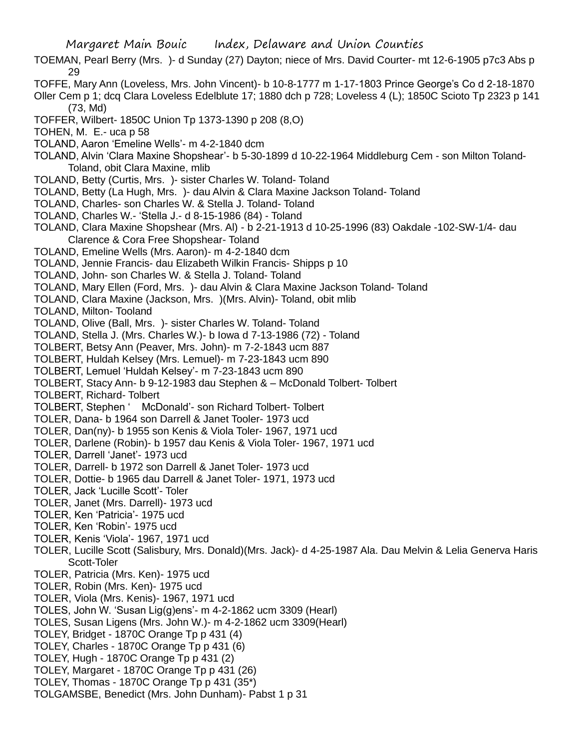- TOEMAN, Pearl Berry (Mrs. )- d Sunday (27) Dayton; niece of Mrs. David Courter- mt 12-6-1905 p7c3 Abs p 29
- TOFFE, Mary Ann (Loveless, Mrs. John Vincent)- b 10-8-1777 m 1-17-1803 Prince George's Co d 2-18-1870
- Oller Cem p 1; dcq Clara Loveless Edelblute 17; 1880 dch p 728; Loveless 4 (L); 1850C Scioto Tp 2323 p 141 (73, Md)
- TOFFER, Wilbert- 1850C Union Tp 1373-1390 p 208 (8,O)
- TOHEN, M. E.- uca p 58
- TOLAND, Aaron 'Emeline Wells'- m 4-2-1840 dcm
- TOLAND, Alvin 'Clara Maxine Shopshear'- b 5-30-1899 d 10-22-1964 Middleburg Cem son Milton Toland-Toland, obit Clara Maxine, mlib
- TOLAND, Betty (Curtis, Mrs. )- sister Charles W. Toland- Toland
- TOLAND, Betty (La Hugh, Mrs. )- dau Alvin & Clara Maxine Jackson Toland- Toland
- TOLAND, Charles- son Charles W. & Stella J. Toland- Toland
- TOLAND, Charles W.- 'Stella J.- d 8-15-1986 (84) Toland
- TOLAND, Clara Maxine Shopshear (Mrs. Al) b 2-21-1913 d 10-25-1996 (83) Oakdale -102-SW-1/4- dau Clarence & Cora Free Shopshear- Toland
- TOLAND, Emeline Wells (Mrs. Aaron)- m 4-2-1840 dcm
- TOLAND, Jennie Francis- dau Elizabeth Wilkin Francis- Shipps p 10
- TOLAND, John- son Charles W. & Stella J. Toland- Toland
- TOLAND, Mary Ellen (Ford, Mrs. )- dau Alvin & Clara Maxine Jackson Toland- Toland
- TOLAND, Clara Maxine (Jackson, Mrs. )(Mrs. Alvin)- Toland, obit mlib
- TOLAND, Milton- Tooland
- TOLAND, Olive (Ball, Mrs. )- sister Charles W. Toland- Toland
- TOLAND, Stella J. (Mrs. Charles W.)- b Iowa d 7-13-1986 (72) Toland
- TOLBERT, Betsy Ann (Peaver, Mrs. John)- m 7-2-1843 ucm 887
- TOLBERT, Huldah Kelsey (Mrs. Lemuel)- m 7-23-1843 ucm 890
- TOLBERT, Lemuel 'Huldah Kelsey'- m 7-23-1843 ucm 890
- TOLBERT, Stacy Ann- b 9-12-1983 dau Stephen & McDonald Tolbert- Tolbert
- TOLBERT, Richard- Tolbert
- TOLBERT, Stephen ' McDonald'- son Richard Tolbert- Tolbert
- TOLER, Dana- b 1964 son Darrell & Janet Tooler- 1973 ucd
- TOLER, Dan(ny)- b 1955 son Kenis & Viola Toler- 1967, 1971 ucd
- TOLER, Darlene (Robin)- b 1957 dau Kenis & Viola Toler- 1967, 1971 ucd
- TOLER, Darrell 'Janet'- 1973 ucd
- TOLER, Darrell- b 1972 son Darrell & Janet Toler- 1973 ucd
- TOLER, Dottie- b 1965 dau Darrell & Janet Toler- 1971, 1973 ucd
- TOLER, Jack 'Lucille Scott'- Toler
- TOLER, Janet (Mrs. Darrell)- 1973 ucd
- TOLER, Ken 'Patricia'- 1975 ucd
- TOLER, Ken 'Robin'- 1975 ucd
- TOLER, Kenis 'Viola'- 1967, 1971 ucd
- TOLER, Lucille Scott (Salisbury, Mrs. Donald)(Mrs. Jack)- d 4-25-1987 Ala. Dau Melvin & Lelia Generva Haris Scott-Toler
- TOLER, Patricia (Mrs. Ken)- 1975 ucd
- TOLER, Robin (Mrs. Ken)- 1975 ucd
- TOLER, Viola (Mrs. Kenis)- 1967, 1971 ucd
- TOLES, John W. 'Susan Lig(g)ens'- m 4-2-1862 ucm 3309 (Hearl)
- TOLES, Susan Ligens (Mrs. John W.)- m 4-2-1862 ucm 3309(Hearl)
- TOLEY, Bridget 1870C Orange Tp p 431 (4)
- TOLEY, Charles 1870C Orange Tp p 431 (6)
- TOLEY, Hugh 1870C Orange Tp p 431 (2)
- TOLEY, Margaret 1870C Orange Tp p 431 (26)
- TOLEY, Thomas 1870C Orange Tp p 431 (35\*)
- TOLGAMSBE, Benedict (Mrs. John Dunham)- Pabst 1 p 31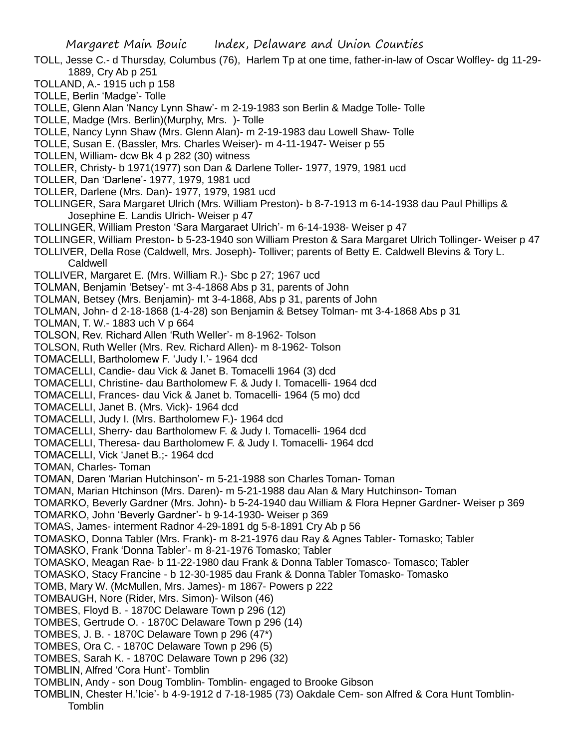- TOLL, Jesse C.- d Thursday, Columbus (76), Harlem Tp at one time, father-in-law of Oscar Wolfley- dg 11-29- 1889, Cry Ab p 251
- TOLLAND, A.- 1915 uch p 158
- TOLLE, Berlin 'Madge'- Tolle
- TOLLE, Glenn Alan 'Nancy Lynn Shaw'- m 2-19-1983 son Berlin & Madge Tolle- Tolle
- TOLLE, Madge (Mrs. Berlin)(Murphy, Mrs. )- Tolle
- TOLLE, Nancy Lynn Shaw (Mrs. Glenn Alan)- m 2-19-1983 dau Lowell Shaw- Tolle
- TOLLE, Susan E. (Bassler, Mrs. Charles Weiser)- m 4-11-1947- Weiser p 55
- TOLLEN, William- dcw Bk 4 p 282 (30) witness
- TOLLER, Christy- b 1971(1977) son Dan & Darlene Toller- 1977, 1979, 1981 ucd
- TOLLER, Dan 'Darlene'- 1977, 1979, 1981 ucd
- TOLLER, Darlene (Mrs. Dan)- 1977, 1979, 1981 ucd
- TOLLINGER, Sara Margaret Ulrich (Mrs. William Preston)- b 8-7-1913 m 6-14-1938 dau Paul Phillips & Josephine E. Landis Ulrich- Weiser p 47
- TOLLINGER, William Preston 'Sara Margaraet Ulrich'- m 6-14-1938- Weiser p 47
- TOLLINGER, William Preston- b 5-23-1940 son William Preston & Sara Margaret Ulrich Tollinger- Weiser p 47
- TOLLIVER, Della Rose (Caldwell, Mrs. Joseph)- Tolliver; parents of Betty E. Caldwell Blevins & Tory L. Caldwell
- TOLLIVER, Margaret E. (Mrs. William R.)- Sbc p 27; 1967 ucd
- TOLMAN, Benjamin 'Betsey'- mt 3-4-1868 Abs p 31, parents of John
- TOLMAN, Betsey (Mrs. Benjamin)- mt 3-4-1868, Abs p 31, parents of John
- TOLMAN, John- d 2-18-1868 (1-4-28) son Benjamin & Betsey Tolman- mt 3-4-1868 Abs p 31
- TOLMAN, T. W.- 1883 uch V p 664
- TOLSON, Rev. Richard Allen 'Ruth Weller'- m 8-1962- Tolson
- TOLSON, Ruth Weller (Mrs. Rev. Richard Allen)- m 8-1962- Tolson
- TOMACELLI, Bartholomew F. 'Judy I.'- 1964 dcd
- TOMACELLI, Candie- dau Vick & Janet B. Tomacelli 1964 (3) dcd
- TOMACELLI, Christine- dau Bartholomew F. & Judy I. Tomacelli- 1964 dcd
- TOMACELLI, Frances- dau Vick & Janet b. Tomacelli- 1964 (5 mo) dcd
- TOMACELLI, Janet B. (Mrs. Vick)- 1964 dcd
- TOMACELLI, Judy I. (Mrs. Bartholomew F.)- 1964 dcd
- TOMACELLI, Sherry- dau Bartholomew F. & Judy I. Tomacelli- 1964 dcd
- TOMACELLI, Theresa- dau Bartholomew F. & Judy I. Tomacelli- 1964 dcd
- TOMACELLI, Vick 'Janet B.;- 1964 dcd
- TOMAN, Charles- Toman
- TOMAN, Daren 'Marian Hutchinson'- m 5-21-1988 son Charles Toman- Toman
- TOMAN, Marian Htchinson (Mrs. Daren)- m 5-21-1988 dau Alan & Mary Hutchinson- Toman
- TOMARKO, Beverly Gardner (Mrs. John)- b 5-24-1940 dau William & Flora Hepner Gardner- Weiser p 369
- TOMARKO, John 'Beverly Gardner'- b 9-14-1930- Weiser p 369
- TOMAS, James- interment Radnor 4-29-1891 dg 5-8-1891 Cry Ab p 56
- TOMASKO, Donna Tabler (Mrs. Frank)- m 8-21-1976 dau Ray & Agnes Tabler- Tomasko; Tabler
- TOMASKO, Frank 'Donna Tabler'- m 8-21-1976 Tomasko; Tabler
- TOMASKO, Meagan Rae- b 11-22-1980 dau Frank & Donna Tabler Tomasco- Tomasco; Tabler
- TOMASKO, Stacy Francine b 12-30-1985 dau Frank & Donna Tabler Tomasko- Tomasko
- TOMB, Mary W. (McMullen, Mrs. James)- m 1867- Powers p 222
- TOMBAUGH, Nore (Rider, Mrs. Simon)- Wilson (46)
- TOMBES, Floyd B. 1870C Delaware Town p 296 (12)
- TOMBES, Gertrude O. 1870C Delaware Town p 296 (14)
- TOMBES, J. B. 1870C Delaware Town p 296 (47\*)
- TOMBES, Ora C. 1870C Delaware Town p 296 (5)
- TOMBES, Sarah K. 1870C Delaware Town p 296 (32)
- TOMBLIN, Alfred 'Cora Hunt'- Tomblin
- TOMBLIN, Andy son Doug Tomblin- Tomblin- engaged to Brooke Gibson
- TOMBLIN, Chester H.'Icie'- b 4-9-1912 d 7-18-1985 (73) Oakdale Cem- son Alfred & Cora Hunt Tomblin-**Tomblin**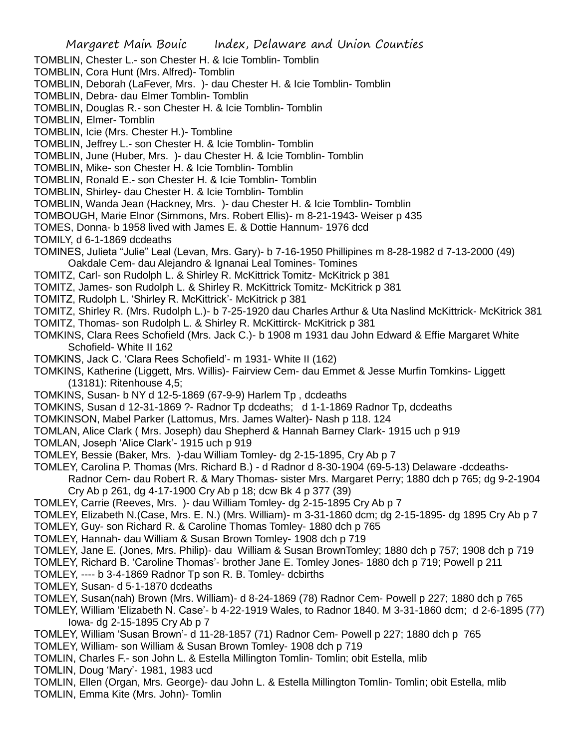TOMBLIN, Chester L.- son Chester H. & Icie Tomblin- Tomblin

TOMBLIN, Cora Hunt (Mrs. Alfred)- Tomblin

TOMBLIN, Deborah (LaFever, Mrs. )- dau Chester H. & Icie Tomblin- Tomblin

TOMBLIN, Debra- dau Elmer Tomblin- Tomblin

TOMBLIN, Douglas R.- son Chester H. & Icie Tomblin- Tomblin

TOMBLIN, Elmer- Tomblin

TOMBLIN, Icie (Mrs. Chester H.)- Tombline

TOMBLIN, Jeffrey L.- son Chester H. & Icie Tomblin- Tomblin

TOMBLIN, June (Huber, Mrs. )- dau Chester H. & Icie Tomblin- Tomblin

TOMBLIN, Mike- son Chester H. & Icie Tomblin- Tomblin

TOMBLIN, Ronald E.- son Chester H. & Icie Tomblin- Tomblin

TOMBLIN, Shirley- dau Chester H. & Icie Tomblin- Tomblin

TOMBLIN, Wanda Jean (Hackney, Mrs. )- dau Chester H. & Icie Tomblin- Tomblin

TOMBOUGH, Marie Elnor (Simmons, Mrs. Robert Ellis)- m 8-21-1943- Weiser p 435

TOMES, Donna- b 1958 lived with James E. & Dottie Hannum- 1976 dcd

TOMILY, d 6-1-1869 dcdeaths

TOMINES, Julieta "Julie" Leal (Levan, Mrs. Gary)- b 7-16-1950 Phillipines m 8-28-1982 d 7-13-2000 (49) Oakdale Cem- dau Alejandro & Ignanai Leal Tomines- Tomines

TOMITZ, Carl- son Rudolph L. & Shirley R. McKittrick Tomitz- McKitrick p 381

TOMITZ, James- son Rudolph L. & Shirley R. McKittrick Tomitz- McKitrick p 381

TOMITZ, Rudolph L. 'Shirley R. McKittrick'- McKitrick p 381

TOMITZ, Shirley R. (Mrs. Rudolph L.)- b 7-25-1920 dau Charles Arthur & Uta Naslind McKittrick- McKitrick 381

TOMITZ, Thomas- son Rudolph L. & Shirley R. McKittirck- McKitrick p 381

TOMKINS, Clara Rees Schofield (Mrs. Jack C.)- b 1908 m 1931 dau John Edward & Effie Margaret White Schofield- White II 162

TOMKINS, Jack C. 'Clara Rees Schofield'- m 1931- White II (162)

TOMKINS, Katherine (Liggett, Mrs. Willis)- Fairview Cem- dau Emmet & Jesse Murfin Tomkins- Liggett (13181): Ritenhouse 4,5;

TOMKINS, Susan- b NY d 12-5-1869 (67-9-9) Harlem Tp , dcdeaths

TOMKINS, Susan d 12-31-1869 ?- Radnor Tp dcdeaths; d 1-1-1869 Radnor Tp, dcdeaths

TOMKINSON, Mabel Parker (Lattomus, Mrs. James Walter)- Nash p 118. 124

TOMLAN, Alice Clark ( Mrs. Joseph) dau Shepherd & Hannah Barney Clark- 1915 uch p 919

TOMLAN, Joseph 'Alice Clark'- 1915 uch p 919

TOMLEY, Bessie (Baker, Mrs. )-dau William Tomley- dg 2-15-1895, Cry Ab p 7

TOMLEY, Carolina P. Thomas (Mrs. Richard B.) - d Radnor d 8-30-1904 (69-5-13) Delaware -dcdeaths-Radnor Cem- dau Robert R. & Mary Thomas- sister Mrs. Margaret Perry; 1880 dch p 765; dg 9-2-1904

Cry Ab p 261, dg 4-17-1900 Cry Ab p 18; dcw Bk 4 p 377 (39)

TOMLEY, Carrie (Reeves, Mrs. )- dau William Tomley- dg 2-15-1895 Cry Ab p 7

TOMLEY, Elizabeth N.(Case, Mrs. E. N.) (Mrs. William)- m 3-31-1860 dcm; dg 2-15-1895- dg 1895 Cry Ab p 7

TOMLEY, Guy- son Richard R. & Caroline Thomas Tomley- 1880 dch p 765

TOMLEY, Hannah- dau William & Susan Brown Tomley- 1908 dch p 719

TOMLEY, Jane E. (Jones, Mrs. Philip)- dau William & Susan BrownTomley; 1880 dch p 757; 1908 dch p 719

TOMLEY, Richard B. 'Caroline Thomas'- brother Jane E. Tomley Jones- 1880 dch p 719; Powell p 211

TOMLEY, ---- b 3-4-1869 Radnor Tp son R. B. Tomley- dcbirths

TOMLEY, Susan- d 5-1-1870 dcdeaths

TOMLEY, Susan(nah) Brown (Mrs. William)- d 8-24-1869 (78) Radnor Cem- Powell p 227; 1880 dch p 765

TOMLEY, William 'Elizabeth N. Case'- b 4-22-1919 Wales, to Radnor 1840. M 3-31-1860 dcm; d 2-6-1895 (77) Iowa- dg 2-15-1895 Cry Ab p 7

TOMLEY, William 'Susan Brown'- d 11-28-1857 (71) Radnor Cem- Powell p 227; 1880 dch p 765

TOMLEY, William- son William & Susan Brown Tomley- 1908 dch p 719

TOMLIN, Charles F.- son John L. & Estella Millington Tomlin- Tomlin; obit Estella, mlib

TOMLIN, Doug 'Mary'- 1981, 1983 ucd

TOMLIN, Ellen (Organ, Mrs. George)- dau John L. & Estella Millington Tomlin- Tomlin; obit Estella, mlib TOMLIN, Emma Kite (Mrs. John)- Tomlin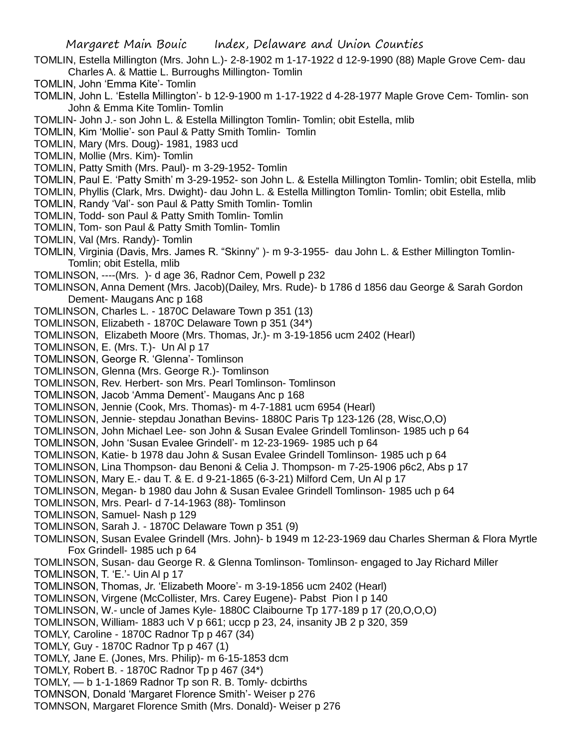- TOMLIN, Estella Millington (Mrs. John L.)- 2-8-1902 m 1-17-1922 d 12-9-1990 (88) Maple Grove Cem- dau Charles A. & Mattie L. Burroughs Millington- Tomlin
- TOMLIN, John 'Emma Kite'- Tomlin
- TOMLIN, John L. 'Estella Millington'- b 12-9-1900 m 1-17-1922 d 4-28-1977 Maple Grove Cem- Tomlin- son John & Emma Kite Tomlin- Tomlin
- TOMLIN- John J.- son John L. & Estella Millington Tomlin- Tomlin; obit Estella, mlib
- TOMLIN, Kim 'Mollie'- son Paul & Patty Smith Tomlin- Tomlin
- TOMLIN, Mary (Mrs. Doug)- 1981, 1983 ucd
- TOMLIN, Mollie (Mrs. Kim)- Tomlin
- TOMLIN, Patty Smith (Mrs. Paul)- m 3-29-1952- Tomlin
- TOMLIN, Paul E. 'Patty Smith' m 3-29-1952- son John L. & Estella Millington Tomlin- Tomlin; obit Estella, mlib
- TOMLIN, Phyllis (Clark, Mrs. Dwight)- dau John L. & Estella Millington Tomlin- Tomlin; obit Estella, mlib
- TOMLIN, Randy 'Val'- son Paul & Patty Smith Tomlin- Tomlin
- TOMLIN, Todd- son Paul & Patty Smith Tomlin- Tomlin
- TOMLIN, Tom- son Paul & Patty Smith Tomlin- Tomlin
- TOMLIN, Val (Mrs. Randy)- Tomlin
- TOMLIN, Virginia (Davis, Mrs. James R. "Skinny" )- m 9-3-1955- dau John L. & Esther Millington Tomlin-Tomlin; obit Estella, mlib
- TOMLINSON, ----(Mrs. )- d age 36, Radnor Cem, Powell p 232
- TOMLINSON, Anna Dement (Mrs. Jacob)(Dailey, Mrs. Rude)- b 1786 d 1856 dau George & Sarah Gordon Dement- Maugans Anc p 168
- TOMLINSON, Charles L. 1870C Delaware Town p 351 (13)
- TOMLINSON, Elizabeth 1870C Delaware Town p 351 (34\*)
- TOMLINSON, Elizabeth Moore (Mrs. Thomas, Jr.)- m 3-19-1856 ucm 2402 (Hearl)
- TOMLINSON, E. (Mrs. T.)- Un Al p 17
- TOMLINSON, George R. 'Glenna'- Tomlinson
- TOMLINSON, Glenna (Mrs. George R.)- Tomlinson
- TOMLINSON, Rev. Herbert- son Mrs. Pearl Tomlinson- Tomlinson
- TOMLINSON, Jacob 'Amma Dement'- Maugans Anc p 168
- TOMLINSON, Jennie (Cook, Mrs. Thomas)- m 4-7-1881 ucm 6954 (Hearl)
- TOMLINSON, Jennie- stepdau Jonathan Bevins- 1880C Paris Tp 123-126 (28, Wisc,O,O)
- TOMLINSON, John Michael Lee- son John & Susan Evalee Grindell Tomlinson- 1985 uch p 64
- TOMLINSON, John 'Susan Evalee Grindell'- m 12-23-1969- 1985 uch p 64
- TOMLINSON, Katie- b 1978 dau John & Susan Evalee Grindell Tomlinson- 1985 uch p 64
- TOMLINSON, Lina Thompson- dau Benoni & Celia J. Thompson- m 7-25-1906 p6c2, Abs p 17
- TOMLINSON, Mary E.- dau T. & E. d 9-21-1865 (6-3-21) Milford Cem, Un Al p 17
- TOMLINSON, Megan- b 1980 dau John & Susan Evalee Grindell Tomlinson- 1985 uch p 64
- TOMLINSON, Mrs. Pearl- d 7-14-1963 (88)- Tomlinson
- TOMLINSON, Samuel- Nash p 129
- TOMLINSON, Sarah J. 1870C Delaware Town p 351 (9)
- TOMLINSON, Susan Evalee Grindell (Mrs. John)- b 1949 m 12-23-1969 dau Charles Sherman & Flora Myrtle Fox Grindell- 1985 uch p 64
- TOMLINSON, Susan- dau George R. & Glenna Tomlinson- Tomlinson- engaged to Jay Richard Miller
- TOMLINSON, T. 'E.'- Uin Al p 17
- TOMLINSON, Thomas, Jr. 'Elizabeth Moore'- m 3-19-1856 ucm 2402 (Hearl)
- TOMLINSON, Virgene (McCollister, Mrs. Carey Eugene)- Pabst Pion I p 140
- TOMLINSON, W.- uncle of James Kyle- 1880C Claibourne Tp 177-189 p 17 (20,O,O,O)
- TOMLINSON, William- 1883 uch V p 661; uccp p 23, 24, insanity JB 2 p 320, 359
- TOMLY, Caroline 1870C Radnor Tp p 467 (34)
- TOMLY, Guy 1870C Radnor Tp p 467 (1)
- TOMLY, Jane E. (Jones, Mrs. Philip)- m 6-15-1853 dcm
- TOMLY, Robert B. 1870C Radnor Tp p 467 (34\*)
- TOMLY, b 1-1-1869 Radnor Tp son R. B. Tomly- dcbirths
- TOMNSON, Donald 'Margaret Florence Smith'- Weiser p 276
- TOMNSON, Margaret Florence Smith (Mrs. Donald)- Weiser p 276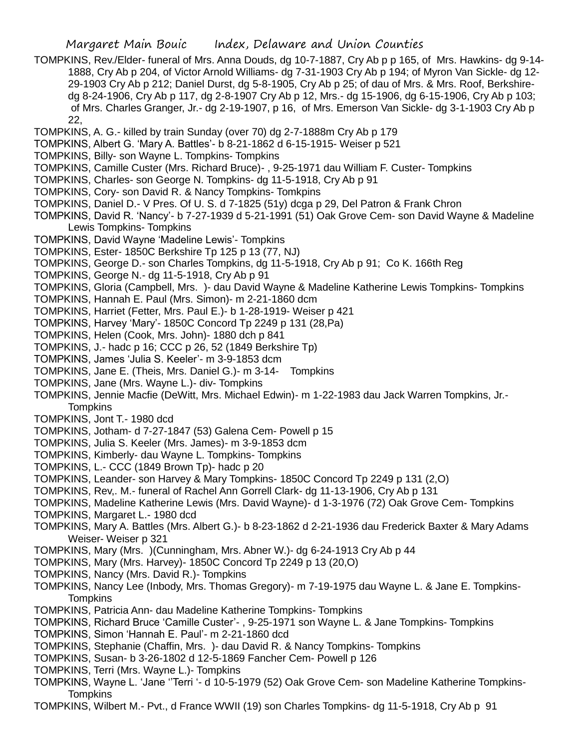- TOMPKINS, Rev./Elder- funeral of Mrs. Anna Douds, dg 10-7-1887, Cry Ab p p 165, of Mrs. Hawkins- dg 9-14- 1888, Cry Ab p 204, of Victor Arnold Williams- dg 7-31-1903 Cry Ab p 194; of Myron Van Sickle- dg 12- 29-1903 Cry Ab p 212; Daniel Durst, dg 5-8-1905, Cry Ab p 25; of dau of Mrs. & Mrs. Roof, Berkshiredg 8-24-1906, Cry Ab p 117, dg 2-8-1907 Cry Ab p 12, Mrs.- dg 15-1906, dg 6-15-1906, Cry Ab p 103; of Mrs. Charles Granger, Jr.- dg 2-19-1907, p 16, of Mrs. Emerson Van Sickle- dg 3-1-1903 Cry Ab p 22,
- TOMPKINS, A. G.- killed by train Sunday (over 70) dg 2-7-1888m Cry Ab p 179
- TOMPKINS, Albert G. 'Mary A. Battles'- b 8-21-1862 d 6-15-1915- Weiser p 521
- TOMPKINS, Billy- son Wayne L. Tompkins- Tompkins
- TOMPKINS, Camille Custer (Mrs. Richard Bruce)- , 9-25-1971 dau William F. Custer- Tompkins
- TOMPKINS, Charles- son George N. Tompkins- dg 11-5-1918, Cry Ab p 91
- TOMPKINS, Cory- son David R. & Nancy Tompkins- Tomkpins
- TOMPKINS, Daniel D.- V Pres. Of U. S. d 7-1825 (51y) dcga p 29, Del Patron & Frank Chron
- TOMPKINS, David R. 'Nancy'- b 7-27-1939 d 5-21-1991 (51) Oak Grove Cem- son David Wayne & Madeline Lewis Tompkins- Tompkins
- TOMPKINS, David Wayne 'Madeline Lewis'- Tompkins
- TOMPKINS, Ester- 1850C Berkshire Tp 125 p 13 (77, NJ)
- TOMPKINS, George D.- son Charles Tompkins, dg 11-5-1918, Cry Ab p 91; Co K. 166th Reg
- TOMPKINS, George N.- dg 11-5-1918, Cry Ab p 91
- TOMPKINS, Gloria (Campbell, Mrs. )- dau David Wayne & Madeline Katherine Lewis Tompkins- Tompkins
- TOMPKINS, Hannah E. Paul (Mrs. Simon)- m 2-21-1860 dcm
- TOMPKINS, Harriet (Fetter, Mrs. Paul E.)- b 1-28-1919- Weiser p 421
- TOMPKINS, Harvey 'Mary'- 1850C Concord Tp 2249 p 131 (28,Pa)
- TOMPKINS, Helen (Cook, Mrs. John)- 1880 dch p 841
- TOMPKINS, J.- hadc p 16; CCC p 26, 52 (1849 Berkshire Tp)
- TOMPKINS, James 'Julia S. Keeler'- m 3-9-1853 dcm
- TOMPKINS, Jane E. (Theis, Mrs. Daniel G.)- m 3-14- Tompkins
- TOMPKINS, Jane (Mrs. Wayne L.)- div- Tompkins
- TOMPKINS, Jennie Macfie (DeWitt, Mrs. Michael Edwin)- m 1-22-1983 dau Jack Warren Tompkins, Jr.- **Tompkins**
- TOMPKINS, Jont T.- 1980 dcd
- TOMPKINS, Jotham- d 7-27-1847 (53) Galena Cem- Powell p 15
- TOMPKINS, Julia S. Keeler (Mrs. James)- m 3-9-1853 dcm
- TOMPKINS, Kimberly- dau Wayne L. Tompkins- Tompkins
- TOMPKINS, L.- CCC (1849 Brown Tp)- hadc p 20
- TOMPKINS, Leander- son Harvey & Mary Tompkins- 1850C Concord Tp 2249 p 131 (2,O)
- TOMPKINS, Rev,. M.- funeral of Rachel Ann Gorrell Clark- dg 11-13-1906, Cry Ab p 131
- TOMPKINS, Madeline Katherine Lewis (Mrs. David Wayne)- d 1-3-1976 (72) Oak Grove Cem- Tompkins
- TOMPKINS, Margaret L.- 1980 dcd
- TOMPKINS, Mary A. Battles (Mrs. Albert G.)- b 8-23-1862 d 2-21-1936 dau Frederick Baxter & Mary Adams Weiser- Weiser p 321
- TOMPKINS, Mary (Mrs. )(Cunningham, Mrs. Abner W.)- dg 6-24-1913 Cry Ab p 44
- TOMPKINS, Mary (Mrs. Harvey)- 1850C Concord Tp 2249 p 13 (20,O)
- TOMPKINS, Nancy (Mrs. David R.)- Tompkins
- TOMPKINS, Nancy Lee (Inbody, Mrs. Thomas Gregory)- m 7-19-1975 dau Wayne L. & Jane E. Tompkins-**Tompkins**
- TOMPKINS, Patricia Ann- dau Madeline Katherine Tompkins- Tompkins
- TOMPKINS, Richard Bruce 'Camille Custer'- , 9-25-1971 son Wayne L. & Jane Tompkins- Tompkins
- TOMPKINS, Simon 'Hannah E. Paul'- m 2-21-1860 dcd
- TOMPKINS, Stephanie (Chaffin, Mrs. )- dau David R. & Nancy Tompkins- Tompkins
- TOMPKINS, Susan- b 3-26-1802 d 12-5-1869 Fancher Cem- Powell p 126
- TOMPKINS, Terri (Mrs. Wayne L.)- Tompkins
- TOMPKINS, Wayne L. 'Jane ''Terri '- d 10-5-1979 (52) Oak Grove Cem- son Madeline Katherine Tompkins-**Tompkins**
- TOMPKINS, Wilbert M.- Pvt., d France WWII (19) son Charles Tompkins- dg 11-5-1918, Cry Ab p 91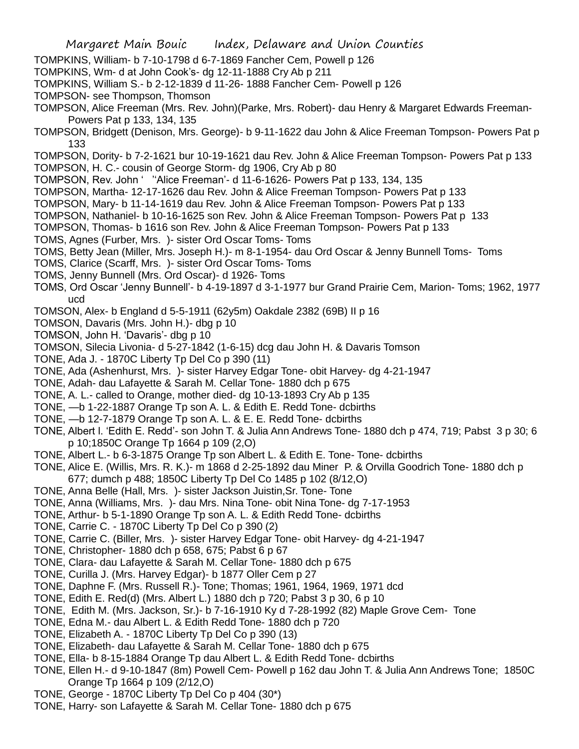- TOMPKINS, William- b 7-10-1798 d 6-7-1869 Fancher Cem, Powell p 126
- TOMPKINS, Wm- d at John Cook's- dg 12-11-1888 Cry Ab p 211
- TOMPKINS, William S.- b 2-12-1839 d 11-26- 1888 Fancher Cem- Powell p 126
- TOMPSON- see Thompson, Thomson
- TOMPSON, Alice Freeman (Mrs. Rev. John)(Parke, Mrs. Robert)- dau Henry & Margaret Edwards Freeman-Powers Pat p 133, 134, 135
- TOMPSON, Bridgett (Denison, Mrs. George)- b 9-11-1622 dau John & Alice Freeman Tompson- Powers Pat p 133
- TOMPSON, Dority- b 7-2-1621 bur 10-19-1621 dau Rev. John & Alice Freeman Tompson- Powers Pat p 133 TOMPSON, H. C.- cousin of George Storm- dg 1906, Cry Ab p 80
- TOMPSON, Rev. John ' ''Alice Freeman'- d 11-6-1626- Powers Pat p 133, 134, 135
- TOMPSON, Martha- 12-17-1626 dau Rev. John & Alice Freeman Tompson- Powers Pat p 133
- TOMPSON, Mary- b 11-14-1619 dau Rev. John & Alice Freeman Tompson- Powers Pat p 133
- TOMPSON, Nathaniel- b 10-16-1625 son Rev. John & Alice Freeman Tompson- Powers Pat p 133
- TOMPSON, Thomas- b 1616 son Rev. John & Alice Freeman Tompson- Powers Pat p 133
- TOMS, Agnes (Furber, Mrs. )- sister Ord Oscar Toms- Toms
- TOMS, Betty Jean (Miller, Mrs. Joseph H.)- m 8-1-1954- dau Ord Oscar & Jenny Bunnell Toms- Toms
- TOMS, Clarice (Scarff, Mrs. )- sister Ord Oscar Toms- Toms
- TOMS, Jenny Bunnell (Mrs. Ord Oscar)- d 1926- Toms
- TOMS, Ord Oscar 'Jenny Bunnell'- b 4-19-1897 d 3-1-1977 bur Grand Prairie Cem, Marion- Toms; 1962, 1977 ucd
- TOMSON, Alex- b England d 5-5-1911 (62y5m) Oakdale 2382 (69B) II p 16
- TOMSON, Davaris (Mrs. John H.)- dbg p 10
- TOMSON, John H. 'Davaris'- dbg p 10
- TOMSON, Silecia Livonia- d 5-27-1842 (1-6-15) dcg dau John H. & Davaris Tomson
- TONE, Ada J. 1870C Liberty Tp Del Co p 390 (11)
- TONE, Ada (Ashenhurst, Mrs. )- sister Harvey Edgar Tone- obit Harvey- dg 4-21-1947
- TONE, Adah- dau Lafayette & Sarah M. Cellar Tone- 1880 dch p 675
- TONE, A. L.- called to Orange, mother died- dg 10-13-1893 Cry Ab p 135
- TONE, —b 1-22-1887 Orange Tp son A. L. & Edith E. Redd Tone- dcbirths
- TONE, —b 12-7-1879 Orange Tp son A. L. & E. E. Redd Tone- dcbirths
- TONE, Albert l. 'Edith E. Redd'- son John T. & Julia Ann Andrews Tone- 1880 dch p 474, 719; Pabst 3 p 30; 6 p 10;1850C Orange Tp 1664 p 109 (2,O)
- TONE, Albert L.- b 6-3-1875 Orange Tp son Albert L. & Edith E. Tone- Tone- dcbirths
- TONE, Alice E. (Willis, Mrs. R. K.)- m 1868 d 2-25-1892 dau Miner P. & Orvilla Goodrich Tone- 1880 dch p 677; dumch p 488; 1850C Liberty Tp Del Co 1485 p 102 (8/12,O)
- TONE, Anna Belle (Hall, Mrs. )- sister Jackson Juistin,Sr. Tone- Tone
- TONE, Anna (Williams, Mrs. )- dau Mrs. Nina Tone- obit Nina Tone- dg 7-17-1953
- TONE, Arthur- b 5-1-1890 Orange Tp son A. L. & Edith Redd Tone- dcbirths
- TONE, Carrie C. 1870C Liberty Tp Del Co p 390 (2)
- TONE, Carrie C. (Biller, Mrs. )- sister Harvey Edgar Tone- obit Harvey- dg 4-21-1947
- TONE, Christopher- 1880 dch p 658, 675; Pabst 6 p 67
- TONE, Clara- dau Lafayette & Sarah M. Cellar Tone- 1880 dch p 675
- TONE, Curilla J. (Mrs. Harvey Edgar)- b 1877 Oller Cem p 27
- TONE, Daphne F. (Mrs. Russell R.)- Tone; Thomas; 1961, 1964, 1969, 1971 dcd
- TONE, Edith E. Red(d) (Mrs. Albert L.) 1880 dch p 720; Pabst 3 p 30, 6 p 10
- TONE, Edith M. (Mrs. Jackson, Sr.)- b 7-16-1910 Ky d 7-28-1992 (82) Maple Grove Cem- Tone
- TONE, Edna M.- dau Albert L. & Edith Redd Tone- 1880 dch p 720
- TONE, Elizabeth A. 1870C Liberty Tp Del Co p 390 (13)
- TONE, Elizabeth- dau Lafayette & Sarah M. Cellar Tone- 1880 dch p 675
- TONE, Ella- b 8-15-1884 Orange Tp dau Albert L. & Edith Redd Tone- dcbirths
- TONE, Ellen H.- d 9-10-1847 (8m) Powell Cem- Powell p 162 dau John T. & Julia Ann Andrews Tone; 1850C Orange Tp 1664 p 109 (2/12,O)
- TONE, George 1870C Liberty Tp Del Co p 404 (30\*)
- TONE, Harry- son Lafayette & Sarah M. Cellar Tone- 1880 dch p 675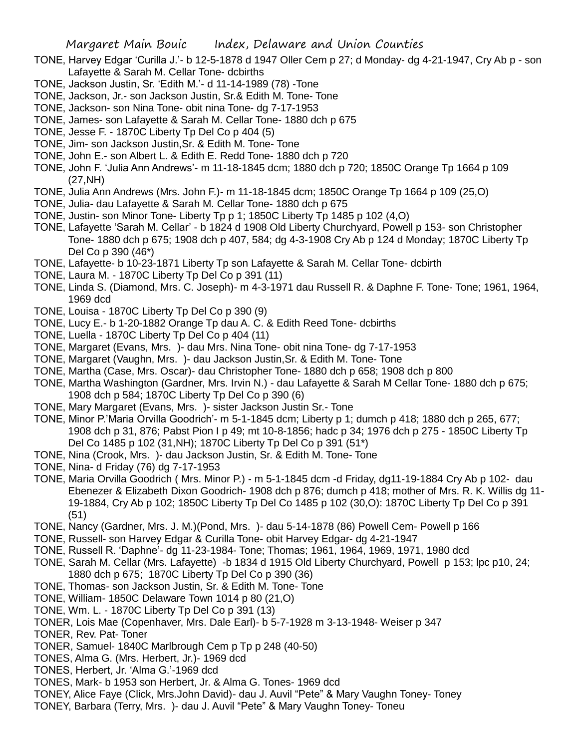- TONE, Harvey Edgar 'Curilla J.'- b 12-5-1878 d 1947 Oller Cem p 27; d Monday- dg 4-21-1947, Cry Ab p son Lafayette & Sarah M. Cellar Tone- dcbirths
- TONE, Jackson Justin, Sr. 'Edith M.'- d 11-14-1989 (78) -Tone
- TONE, Jackson, Jr.- son Jackson Justin, Sr.& Edith M. Tone- Tone
- TONE, Jackson- son Nina Tone- obit nina Tone- dg 7-17-1953
- TONE, James- son Lafayette & Sarah M. Cellar Tone- 1880 dch p 675
- TONE, Jesse F. 1870C Liberty Tp Del Co p 404 (5)
- TONE, Jim- son Jackson Justin,Sr. & Edith M. Tone- Tone
- TONE, John E.- son Albert L. & Edith E. Redd Tone- 1880 dch p 720
- TONE, John F. 'Julia Ann Andrews'- m 11-18-1845 dcm; 1880 dch p 720; 1850C Orange Tp 1664 p 109 (27,NH)
- TONE, Julia Ann Andrews (Mrs. John F.)- m 11-18-1845 dcm; 1850C Orange Tp 1664 p 109 (25,O)
- TONE, Julia- dau Lafayette & Sarah M. Cellar Tone- 1880 dch p 675
- TONE, Justin- son Minor Tone- Liberty Tp p 1; 1850C Liberty Tp 1485 p 102 (4,O)
- TONE, Lafayette 'Sarah M. Cellar' b 1824 d 1908 Old Liberty Churchyard, Powell p 153- son Christopher Tone- 1880 dch p 675; 1908 dch p 407, 584; dg 4-3-1908 Cry Ab p 124 d Monday; 1870C Liberty Tp Del Co p 390 (46\*)
- TONE, Lafayette- b 10-23-1871 Liberty Tp son Lafayette & Sarah M. Cellar Tone- dcbirth
- TONE, Laura M. 1870C Liberty Tp Del Co p 391 (11)
- TONE, Linda S. (Diamond, Mrs. C. Joseph)- m 4-3-1971 dau Russell R. & Daphne F. Tone- Tone; 1961, 1964, 1969 dcd
- TONE, Louisa 1870C Liberty Tp Del Co p 390 (9)
- TONE, Lucy E.- b 1-20-1882 Orange Tp dau A. C. & Edith Reed Tone- dcbirths
- TONE, Luella 1870C Liberty Tp Del Co p 404 (11)
- TONE, Margaret (Evans, Mrs. )- dau Mrs. Nina Tone- obit nina Tone- dg 7-17-1953
- TONE, Margaret (Vaughn, Mrs. )- dau Jackson Justin,Sr. & Edith M. Tone- Tone
- TONE, Martha (Case, Mrs. Oscar)- dau Christopher Tone- 1880 dch p 658; 1908 dch p 800
- TONE, Martha Washington (Gardner, Mrs. Irvin N.) dau Lafayette & Sarah M Cellar Tone- 1880 dch p 675; 1908 dch p 584; 1870C Liberty Tp Del Co p 390 (6)
- TONE, Mary Margaret (Evans, Mrs. )- sister Jackson Justin Sr.- Tone
- TONE, Minor P.'Maria Orvilla Goodrich'- m 5-1-1845 dcm; Liberty p 1; dumch p 418; 1880 dch p 265, 677; 1908 dch p 31, 876; Pabst Pion I p 49; mt 10-8-1856; hadc p 34; 1976 dch p 275 - 1850C Liberty Tp Del Co 1485 p 102 (31,NH); 1870C Liberty Tp Del Co p 391 (51\*)
- TONE, Nina (Crook, Mrs. )- dau Jackson Justin, Sr. & Edith M. Tone- Tone
- TONE, Nina- d Friday (76) dg 7-17-1953
- TONE, Maria Orvilla Goodrich ( Mrs. Minor P.) m 5-1-1845 dcm -d Friday, dg11-19-1884 Cry Ab p 102- dau Ebenezer & Elizabeth Dixon Goodrich- 1908 dch p 876; dumch p 418; mother of Mrs. R. K. Willis dg 11- 19-1884, Cry Ab p 102; 1850C Liberty Tp Del Co 1485 p 102 (30,O): 1870C Liberty Tp Del Co p 391 (51)
- TONE, Nancy (Gardner, Mrs. J. M.)(Pond, Mrs. )- dau 5-14-1878 (86) Powell Cem- Powell p 166
- TONE, Russell- son Harvey Edgar & Curilla Tone- obit Harvey Edgar- dg 4-21-1947
- TONE, Russell R. 'Daphne'- dg 11-23-1984- Tone; Thomas; 1961, 1964, 1969, 1971, 1980 dcd
- TONE, Sarah M. Cellar (Mrs. Lafayette) -b 1834 d 1915 Old Liberty Churchyard, Powell p 153; lpc p10, 24; 1880 dch p 675; 1870C Liberty Tp Del Co p 390 (36)
- TONE, Thomas- son Jackson Justin, Sr. & Edith M. Tone- Tone
- TONE, William- 1850C Delaware Town 1014 p 80 (21,O)
- TONE, Wm. L. 1870C Liberty Tp Del Co p 391 (13)
- TONER, Lois Mae (Copenhaver, Mrs. Dale Earl)- b 5-7-1928 m 3-13-1948- Weiser p 347
- TONER, Rev. Pat- Toner
- TONER, Samuel- 1840C Marlbrough Cem p Tp p 248 (40-50)
- TONES, Alma G. (Mrs. Herbert, Jr.)- 1969 dcd
- TONES, Herbert, Jr. 'Alma G.'-1969 dcd
- TONES, Mark- b 1953 son Herbert, Jr. & Alma G. Tones- 1969 dcd
- TONEY, Alice Faye (Click, Mrs.John David)- dau J. Auvil "Pete" & Mary Vaughn Toney- Toney
- TONEY, Barbara (Terry, Mrs. )- dau J. Auvil "Pete" & Mary Vaughn Toney- Toneu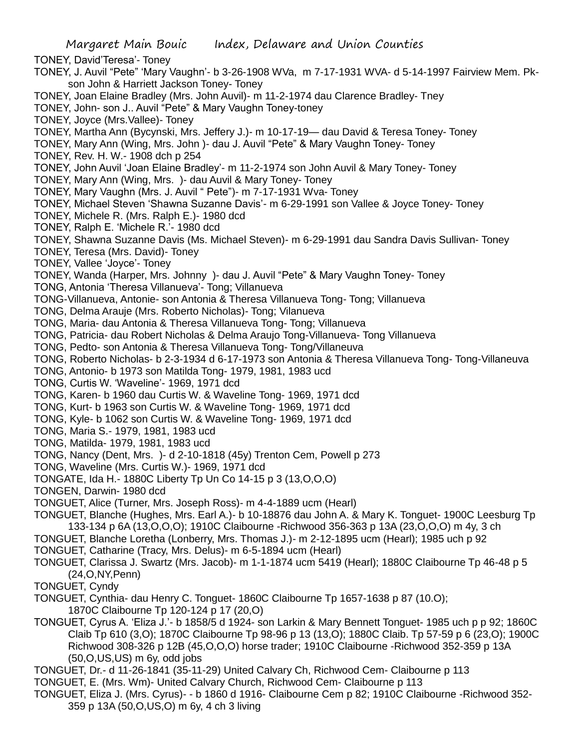Margaret Main Bouic Index, Delaware and Union Counties TONEY, David'Teresa'- Toney TONEY, J. Auvil "Pete" 'Mary Vaughn'- b 3-26-1908 WVa, m 7-17-1931 WVA- d 5-14-1997 Fairview Mem. Pkson John & Harriett Jackson Toney- Toney TONEY, Joan Elaine Bradley (Mrs. John Auvil)- m 11-2-1974 dau Clarence Bradley- Tney TONEY, John- son J.. Auvil "Pete" & Mary Vaughn Toney-toney TONEY, Joyce (Mrs.Vallee)- Toney TONEY, Martha Ann (Bycynski, Mrs. Jeffery J.)- m 10-17-19— dau David & Teresa Toney- Toney TONEY, Mary Ann (Wing, Mrs. John )- dau J. Auvil "Pete" & Mary Vaughn Toney- Toney TONEY, Rev. H. W.- 1908 dch p 254 TONEY, John Auvil 'Joan Elaine Bradley'- m 11-2-1974 son John Auvil & Mary Toney- Toney TONEY, Mary Ann (Wing, Mrs. )- dau Auvil & Mary Toney- Toney TONEY, Mary Vaughn (Mrs. J. Auvil " Pete")- m 7-17-1931 Wva- Toney TONEY, Michael Steven 'Shawna Suzanne Davis'- m 6-29-1991 son Vallee & Joyce Toney- Toney TONEY, Michele R. (Mrs. Ralph E.)- 1980 dcd TONEY, Ralph E. 'Michele R.'- 1980 dcd TONEY, Shawna Suzanne Davis (Ms. Michael Steven)- m 6-29-1991 dau Sandra Davis Sullivan- Toney TONEY, Teresa (Mrs. David)- Toney TONEY, Vallee 'Joyce'- Toney TONEY, Wanda (Harper, Mrs. Johnny )- dau J. Auvil "Pete" & Mary Vaughn Toney- Toney TONG, Antonia 'Theresa Villanueva'- Tong; Villanueva TONG-Villanueva, Antonie- son Antonia & Theresa Villanueva Tong- Tong; Villanueva TONG, Delma Arauje (Mrs. Roberto Nicholas)- Tong; Vilanueva TONG, Maria- dau Antonia & Theresa Villanueva Tong- Tong; Villanueva TONG, Patricia- dau Robert Nicholas & Delma Araujo Tong-Villanueva- Tong Villanueva TONG, Pedto- son Antonia & Theresa Villanueva Tong- Tong/Villaneuva TONG, Roberto Nicholas- b 2-3-1934 d 6-17-1973 son Antonia & Theresa Villanueva Tong- Tong-Villaneuva TONG, Antonio- b 1973 son Matilda Tong- 1979, 1981, 1983 ucd TONG, Curtis W. 'Waveline'- 1969, 1971 dcd TONG, Karen- b 1960 dau Curtis W. & Waveline Tong- 1969, 1971 dcd TONG, Kurt- b 1963 son Curtis W. & Waveline Tong- 1969, 1971 dcd TONG, Kyle- b 1062 son Curtis W. & Waveline Tong- 1969, 1971 dcd TONG, Maria S.- 1979, 1981, 1983 ucd TONG, Matilda- 1979, 1981, 1983 ucd TONG, Nancy (Dent, Mrs. )- d 2-10-1818 (45y) Trenton Cem, Powell p 273 TONG, Waveline (Mrs. Curtis W.)- 1969, 1971 dcd TONGATE, Ida H.- 1880C Liberty Tp Un Co 14-15 p 3 (13,O,O,O) TONGEN, Darwin- 1980 dcd TONGUET, Alice (Turner, Mrs. Joseph Ross)- m 4-4-1889 ucm (Hearl) TONGUET, Blanche (Hughes, Mrs. Earl A.)- b 10-18876 dau John A. & Mary K. Tonguet- 1900C Leesburg Tp 133-134 p 6A (13,O,O,O); 1910C Claibourne -Richwood 356-363 p 13A (23,O,O,O) m 4y, 3 ch TONGUET, Blanche Loretha (Lonberry, Mrs. Thomas J.)- m 2-12-1895 ucm (Hearl); 1985 uch p 92 TONGUET, Catharine (Tracy, Mrs. Delus)- m 6-5-1894 ucm (Hearl) TONGUET, Clarissa J. Swartz (Mrs. Jacob)- m 1-1-1874 ucm 5419 (Hearl); 1880C Claibourne Tp 46-48 p 5 (24,O,NY,Penn)

- TONGUET, Cyndy
- TONGUET, Cynthia- dau Henry C. Tonguet- 1860C Claibourne Tp 1657-1638 p 87 (10.O); 1870C Claibourne Tp 120-124 p 17 (20,O)
- TONGUET, Cyrus A. 'Eliza J.'- b 1858/5 d 1924- son Larkin & Mary Bennett Tonguet- 1985 uch p p 92; 1860C Claib Tp 610 (3,O); 1870C Claibourne Tp 98-96 p 13 (13,O); 1880C Claib. Tp 57-59 p 6 (23,O); 1900C Richwood 308-326 p 12B (45,O,O,O) horse trader; 1910C Claibourne -Richwood 352-359 p 13A (50,O,US,US) m 6y, odd jobs
- TONGUET, Dr.- d 11-26-1841 (35-11-29) United Calvary Ch, Richwood Cem- Claibourne p 113
- TONGUET, E. (Mrs. Wm)- United Calvary Church, Richwood Cem- Claibourne p 113
- TONGUET, Eliza J. (Mrs. Cyrus)- b 1860 d 1916- Claibourne Cem p 82; 1910C Claibourne -Richwood 352- 359 p 13A (50,O,US,O) m 6y, 4 ch 3 living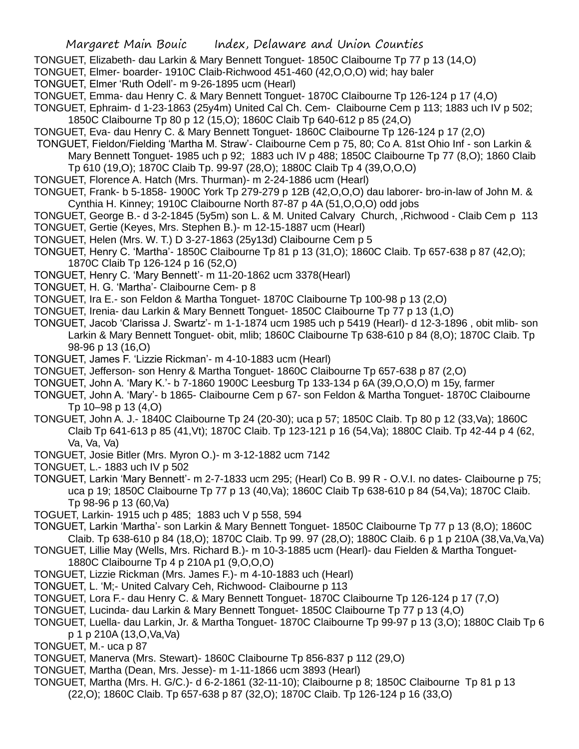- TONGUET, Elizabeth- dau Larkin & Mary Bennett Tonguet- 1850C Claibourne Tp 77 p 13 (14,O)
- TONGUET, Elmer- boarder- 1910C Claib-Richwood 451-460 (42,O,O,O) wid; hay baler
- TONGUET, Elmer 'Ruth Odell'- m 9-26-1895 ucm (Hearl)
- TONGUET, Emma- dau Henry C. & Mary Bennett Tonguet- 1870C Claibourne Tp 126-124 p 17 (4,O)
- TONGUET, Ephraim- d 1-23-1863 (25y4m) United Cal Ch. Cem- Claibourne Cem p 113; 1883 uch IV p 502; 1850C Claibourne Tp 80 p 12 (15,O); 1860C Claib Tp 640-612 p 85 (24,O)
- TONGUET, Eva- dau Henry C. & Mary Bennett Tonguet- 1860C Claibourne Tp 126-124 p 17 (2,O)
- TONGUET, Fieldon/Fielding 'Martha M. Straw'- Claibourne Cem p 75, 80; Co A. 81st Ohio Inf son Larkin &

Mary Bennett Tonguet- 1985 uch p 92; 1883 uch IV p 488; 1850C Claibourne Tp 77 (8,O); 1860 Claib Tp 610 (19,O); 1870C Claib Tp. 99-97 (28,O); 1880C Claib Tp 4 (39,O,O,O)

- TONGUET, Florence A. Hatch (Mrs. Thurman)- m 2-24-1886 ucm (Hearl)
- TONGUET, Frank- b 5-1858- 1900C York Tp 279-279 p 12B (42,O,O,O) dau laborer- bro-in-law of John M. & Cynthia H. Kinney; 1910C Claibourne North 87-87 p 4A (51,O,O,O) odd jobs
- TONGUET, George B.- d 3-2-1845 (5y5m) son L. & M. United Calvary Church, ,Richwood Claib Cem p 113
- TONGUET, Gertie (Keyes, Mrs. Stephen B.)- m 12-15-1887 ucm (Hearl)
- TONGUET, Helen (Mrs. W. T.) D 3-27-1863 (25y13d) Claibourne Cem p 5
- TONGUET, Henry C. 'Martha'- 1850C Claibourne Tp 81 p 13 (31,O); 1860C Claib. Tp 657-638 p 87 (42,O); 1870C Claib Tp 126-124 p 16 (52,O)
- TONGUET, Henry C. 'Mary Bennett'- m 11-20-1862 ucm 3378(Hearl)
- TONGUET, H. G. 'Martha'- Claibourne Cem- p 8
- TONGUET, Ira E.- son Feldon & Martha Tonguet- 1870C Claibourne Tp 100-98 p 13 (2,O)
- TONGUET, Irenia- dau Larkin & Mary Bennett Tonguet- 1850C Claibourne Tp 77 p 13 (1,O)
- TONGUET, Jacob 'Clarissa J. Swartz'- m 1-1-1874 ucm 1985 uch p 5419 (Hearl)- d 12-3-1896 , obit mlib- son Larkin & Mary Bennett Tonguet- obit, mlib; 1860C Claibourne Tp 638-610 p 84 (8,O); 1870C Claib. Tp 98-96 p 13 (16,O)
- TONGUET, James F. 'Lizzie Rickman'- m 4-10-1883 ucm (Hearl)
- TONGUET, Jefferson- son Henry & Martha Tonguet- 1860C Claibourne Tp 657-638 p 87 (2,O)
- TONGUET, John A. 'Mary K.'- b 7-1860 1900C Leesburg Tp 133-134 p 6A (39,O,O,O) m 15y, farmer
- TONGUET, John A. 'Mary'- b 1865- Claibourne Cem p 67- son Feldon & Martha Tonguet- 1870C Claibourne Tp 10–98 p 13 (4,O)

TONGUET, John A. J.- 1840C Claibourne Tp 24 (20-30); uca p 57; 1850C Claib. Tp 80 p 12 (33,Va); 1860C Claib Tp 641-613 p 85 (41,Vt); 1870C Claib. Tp 123-121 p 16 (54,Va); 1880C Claib. Tp 42-44 p 4 (62, Va, Va, Va)

- TONGUET, Josie Bitler (Mrs. Myron O.)- m 3-12-1882 ucm 7142
- TONGUET, L.- 1883 uch IV p 502
- TONGUET, Larkin 'Mary Bennett'- m 2-7-1833 ucm 295; (Hearl) Co B. 99 R O.V.I. no dates- Claibourne p 75; uca p 19; 1850C Claibourne Tp 77 p 13 (40,Va); 1860C Claib Tp 638-610 p 84 (54,Va); 1870C Claib. Tp 98-96 p 13 (60,Va)
- TOGUET, Larkin- 1915 uch p 485; 1883 uch V p 558, 594
- TONGUET, Larkin 'Martha'- son Larkin & Mary Bennett Tonguet- 1850C Claibourne Tp 77 p 13 (8,O); 1860C Claib. Tp 638-610 p 84 (18,O); 1870C Claib. Tp 99. 97 (28,O); 1880C Claib. 6 p 1 p 210A (38,Va,Va,Va)
- TONGUET, Lillie May (Wells, Mrs. Richard B.)- m 10-3-1885 ucm (Hearl)- dau Fielden & Martha Tonguet-1880C Claibourne Tp 4 p 210A p1 (9,O,O,O)
- TONGUET, Lizzie Rickman (Mrs. James F.)- m 4-10-1883 uch (Hearl)
- TONGUET, L. 'M;- United Calvary Ceh, Richwood- Claibourne p 113
- TONGUET, Lora F.- dau Henry C. & Mary Bennett Tonguet- 1870C Claibourne Tp 126-124 p 17 (7,O)
- TONGUET, Lucinda- dau Larkin & Mary Bennett Tonguet- 1850C Claibourne Tp 77 p 13 (4,O)
- TONGUET, Luella- dau Larkin, Jr. & Martha Tonguet- 1870C Claibourne Tp 99-97 p 13 (3,O); 1880C Claib Tp 6 p 1 p 210A (13,O,Va,Va)
- TONGUET, M.- uca p 87
- TONGUET, Manerva (Mrs. Stewart)- 1860C Claibourne Tp 856-837 p 112 (29,O)
- TONGUET, Martha (Dean, Mrs. Jesse)- m 1-11-1866 ucm 3893 (Hearl)
- TONGUET, Martha (Mrs. H. G/C.)- d 6-2-1861 (32-11-10); Claibourne p 8; 1850C Claibourne Tp 81 p 13 (22,O); 1860C Claib. Tp 657-638 p 87 (32,O); 1870C Claib. Tp 126-124 p 16 (33,O)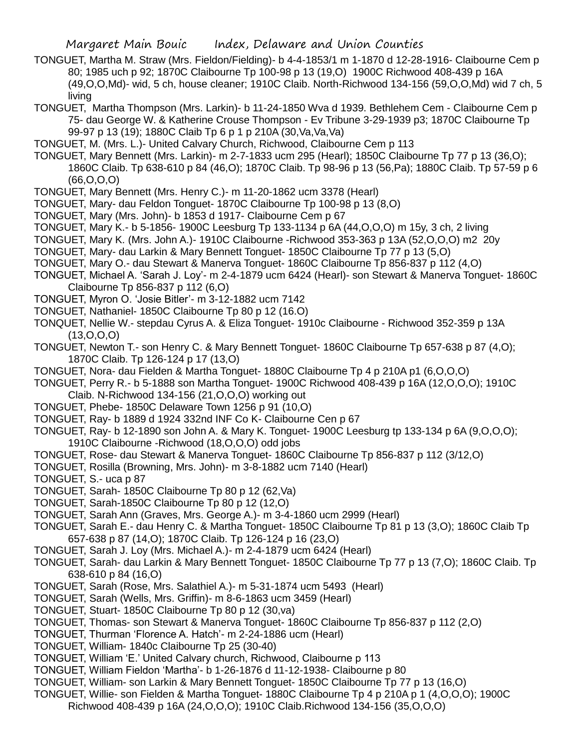- TONGUET, Martha M. Straw (Mrs. Fieldon/Fielding)- b 4-4-1853/1 m 1-1870 d 12-28-1916- Claibourne Cem p 80; 1985 uch p 92; 1870C Claibourne Tp 100-98 p 13 (19,O) 1900C Richwood 408-439 p 16A (49,O,O,Md)- wid, 5 ch, house cleaner; 1910C Claib. North-Richwood 134-156 (59,O,O,Md) wid 7 ch, 5 living
- TONGUET, Martha Thompson (Mrs. Larkin)- b 11-24-1850 Wva d 1939. Bethlehem Cem Claibourne Cem p 75- dau George W. & Katherine Crouse Thompson - Ev Tribune 3-29-1939 p3; 1870C Claibourne Tp 99-97 p 13 (19); 1880C Claib Tp 6 p 1 p 210A (30,Va,Va,Va)
- TONGUET, M. (Mrs. L.)- United Calvary Church, Richwood, Claibourne Cem p 113
- TONGUET, Mary Bennett (Mrs. Larkin)- m 2-7-1833 ucm 295 (Hearl); 1850C Claibourne Tp 77 p 13 (36,O); 1860C Claib. Tp 638-610 p 84 (46,O); 1870C Claib. Tp 98-96 p 13 (56,Pa); 1880C Claib. Tp 57-59 p 6 (66,O,O,O)
- TONGUET, Mary Bennett (Mrs. Henry C.)- m 11-20-1862 ucm 3378 (Hearl)
- TONGUET, Mary- dau Feldon Tonguet- 1870C Claibourne Tp 100-98 p 13 (8,O)
- TONGUET, Mary (Mrs. John)- b 1853 d 1917- Claibourne Cem p 67
- TONGUET, Mary K.- b 5-1856- 1900C Leesburg Tp 133-1134 p 6A (44,O,O,O) m 15y, 3 ch, 2 living
- TONGUET, Mary K. (Mrs. John A.)- 1910C Claibourne -Richwood 353-363 p 13A (52,O,O,O) m2 20y
- TONGUET, Mary- dau Larkin & Mary Bennett Tonguet- 1850C Claibourne Tp 77 p 13 (5,O)
- TONGUET, Mary O.- dau Stewart & Manerva Tonguet- 1860C Claibourne Tp 856-837 p 112 (4,O)
- TONGUET, Michael A. 'Sarah J. Loy'- m 2-4-1879 ucm 6424 (Hearl)- son Stewart & Manerva Tonguet- 1860C Claibourne Tp 856-837 p 112 (6,O)
- TONGUET, Myron O. 'Josie Bitler'- m 3-12-1882 ucm 7142
- TONGUET, Nathaniel- 1850C Claibourne Tp 80 p 12 (16.O)
- TONQUET, Nellie W.- stepdau Cyrus A. & Eliza Tonguet- 1910c Claibourne Richwood 352-359 p 13A (13,O,O,O)
- TONGUET, Newton T.- son Henry C. & Mary Bennett Tonguet- 1860C Claibourne Tp 657-638 p 87 (4,O); 1870C Claib. Tp 126-124 p 17 (13,O)
- TONGUET, Nora- dau Fielden & Martha Tonguet- 1880C Claibourne Tp 4 p 210A p1 (6,O,O,O)
- TONGUET, Perry R.- b 5-1888 son Martha Tonguet- 1900C Richwood 408-439 p 16A (12,O,O,O); 1910C Claib. N-Richwood 134-156 (21,O,O,O) working out
- TONGUET, Phebe- 1850C Delaware Town 1256 p 91 (10,O)
- TONGUET, Ray- b 1889 d 1924 332nd INF Co K- Claibourne Cen p 67
- TONGUET, Ray- b 12-1890 son John A. & Mary K. Tonguet- 1900C Leesburg tp 133-134 p 6A (9,O,O,O); 1910C Claibourne -Richwood (18,O,O,O) odd jobs
- TONGUET, Rose- dau Stewart & Manerva Tonguet- 1860C Claibourne Tp 856-837 p 112 (3/12,O)
- TONGUET, Rosilla (Browning, Mrs. John)- m 3-8-1882 ucm 7140 (Hearl)
- TONGUET, S.- uca p 87
- TONGUET, Sarah- 1850C Claibourne Tp 80 p 12 (62,Va)
- TONGUET, Sarah-1850C Claibourne Tp 80 p 12 (12,O)
- TONGUET, Sarah Ann (Graves, Mrs. George A.)- m 3-4-1860 ucm 2999 (Hearl)
- TONGUET, Sarah E.- dau Henry C. & Martha Tonguet- 1850C Claibourne Tp 81 p 13 (3,O); 1860C Claib Tp 657-638 p 87 (14,O); 1870C Claib. Tp 126-124 p 16 (23,O)
- TONGUET, Sarah J. Loy (Mrs. Michael A.)- m 2-4-1879 ucm 6424 (Hearl)
- TONGUET, Sarah- dau Larkin & Mary Bennett Tonguet- 1850C Claibourne Tp 77 p 13 (7,O); 1860C Claib. Tp 638-610 p 84 (16,O)
- TONGUET, Sarah (Rose, Mrs. Salathiel A.)- m 5-31-1874 ucm 5493 (Hearl)
- TONGUET, Sarah (Wells, Mrs. Griffin)- m 8-6-1863 ucm 3459 (Hearl)
- TONGUET, Stuart- 1850C Claibourne Tp 80 p 12 (30,va)
- TONGUET, Thomas- son Stewart & Manerva Tonguet- 1860C Claibourne Tp 856-837 p 112 (2,O)
- TONGUET, Thurman 'Florence A. Hatch'- m 2-24-1886 ucm (Hearl)
- TONGUET, William- 1840c Claibourne Tp 25 (30-40)
- TONGUET, William 'E.' United Calvary church, Richwood, Claibourne p 113
- TONGUET, William Fieldon 'Martha'- b 1-26-1876 d 11-12-1938- Claibourne p 80
- TONGUET, William- son Larkin & Mary Bennett Tonguet- 1850C Claibourne Tp 77 p 13 (16,O)
- TONGUET, Willie- son Fielden & Martha Tonguet- 1880C Claibourne Tp 4 p 210A p 1 (4,O,O,O); 1900C Richwood 408-439 p 16A (24,O,O,O); 1910C Claib.Richwood 134-156 (35,O,O,O)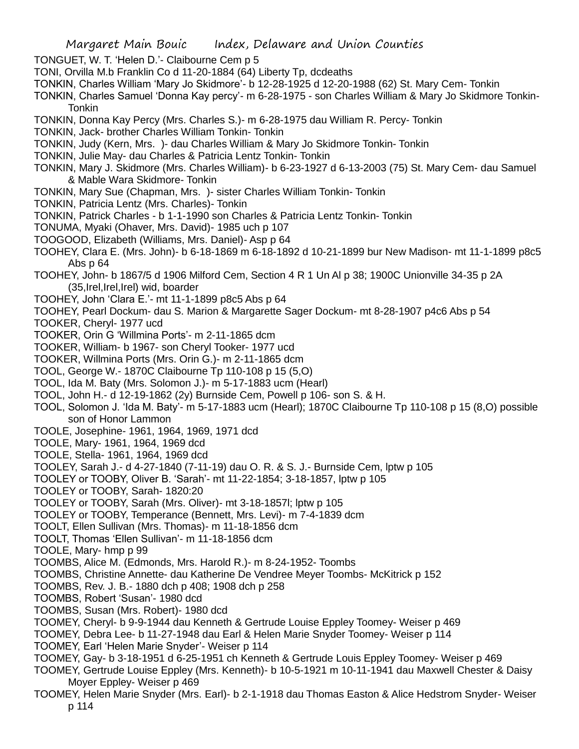- TONGUET, W. T. 'Helen D.'- Claibourne Cem p 5
- TONI, Orvilla M.b Franklin Co d 11-20-1884 (64) Liberty Tp, dcdeaths
- TONKIN, Charles William 'Mary Jo Skidmore'- b 12-28-1925 d 12-20-1988 (62) St. Mary Cem- Tonkin
- TONKIN, Charles Samuel 'Donna Kay percy'- m 6-28-1975 son Charles William & Mary Jo Skidmore Tonkin-**Tonkin**
- TONKIN, Donna Kay Percy (Mrs. Charles S.)- m 6-28-1975 dau William R. Percy- Tonkin
- TONKIN, Jack- brother Charles William Tonkin- Tonkin
- TONKIN, Judy (Kern, Mrs. )- dau Charles William & Mary Jo Skidmore Tonkin- Tonkin
- TONKIN, Julie May- dau Charles & Patricia Lentz Tonkin- Tonkin
- TONKIN, Mary J. Skidmore (Mrs. Charles William)- b 6-23-1927 d 6-13-2003 (75) St. Mary Cem- dau Samuel & Mable Wara Skidmore- Tonkin
- TONKIN, Mary Sue (Chapman, Mrs. )- sister Charles William Tonkin- Tonkin
- TONKIN, Patricia Lentz (Mrs. Charles)- Tonkin
- TONKIN, Patrick Charles b 1-1-1990 son Charles & Patricia Lentz Tonkin- Tonkin
- TONUMA, Myaki (Ohaver, Mrs. David)- 1985 uch p 107
- TOOGOOD, Elizabeth (Williams, Mrs. Daniel)- Asp p 64
- TOOHEY, Clara E. (Mrs. John)- b 6-18-1869 m 6-18-1892 d 10-21-1899 bur New Madison- mt 11-1-1899 p8c5 Abs p 64
- TOOHEY, John- b 1867/5 d 1906 Milford Cem, Section 4 R 1 Un Al p 38; 1900C Unionville 34-35 p 2A (35,Irel,Irel,Irel) wid, boarder
- TOOHEY, John 'Clara E.'- mt 11-1-1899 p8c5 Abs p 64
- TOOHEY, Pearl Dockum- dau S. Marion & Margarette Sager Dockum- mt 8-28-1907 p4c6 Abs p 54
- TOOKER, Cheryl- 1977 ucd
- TOOKER, Orin G 'Willmina Ports'- m 2-11-1865 dcm
- TOOKER, William- b 1967- son Cheryl Tooker- 1977 ucd
- TOOKER, Willmina Ports (Mrs. Orin G.)- m 2-11-1865 dcm
- TOOL, George W.- 1870C Claibourne Tp 110-108 p 15 (5,O)
- TOOL, Ida M. Baty (Mrs. Solomon J.)- m 5-17-1883 ucm (Hearl)
- TOOL, John H.- d 12-19-1862 (2y) Burnside Cem, Powell p 106- son S. & H.
- TOOL, Solomon J. 'Ida M. Baty'- m 5-17-1883 ucm (Hearl); 1870C Claibourne Tp 110-108 p 15 (8,O) possible son of Honor Lammon
- TOOLE, Josephine- 1961, 1964, 1969, 1971 dcd
- TOOLE, Mary- 1961, 1964, 1969 dcd
- TOOLE, Stella- 1961, 1964, 1969 dcd
- TOOLEY, Sarah J.- d 4-27-1840 (7-11-19) dau O. R. & S. J.- Burnside Cem, lptw p 105
- TOOLEY or TOOBY, Oliver B. 'Sarah'- mt 11-22-1854; 3-18-1857, lptw p 105
- TOOLEY or TOOBY, Sarah- 1820:20
- TOOLEY or TOOBY, Sarah (Mrs. Oliver)- mt 3-18-1857l; lptw p 105
- TOOLEY or TOOBY, Temperance (Bennett, Mrs. Levi)- m 7-4-1839 dcm
- TOOLT, Ellen Sullivan (Mrs. Thomas)- m 11-18-1856 dcm
- TOOLT, Thomas 'Ellen Sullivan'- m 11-18-1856 dcm
- TOOLE, Mary- hmp p 99
- TOOMBS, Alice M. (Edmonds, Mrs. Harold R.)- m 8-24-1952- Toombs
- TOOMBS, Christine Annette- dau Katherine De Vendree Meyer Toombs- McKitrick p 152
- TOOMBS, Rev. J. B.- 1880 dch p 408; 1908 dch p 258
- TOOMBS, Robert 'Susan'- 1980 dcd
- TOOMBS, Susan (Mrs. Robert)- 1980 dcd
- TOOMEY, Cheryl- b 9-9-1944 dau Kenneth & Gertrude Louise Eppley Toomey- Weiser p 469
- TOOMEY, Debra Lee- b 11-27-1948 dau Earl & Helen Marie Snyder Toomey- Weiser p 114
- TOOMEY, Earl 'Helen Marie Snyder'- Weiser p 114
- TOOMEY, Gay- b 3-18-1951 d 6-25-1951 ch Kenneth & Gertrude Louis Eppley Toomey- Weiser p 469
- TOOMEY, Gertrude Louise Eppley (Mrs. Kenneth)- b 10-5-1921 m 10-11-1941 dau Maxwell Chester & Daisy Moyer Eppley- Weiser p 469
- TOOMEY, Helen Marie Snyder (Mrs. Earl)- b 2-1-1918 dau Thomas Easton & Alice Hedstrom Snyder- Weiser p 114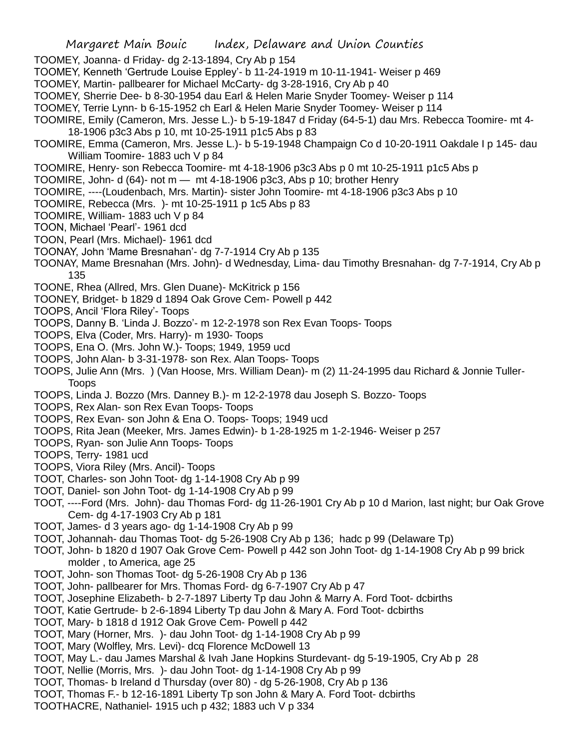TOOMEY, Joanna- d Friday- dg 2-13-1894, Cry Ab p 154

- TOOMEY, Kenneth 'Gertrude Louise Eppley'- b 11-24-1919 m 10-11-1941- Weiser p 469
- TOOMEY, Martin- pallbearer for Michael McCarty- dg 3-28-1916, Cry Ab p 40
- TOOMEY, Sherrie Dee- b 8-30-1954 dau Earl & Helen Marie Snyder Toomey- Weiser p 114
- TOOMEY, Terrie Lynn- b 6-15-1952 ch Earl & Helen Marie Snyder Toomey- Weiser p 114
- TOOMIRE, Emily (Cameron, Mrs. Jesse L.)- b 5-19-1847 d Friday (64-5-1) dau Mrs. Rebecca Toomire- mt 4- 18-1906 p3c3 Abs p 10, mt 10-25-1911 p1c5 Abs p 83
- TOOMIRE, Emma (Cameron, Mrs. Jesse L.)- b 5-19-1948 Champaign Co d 10-20-1911 Oakdale I p 145- dau William Toomire- 1883 uch V p 84
- TOOMIRE, Henry- son Rebecca Toomire- mt 4-18-1906 p3c3 Abs p 0 mt 10-25-1911 p1c5 Abs p
- TOOMIRE, John- d (64)- not m mt 4-18-1906 p3c3, Abs p 10; brother Henry
- TOOMIRE, ----(Loudenbach, Mrs. Martin)- sister John Toomire- mt 4-18-1906 p3c3 Abs p 10
- TOOMIRE, Rebecca (Mrs. )- mt 10-25-1911 p 1c5 Abs p 83
- TOOMIRE, William- 1883 uch V p 84
- TOON, Michael 'Pearl'- 1961 dcd
- TOON, Pearl (Mrs. Michael)- 1961 dcd
- TOONAY, John 'Mame Bresnahan'- dg 7-7-1914 Cry Ab p 135
- TOONAY, Mame Bresnahan (Mrs. John)- d Wednesday, Lima- dau Timothy Bresnahan- dg 7-7-1914, Cry Ab p 135
- TOONE, Rhea (Allred, Mrs. Glen Duane)- McKitrick p 156
- TOONEY, Bridget- b 1829 d 1894 Oak Grove Cem- Powell p 442
- TOOPS, Ancil 'Flora Riley'- Toops
- TOOPS, Danny B. 'Linda J. Bozzo'- m 12-2-1978 son Rex Evan Toops- Toops
- TOOPS, Elva (Coder, Mrs. Harry)- m 1930- Toops
- TOOPS, Ena O. (Mrs. John W.)- Toops; 1949, 1959 ucd
- TOOPS, John Alan- b 3-31-1978- son Rex. Alan Toops- Toops
- TOOPS, Julie Ann (Mrs. ) (Van Hoose, Mrs. William Dean)- m (2) 11-24-1995 dau Richard & Jonnie Tuller-Toops
- TOOPS, Linda J. Bozzo (Mrs. Danney B.)- m 12-2-1978 dau Joseph S. Bozzo- Toops
- TOOPS, Rex Alan- son Rex Evan Toops- Toops
- TOOPS, Rex Evan- son John & Ena O. Toops- Toops; 1949 ucd
- TOOPS, Rita Jean (Meeker, Mrs. James Edwin)- b 1-28-1925 m 1-2-1946- Weiser p 257
- TOOPS, Ryan- son Julie Ann Toops- Toops
- TOOPS, Terry- 1981 ucd
- TOOPS, Viora Riley (Mrs. Ancil)- Toops
- TOOT, Charles- son John Toot- dg 1-14-1908 Cry Ab p 99
- TOOT, Daniel- son John Toot- dg 1-14-1908 Cry Ab p 99
- TOOT, ----Ford (Mrs. John)- dau Thomas Ford- dg 11-26-1901 Cry Ab p 10 d Marion, last night; bur Oak Grove Cem- dg 4-17-1903 Cry Ab p 181
- TOOT, James- d 3 years ago- dg 1-14-1908 Cry Ab p 99
- TOOT, Johannah- dau Thomas Toot- dg 5-26-1908 Cry Ab p 136; hadc p 99 (Delaware Tp)
- TOOT, John- b 1820 d 1907 Oak Grove Cem- Powell p 442 son John Toot- dg 1-14-1908 Cry Ab p 99 brick molder , to America, age 25
- TOOT, John- son Thomas Toot- dg 5-26-1908 Cry Ab p 136
- TOOT, John- pallbearer for Mrs. Thomas Ford- dg 6-7-1907 Cry Ab p 47
- TOOT, Josephine Elizabeth- b 2-7-1897 Liberty Tp dau John & Marry A. Ford Toot- dcbirths
- TOOT, Katie Gertrude- b 2-6-1894 Liberty Tp dau John & Mary A. Ford Toot- dcbirths
- TOOT, Mary- b 1818 d 1912 Oak Grove Cem- Powell p 442
- TOOT, Mary (Horner, Mrs. )- dau John Toot- dg 1-14-1908 Cry Ab p 99
- TOOT, Mary (Wolfley, Mrs. Levi)- dcq Florence McDowell 13
- TOOT, May L.- dau James Marshal & Ivah Jane Hopkins Sturdevant- dg 5-19-1905, Cry Ab p 28
- TOOT, Nellie (Morris, Mrs. )- dau John Toot- dg 1-14-1908 Cry Ab p 99
- TOOT, Thomas- b Ireland d Thursday (over 80) dg 5-26-1908, Cry Ab p 136
- TOOT, Thomas F.- b 12-16-1891 Liberty Tp son John & Mary A. Ford Toot- dcbirths
- TOOTHACRE, Nathaniel- 1915 uch p 432; 1883 uch V p 334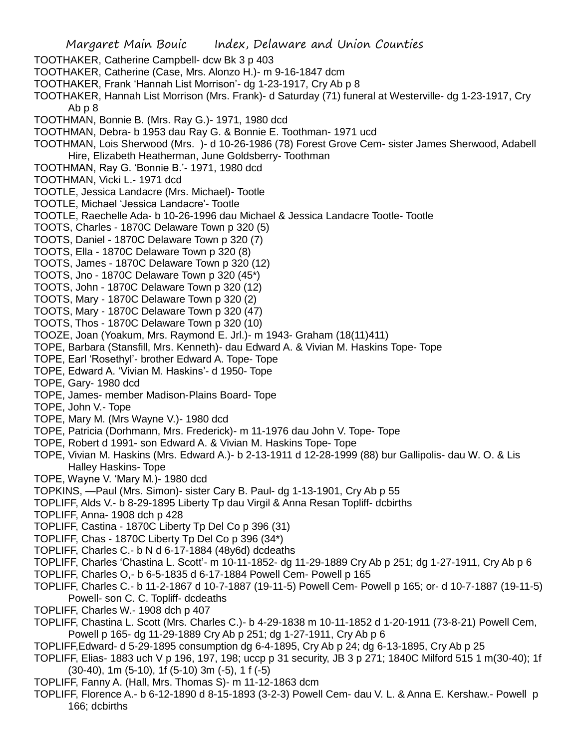Margaret Main Bouic Index, Delaware and Union Counties TOOTHAKER, Catherine Campbell- dcw Bk 3 p 403 TOOTHAKER, Catherine (Case, Mrs. Alonzo H.)- m 9-16-1847 dcm TOOTHAKER, Frank 'Hannah List Morrison'- dg 1-23-1917, Cry Ab p 8 TOOTHAKER, Hannah List Morrison (Mrs. Frank)- d Saturday (71) funeral at Westerville- dg 1-23-1917, Cry Ab p 8 TOOTHMAN, Bonnie B. (Mrs. Ray G.)- 1971, 1980 dcd TOOTHMAN, Debra- b 1953 dau Ray G. & Bonnie E. Toothman- 1971 ucd TOOTHMAN, Lois Sherwood (Mrs. )- d 10-26-1986 (78) Forest Grove Cem- sister James Sherwood, Adabell Hire, Elizabeth Heatherman, June Goldsberry- Toothman TOOTHMAN, Ray G. 'Bonnie B.'- 1971, 1980 dcd TOOTHMAN, Vicki L.- 1971 dcd TOOTLE, Jessica Landacre (Mrs. Michael)- Tootle TOOTLE, Michael 'Jessica Landacre'- Tootle TOOTLE, Raechelle Ada- b 10-26-1996 dau Michael & Jessica Landacre Tootle- Tootle TOOTS, Charles - 1870C Delaware Town p 320 (5) TOOTS, Daniel - 1870C Delaware Town p 320 (7) TOOTS, Ella - 1870C Delaware Town p 320 (8) TOOTS, James - 1870C Delaware Town p 320 (12) TOOTS, Jno - 1870C Delaware Town p 320 (45\*) TOOTS, John - 1870C Delaware Town p 320 (12) TOOTS, Mary - 1870C Delaware Town p 320 (2) TOOTS, Mary - 1870C Delaware Town p 320 (47) TOOTS, Thos - 1870C Delaware Town p 320 (10) TOOZE, Joan (Yoakum, Mrs. Raymond E. Jrl.)- m 1943- Graham (18(11)411) TOPE, Barbara (Stansfill, Mrs. Kenneth)- dau Edward A. & Vivian M. Haskins Tope- Tope TOPE, Earl 'Rosethyl'- brother Edward A. Tope- Tope TOPE, Edward A. 'Vivian M. Haskins'- d 1950- Tope TOPE, Gary- 1980 dcd TOPE, James- member Madison-Plains Board- Tope TOPE, John V.- Tope TOPE, Mary M. (Mrs Wayne V.)- 1980 dcd TOPE, Patricia (Dorhmann, Mrs. Frederick)- m 11-1976 dau John V. Tope- Tope TOPE, Robert d 1991- son Edward A. & Vivian M. Haskins Tope- Tope TOPE, Vivian M. Haskins (Mrs. Edward A.)- b 2-13-1911 d 12-28-1999 (88) bur Gallipolis- dau W. O. & Lis Halley Haskins- Tope TOPE, Wayne V. 'Mary M.)- 1980 dcd TOPKINS, —Paul (Mrs. Simon)- sister Cary B. Paul- dg 1-13-1901, Cry Ab p 55 TOPLIFF, Alds V.- b 8-29-1895 Liberty Tp dau Virgil & Anna Resan Topliff- dcbirths TOPLIFF, Anna- 1908 dch p 428 TOPLIFF, Castina - 1870C Liberty Tp Del Co p 396 (31) TOPLIFF, Chas - 1870C Liberty Tp Del Co p 396 (34\*) TOPLIFF, Charles C.- b N d 6-17-1884 (48y6d) dcdeaths TOPLIFF, Charles 'Chastina L. Scott'- m 10-11-1852- dg 11-29-1889 Cry Ab p 251; dg 1-27-1911, Cry Ab p 6 TOPLIFF, Charles O,- b 6-5-1835 d 6-17-1884 Powell Cem- Powell p 165 TOPLIFF, Charles C.- b 11-2-1867 d 10-7-1887 (19-11-5) Powell Cem- Powell p 165; or- d 10-7-1887 (19-11-5) Powell- son C. C. Topliff- dcdeaths TOPLIFF, Charles W.- 1908 dch p 407 TOPLIFF, Chastina L. Scott (Mrs. Charles C.)- b 4-29-1838 m 10-11-1852 d 1-20-1911 (73-8-21) Powell Cem, Powell p 165- dg 11-29-1889 Cry Ab p 251; dg 1-27-1911, Cry Ab p 6

- TOPLIFF,Edward- d 5-29-1895 consumption dg 6-4-1895, Cry Ab p 24; dg 6-13-1895, Cry Ab p 25
- TOPLIFF, Elias- 1883 uch V p 196, 197, 198; uccp p 31 security, JB 3 p 271; 1840C Milford 515 1 m(30-40); 1f (30-40), 1m (5-10), 1f (5-10) 3m (-5), 1 f (-5)
- TOPLIFF, Fanny A. (Hall, Mrs. Thomas S)- m 11-12-1863 dcm
- TOPLIFF, Florence A.- b 6-12-1890 d 8-15-1893 (3-2-3) Powell Cem- dau V. L. & Anna E. Kershaw.- Powell p 166; dcbirths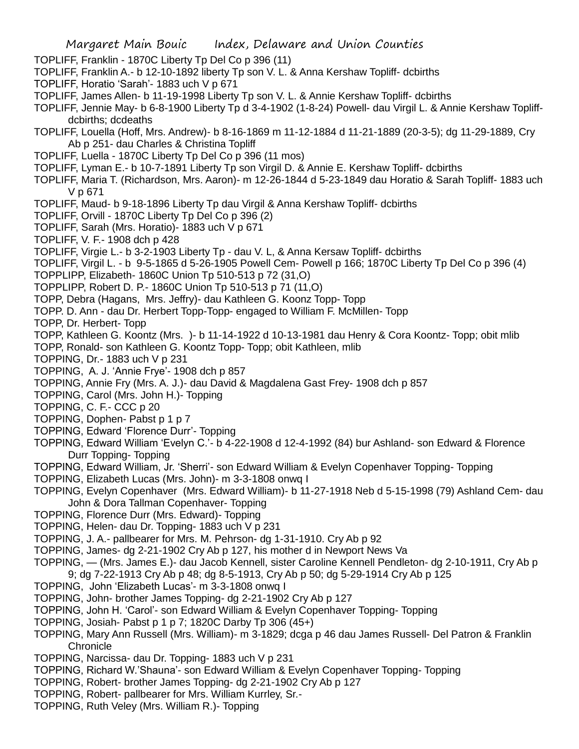- TOPLIFF, Franklin 1870C Liberty Tp Del Co p 396 (11)
- TOPLIFF, Franklin A.- b 12-10-1892 liberty Tp son V. L. & Anna Kershaw Topliff- dcbirths
- TOPLIFF, Horatio 'Sarah'- 1883 uch V p 671
- TOPLIFF, James Allen- b 11-19-1998 Liberty Tp son V. L. & Annie Kershaw Topliff- dcbirths
- TOPLIFF, Jennie May- b 6-8-1900 Liberty Tp d 3-4-1902 (1-8-24) Powell- dau Virgil L. & Annie Kershaw Topliffdcbirths; dcdeaths
- TOPLIFF, Louella (Hoff, Mrs. Andrew)- b 8-16-1869 m 11-12-1884 d 11-21-1889 (20-3-5); dg 11-29-1889, Cry Ab p 251- dau Charles & Christina Topliff
- TOPLIFF, Luella 1870C Liberty Tp Del Co p 396 (11 mos)
- TOPLIFF, Lyman E.- b 10-7-1891 Liberty Tp son Virgil D. & Annie E. Kershaw Topliff- dcbirths
- TOPLIFF, Maria T. (Richardson, Mrs. Aaron)- m 12-26-1844 d 5-23-1849 dau Horatio & Sarah Topliff- 1883 uch V p 671
- TOPLIFF, Maud- b 9-18-1896 Liberty Tp dau Virgil & Anna Kershaw Topliff- dcbirths
- TOPLIFF, Orvill 1870C Liberty Tp Del Co p 396 (2)
- TOPLIFF, Sarah (Mrs. Horatio)- 1883 uch V p 671
- TOPLIFF, V. F.- 1908 dch p 428
- TOPLIFF, Virgie L.- b 3-2-1903 Liberty Tp dau V. L, & Anna Kersaw Topliff- dcbirths
- TOPLIFF, Virgil L. b 9-5-1865 d 5-26-1905 Powell Cem- Powell p 166; 1870C Liberty Tp Del Co p 396 (4)
- TOPPLIPP, Elizabeth- 1860C Union Tp 510-513 p 72 (31,O)
- TOPPLIPP, Robert D. P.- 1860C Union Tp 510-513 p 71 (11,O)
- TOPP, Debra (Hagans, Mrs. Jeffry)- dau Kathleen G. Koonz Topp- Topp
- TOPP. D. Ann dau Dr. Herbert Topp-Topp- engaged to William F. McMillen- Topp
- TOPP, Dr. Herbert- Topp
- TOPP, Kathleen G. Koontz (Mrs. )- b 11-14-1922 d 10-13-1981 dau Henry & Cora Koontz- Topp; obit mlib
- TOPP, Ronald- son Kathleen G. Koontz Topp- Topp; obit Kathleen, mlib
- TOPPING, Dr.- 1883 uch V p 231
- TOPPING, A. J. 'Annie Frye'- 1908 dch p 857
- TOPPING, Annie Fry (Mrs. A. J.)- dau David & Magdalena Gast Frey- 1908 dch p 857
- TOPPING, Carol (Mrs. John H.)- Topping
- TOPPING, C. F.- CCC p 20
- TOPPING, Dophen- Pabst p 1 p 7
- TOPPING, Edward 'Florence Durr'- Topping
- TOPPING, Edward William 'Evelyn C.'- b 4-22-1908 d 12-4-1992 (84) bur Ashland- son Edward & Florence Durr Topping- Topping
- TOPPING, Edward William, Jr. 'Sherri'- son Edward William & Evelyn Copenhaver Topping- Topping
- TOPPING, Elizabeth Lucas (Mrs. John)- m 3-3-1808 onwq I
- TOPPING, Evelyn Copenhaver (Mrs. Edward William)- b 11-27-1918 Neb d 5-15-1998 (79) Ashland Cem- dau John & Dora Tallman Copenhaver- Topping
- TOPPING, Florence Durr (Mrs. Edward)- Topping
- TOPPING, Helen- dau Dr. Topping- 1883 uch V p 231
- TOPPING, J. A.- pallbearer for Mrs. M. Pehrson- dg 1-31-1910. Cry Ab p 92
- TOPPING, James- dg 2-21-1902 Cry Ab p 127, his mother d in Newport News Va
- TOPPING, (Mrs. James E.)- dau Jacob Kennell, sister Caroline Kennell Pendleton- dg 2-10-1911, Cry Ab p
- 9; dg 7-22-1913 Cry Ab p 48; dg 8-5-1913, Cry Ab p 50; dg 5-29-1914 Cry Ab p 125
- TOPPING, John 'Elizabeth Lucas'- m 3-3-1808 onwq I
- TOPPING, John- brother James Topping- dg 2-21-1902 Cry Ab p 127
- TOPPING, John H. 'Carol'- son Edward William & Evelyn Copenhaver Topping- Topping
- TOPPING, Josiah- Pabst p 1 p 7; 1820C Darby Tp 306 (45+)
- TOPPING, Mary Ann Russell (Mrs. William)- m 3-1829; dcga p 46 dau James Russell- Del Patron & Franklin **Chronicle**
- TOPPING, Narcissa- dau Dr. Topping- 1883 uch V p 231
- TOPPING, Richard W.'Shauna'- son Edward William & Evelyn Copenhaver Topping- Topping
- TOPPING, Robert- brother James Topping- dg 2-21-1902 Cry Ab p 127
- TOPPING, Robert- pallbearer for Mrs. William Kurrley, Sr.-
- TOPPING, Ruth Veley (Mrs. William R.)- Topping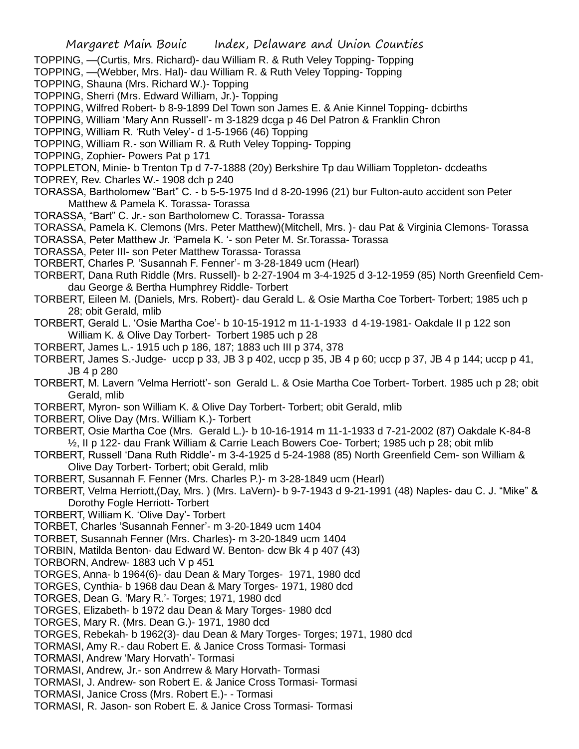- TOPPING, —(Curtis, Mrs. Richard)- dau William R. & Ruth Veley Topping- Topping
- TOPPING, —(Webber, Mrs. Hal)- dau William R. & Ruth Veley Topping- Topping
- TOPPING, Shauna (Mrs. Richard W.)- Topping
- TOPPING, Sherri (Mrs. Edward William, Jr.)- Topping
- TOPPING, Wilfred Robert- b 8-9-1899 Del Town son James E. & Anie Kinnel Topping- dcbirths
- TOPPING, William 'Mary Ann Russell'- m 3-1829 dcga p 46 Del Patron & Franklin Chron
- TOPPING, William R. 'Ruth Veley'- d 1-5-1966 (46) Topping
- TOPPING, William R.- son William R. & Ruth Veley Topping- Topping
- TOPPING, Zophier- Powers Pat p 171
- TOPPLETON, Minie- b Trenton Tp d 7-7-1888 (20y) Berkshire Tp dau William Toppleton- dcdeaths
- TOPREY, Rev. Charles W.- 1908 dch p 240
- TORASSA, Bartholomew "Bart" C. b 5-5-1975 Ind d 8-20-1996 (21) bur Fulton-auto accident son Peter Matthew & Pamela K. Torassa- Torassa
- TORASSA, "Bart" C. Jr.- son Bartholomew C. Torassa- Torassa
- TORASSA, Pamela K. Clemons (Mrs. Peter Matthew)(Mitchell, Mrs. )- dau Pat & Virginia Clemons- Torassa
- TORASSA, Peter Matthew Jr. 'Pamela K. '- son Peter M. Sr.Torassa- Torassa
- TORASSA, Peter III- son Peter Matthew Torassa- Torassa
- TORBERT, Charles P. 'Susannah F. Fenner'- m 3-28-1849 ucm (Hearl)
- TORBERT, Dana Ruth Riddle (Mrs. Russell)- b 2-27-1904 m 3-4-1925 d 3-12-1959 (85) North Greenfield Cemdau George & Bertha Humphrey Riddle- Torbert
- TORBERT, Eileen M. (Daniels, Mrs. Robert)- dau Gerald L. & Osie Martha Coe Torbert- Torbert; 1985 uch p 28; obit Gerald, mlib
- TORBERT, Gerald L. 'Osie Martha Coe'- b 10-15-1912 m 11-1-1933 d 4-19-1981- Oakdale II p 122 son William K. & Olive Day Torbert- Torbert 1985 uch p 28
- TORBERT, James L.- 1915 uch p 186, 187; 1883 uch III p 374, 378
- TORBERT, James S.-Judge- uccp p 33, JB 3 p 402, uccp p 35, JB 4 p 60; uccp p 37, JB 4 p 144; uccp p 41, JB 4 p 280
- TORBERT, M. Lavern 'Velma Herriott'- son Gerald L. & Osie Martha Coe Torbert- Torbert. 1985 uch p 28; obit Gerald, mlib
- TORBERT, Myron- son William K. & Olive Day Torbert- Torbert; obit Gerald, mlib
- TORBERT, Olive Day (Mrs. William K.)- Torbert
- TORBERT, Osie Martha Coe (Mrs. Gerald L.)- b 10-16-1914 m 11-1-1933 d 7-21-2002 (87) Oakdale K-84-8 ½, II p 122- dau Frank William & Carrie Leach Bowers Coe- Torbert; 1985 uch p 28; obit mlib
- TORBERT, Russell 'Dana Ruth Riddle'- m 3-4-1925 d 5-24-1988 (85) North Greenfield Cem- son William & Olive Day Torbert- Torbert; obit Gerald, mlib
- TORBERT, Susannah F. Fenner (Mrs. Charles P.)- m 3-28-1849 ucm (Hearl)
- TORBERT, Velma Herriott,(Day, Mrs. ) (Mrs. LaVern)- b 9-7-1943 d 9-21-1991 (48) Naples- dau C. J. "Mike" & Dorothy Fogle Herriott- Torbert
- TORBERT, William K. 'Olive Day'- Torbert
- TORBET, Charles 'Susannah Fenner'- m 3-20-1849 ucm 1404
- TORBET, Susannah Fenner (Mrs. Charles)- m 3-20-1849 ucm 1404
- TORBIN, Matilda Benton- dau Edward W. Benton- dcw Bk 4 p 407 (43)
- TORBORN, Andrew- 1883 uch V p 451
- TORGES, Anna- b 1964(6)- dau Dean & Mary Torges- 1971, 1980 dcd
- TORGES, Cynthia- b 1968 dau Dean & Mary Torges- 1971, 1980 dcd
- TORGES, Dean G. 'Mary R.'- Torges; 1971, 1980 dcd
- TORGES, Elizabeth- b 1972 dau Dean & Mary Torges- 1980 dcd
- TORGES, Mary R. (Mrs. Dean G.)- 1971, 1980 dcd
- TORGES, Rebekah- b 1962(3)- dau Dean & Mary Torges- Torges; 1971, 1980 dcd
- TORMASI, Amy R.- dau Robert E. & Janice Cross Tormasi- Tormasi
- TORMASI, Andrew 'Mary Horvath'- Tormasi
- TORMASI, Andrew, Jr.- son Andrrew & Mary Horvath- Tormasi
- TORMASI, J. Andrew- son Robert E. & Janice Cross Tormasi- Tormasi
- TORMASI, Janice Cross (Mrs. Robert E.)- Tormasi
- TORMASI, R. Jason- son Robert E. & Janice Cross Tormasi- Tormasi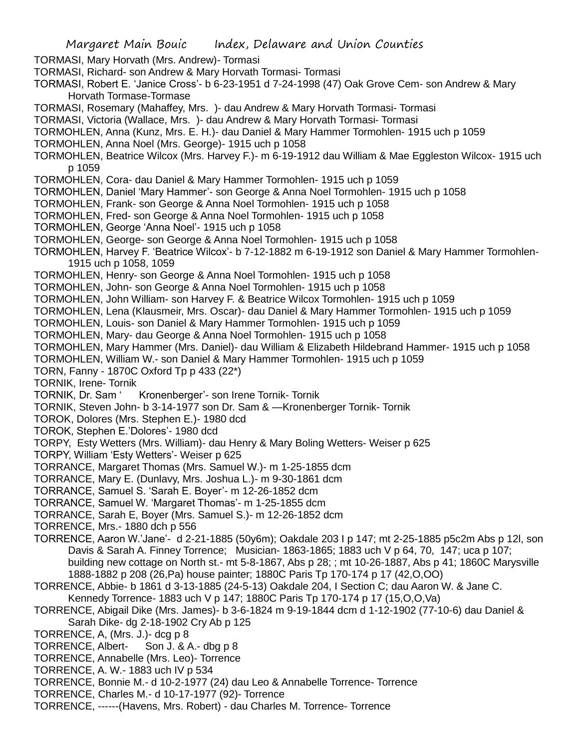TORMASI, Mary Horvath (Mrs. Andrew)- Tormasi

- TORMASI, Richard- son Andrew & Mary Horvath Tormasi- Tormasi
- TORMASI, Robert E. 'Janice Cross'- b 6-23-1951 d 7-24-1998 (47) Oak Grove Cem- son Andrew & Mary Horvath Tormase-Tormase
- TORMASI, Rosemary (Mahaffey, Mrs. )- dau Andrew & Mary Horvath Tormasi- Tormasi
- TORMASI, Victoria (Wallace, Mrs. )- dau Andrew & Mary Horvath Tormasi- Tormasi
- TORMOHLEN, Anna (Kunz, Mrs. E. H.)- dau Daniel & Mary Hammer Tormohlen- 1915 uch p 1059
- TORMOHLEN, Anna Noel (Mrs. George)- 1915 uch p 1058
- TORMOHLEN, Beatrice Wilcox (Mrs. Harvey F.)- m 6-19-1912 dau William & Mae Eggleston Wilcox- 1915 uch p 1059
- TORMOHLEN, Cora- dau Daniel & Mary Hammer Tormohlen- 1915 uch p 1059
- TORMOHLEN, Daniel 'Mary Hammer'- son George & Anna Noel Tormohlen- 1915 uch p 1058
- TORMOHLEN, Frank- son George & Anna Noel Tormohlen- 1915 uch p 1058
- TORMOHLEN, Fred- son George & Anna Noel Tormohlen- 1915 uch p 1058
- TORMOHLEN, George 'Anna Noel'- 1915 uch p 1058
- TORMOHLEN, George- son George & Anna Noel Tormohlen- 1915 uch p 1058
- TORMOHLEN, Harvey F. 'Beatrice Wilcox'- b 7-12-1882 m 6-19-1912 son Daniel & Mary Hammer Tormohlen-1915 uch p 1058, 1059
- TORMOHLEN, Henry- son George & Anna Noel Tormohlen- 1915 uch p 1058
- TORMOHLEN, John- son George & Anna Noel Tormohlen- 1915 uch p 1058
- TORMOHLEN, John William- son Harvey F. & Beatrice Wilcox Tormohlen- 1915 uch p 1059
- TORMOHLEN, Lena (Klausmeir, Mrs. Oscar)- dau Daniel & Mary Hammer Tormohlen- 1915 uch p 1059
- TORMOHLEN, Louis- son Daniel & Mary Hammer Tormohlen- 1915 uch p 1059
- TORMOHLEN, Mary- dau George & Anna Noel Tormohlen- 1915 uch p 1058
- TORMOHLEN, Mary Hammer (Mrs. Daniel)- dau William & Elizabeth Hildebrand Hammer- 1915 uch p 1058
- TORMOHLEN, William W.- son Daniel & Mary Hammer Tormohlen- 1915 uch p 1059
- TORN, Fanny 1870C Oxford Tp p 433 (22\*)
- TORNIK, Irene- Tornik
- TORNIK, Dr. Sam ' Kronenberger'- son Irene Tornik- Tornik
- TORNIK, Steven John- b 3-14-1977 son Dr. Sam & —Kronenberger Tornik- Tornik
- TOROK, Dolores (Mrs. Stephen E.)- 1980 dcd
- TOROK, Stephen E.'Dolores'- 1980 dcd
- TORPY, Esty Wetters (Mrs. William)- dau Henry & Mary Boling Wetters- Weiser p 625
- TORPY, William 'Esty Wetters'- Weiser p 625
- TORRANCE, Margaret Thomas (Mrs. Samuel W.)- m 1-25-1855 dcm
- TORRANCE, Mary E. (Dunlavy, Mrs. Joshua L.)- m 9-30-1861 dcm
- TORRANCE, Samuel S. 'Sarah E. Boyer'- m 12-26-1852 dcm
- TORRANCE, Samuel W. 'Margaret Thomas'- m 1-25-1855 dcm
- TORRANCE, Sarah E, Boyer (Mrs. Samuel S.)- m 12-26-1852 dcm
- TORRENCE, Mrs.- 1880 dch p 556
- TORRENCE, Aaron W.'Jane'- d 2-21-1885 (50y6m); Oakdale 203 I p 147; mt 2-25-1885 p5c2m Abs p 12l, son Davis & Sarah A. Finney Torrence; Musician- 1863-1865; 1883 uch V p 64, 70, 147; uca p 107; building new cottage on North st.- mt 5-8-1867, Abs p 28; ; mt 10-26-1887, Abs p 41; 1860C Marysville 1888-1882 p 208 (26,Pa) house painter; 1880C Paris Tp 170-174 p 17 (42,O,OO)
- TORRENCE, Abbie- b 1861 d 3-13-1885 (24-5-13) Oakdale 204, I Section C; dau Aaron W. & Jane C. Kennedy Torrence- 1883 uch V p 147; 1880C Paris Tp 170-174 p 17 (15,O,O,Va)
- TORRENCE, Abigail Dike (Mrs. James)- b 3-6-1824 m 9-19-1844 dcm d 1-12-1902 (77-10-6) dau Daniel &
- Sarah Dike- dg 2-18-1902 Cry Ab p 125
- TORRENCE, A, (Mrs. J.)- dcg p 8
- TORRENCE, Albert- Son J. & A.- dbg p 8
- TORRENCE, Annabelle (Mrs. Leo)- Torrence
- TORRENCE, A. W.- 1883 uch IV p 534
- TORRENCE, Bonnie M.- d 10-2-1977 (24) dau Leo & Annabelle Torrence- Torrence
- TORRENCE, Charles M.- d 10-17-1977 (92)- Torrence
- TORRENCE, ------(Havens, Mrs. Robert) dau Charles M. Torrence- Torrence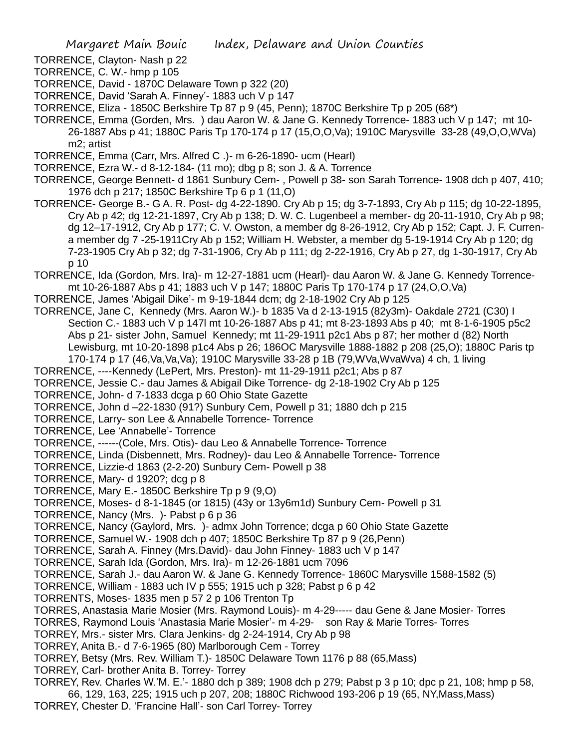TORRENCE, Clayton- Nash p 22

TORRENCE, C. W.- hmp p 105

TORRENCE, David - 1870C Delaware Town p 322 (20)

TORRENCE, David 'Sarah A. Finney'- 1883 uch V p 147

TORRENCE, Eliza - 1850C Berkshire Tp 87 p 9 (45, Penn); 1870C Berkshire Tp p 205 (68\*)

TORRENCE, Emma (Gorden, Mrs. ) dau Aaron W. & Jane G. Kennedy Torrence- 1883 uch V p 147; mt 10- 26-1887 Abs p 41; 1880C Paris Tp 170-174 p 17 (15,O,O,Va); 1910C Marysville 33-28 (49,O,O,WVa) m2; artist

TORRENCE, Emma (Carr, Mrs. Alfred C .)- m 6-26-1890- ucm (Hearl)

TORRENCE, Ezra W.- d 8-12-184- (11 mo); dbg p 8; son J. & A. Torrence

TORRENCE, George Bennett- d 1861 Sunbury Cem- , Powell p 38- son Sarah Torrence- 1908 dch p 407, 410; 1976 dch p 217; 1850C Berkshire Tp 6 p 1 (11,O)

TORRENCE- George B.- G A. R. Post- dg 4-22-1890. Cry Ab p 15; dg 3-7-1893, Cry Ab p 115; dg 10-22-1895, Cry Ab p 42; dg 12-21-1897, Cry Ab p 138; D. W. C. Lugenbeel a member- dg 20-11-1910, Cry Ab p 98; dg 12–17-1912, Cry Ab p 177; C. V. Owston, a member dg 8-26-1912, Cry Ab p 152; Capt. J. F. Currena member dg 7 -25-1911Cry Ab p 152; William H. Webster, a member dg 5-19-1914 Cry Ab p 120; dg 7-23-1905 Cry Ab p 32; dg 7-31-1906, Cry Ab p 111; dg 2-22-1916, Cry Ab p 27, dg 1-30-1917, Cry Ab p 10

TORRENCE, Ida (Gordon, Mrs. Ira)- m 12-27-1881 ucm (Hearl)- dau Aaron W. & Jane G. Kennedy Torrencemt 10-26-1887 Abs p 41; 1883 uch V p 147; 1880C Paris Tp 170-174 p 17 (24,O,O,Va)

TORRENCE, James 'Abigail Dike'- m 9-19-1844 dcm; dg 2-18-1902 Cry Ab p 125

TORRENCE, Jane C, Kennedy (Mrs. Aaron W.)- b 1835 Va d 2-13-1915 (82y3m)- Oakdale 2721 (C30) I Section C.- 1883 uch V p 147l mt 10-26-1887 Abs p 41; mt 8-23-1893 Abs p 40; mt 8-1-6-1905 p5c2 Abs p 21- sister John, Samuel Kennedy; mt 11-29-1911 p2c1 Abs p 87; her mother d (82) North Lewisburg, mt 10-20-1898 p1c4 Abs p 26; 186OC Marysville 1888-1882 p 208 (25,O); 1880C Paris tp 170-174 p 17 (46,Va,Va,Va); 1910C Marysville 33-28 p 1B (79,WVa,WvaWva) 4 ch, 1 living

TORRENCE, ----Kennedy (LePert, Mrs. Preston)- mt 11-29-1911 p2c1; Abs p 87

TORRENCE, Jessie C.- dau James & Abigail Dike Torrence- dg 2-18-1902 Cry Ab p 125

TORRENCE, John- d 7-1833 dcga p 60 Ohio State Gazette

TORRENCE, John d –22-1830 (91?) Sunbury Cem, Powell p 31; 1880 dch p 215

TORRENCE, Larry- son Lee & Annabelle Torrence- Torrence

TORRENCE, Lee 'Annabelle'- Torrence

TORRENCE, ------(Cole, Mrs. Otis)- dau Leo & Annabelle Torrence- Torrence

TORRENCE, Linda (Disbennett, Mrs. Rodney)- dau Leo & Annabelle Torrence- Torrence

TORRENCE, Lizzie-d 1863 (2-2-20) Sunbury Cem- Powell p 38

TORRENCE, Mary- d 1920?; dcg p 8

TORRENCE, Mary E.- 1850C Berkshire Tp p 9 (9,O)

TORRENCE, Moses- d 8-1-1845 (or 1815) (43y or 13y6m1d) Sunbury Cem- Powell p 31

TORRENCE, Nancy (Mrs. )- Pabst p 6 p 36

TORRENCE, Nancy (Gaylord, Mrs. )- admx John Torrence; dcga p 60 Ohio State Gazette

TORRENCE, Samuel W.- 1908 dch p 407; 1850C Berkshire Tp 87 p 9 (26,Penn)

TORRENCE, Sarah A. Finney (Mrs.David)- dau John Finney- 1883 uch V p 147

TORRENCE, Sarah Ida (Gordon, Mrs. Ira)- m 12-26-1881 ucm 7096

TORRENCE, Sarah J.- dau Aaron W. & Jane G. Kennedy Torrence- 1860C Marysville 1588-1582 (5)

TORRENCE, William - 1883 uch IV p 555; 1915 uch p 328; Pabst p 6 p 42

TORRENTS, Moses- 1835 men p 57 2 p 106 Trenton Tp

TORRES, Anastasia Marie Mosier (Mrs. Raymond Louis)- m 4-29----- dau Gene & Jane Mosier- Torres

TORRES, Raymond Louis 'Anastasia Marie Mosier'- m 4-29- son Ray & Marie Torres- Torres

TORREY, Mrs.- sister Mrs. Clara Jenkins- dg 2-24-1914, Cry Ab p 98

TORREY, Anita B.- d 7-6-1965 (80) Marlborough Cem - Torrey

TORREY, Betsy (Mrs. Rev. William T.)- 1850C Delaware Town 1176 p 88 (65,Mass)

TORREY, Carl- brother Anita B. Torrey- Torrey

TORREY, Rev. Charles W.'M. E.'- 1880 dch p 389; 1908 dch p 279; Pabst p 3 p 10; dpc p 21, 108; hmp p 58, 66, 129, 163, 225; 1915 uch p 207, 208; 1880C Richwood 193-206 p 19 (65, NY,Mass,Mass)

TORREY, Chester D. 'Francine Hall'- son Carl Torrey- Torrey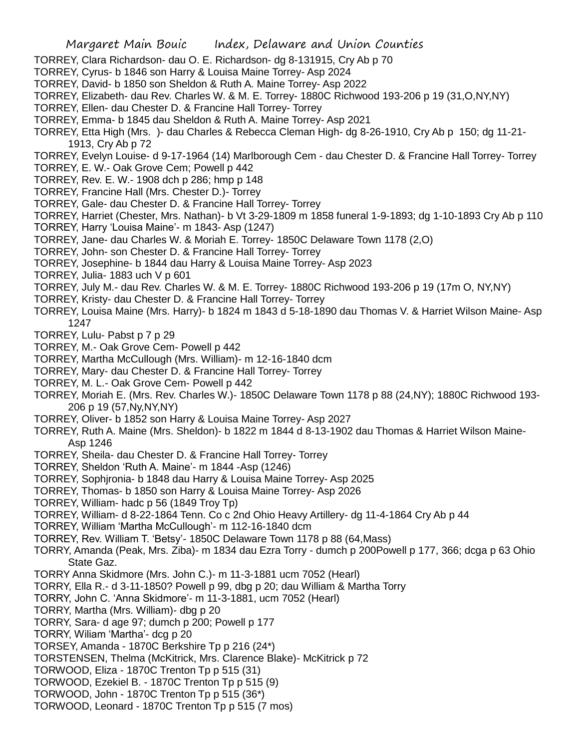- TORREY, Clara Richardson- dau O. E. Richardson- dg 8-131915, Cry Ab p 70
- TORREY, Cyrus- b 1846 son Harry & Louisa Maine Torrey- Asp 2024
- TORREY, David- b 1850 son Sheldon & Ruth A. Maine Torrey- Asp 2022
- TORREY, Elizabeth- dau Rev. Charles W. & M. E. Torrey- 1880C Richwood 193-206 p 19 (31,O,NY,NY)
- TORREY, Ellen- dau Chester D. & Francine Hall Torrey- Torrey
- TORREY, Emma- b 1845 dau Sheldon & Ruth A. Maine Torrey- Asp 2021
- TORREY, Etta High (Mrs. )- dau Charles & Rebecca Cleman High- dg 8-26-1910, Cry Ab p 150; dg 11-21- 1913, Cry Ab p 72

TORREY, Evelyn Louise- d 9-17-1964 (14) Marlborough Cem - dau Chester D. & Francine Hall Torrey- Torrey

- TORREY, E. W.- Oak Grove Cem; Powell p 442
- TORREY, Rev. E. W.- 1908 dch p 286; hmp p 148
- TORREY, Francine Hall (Mrs. Chester D.)- Torrey
- TORREY, Gale- dau Chester D. & Francine Hall Torrey- Torrey
- TORREY, Harriet (Chester, Mrs. Nathan)- b Vt 3-29-1809 m 1858 funeral 1-9-1893; dg 1-10-1893 Cry Ab p 110
- TORREY, Harry 'Louisa Maine'- m 1843- Asp (1247)
- TORREY, Jane- dau Charles W. & Moriah E. Torrey- 1850C Delaware Town 1178 (2,O)
- TORREY, John- son Chester D. & Francine Hall Torrey- Torrey
- TORREY, Josephine- b 1844 dau Harry & Louisa Maine Torrey- Asp 2023
- TORREY, Julia- 1883 uch V p 601
- TORREY, July M.- dau Rev. Charles W. & M. E. Torrey- 1880C Richwood 193-206 p 19 (17m O, NY,NY)
- TORREY, Kristy- dau Chester D. & Francine Hall Torrey- Torrey
- TORREY, Louisa Maine (Mrs. Harry)- b 1824 m 1843 d 5-18-1890 dau Thomas V. & Harriet Wilson Maine- Asp 1247
- TORREY, Lulu- Pabst p 7 p 29
- TORREY, M.- Oak Grove Cem- Powell p 442
- TORREY, Martha McCullough (Mrs. William)- m 12-16-1840 dcm
- TORREY, Mary- dau Chester D. & Francine Hall Torrey- Torrey
- TORREY, M. L.- Oak Grove Cem- Powell p 442
- TORREY, Moriah E. (Mrs. Rev. Charles W.)- 1850C Delaware Town 1178 p 88 (24,NY); 1880C Richwood 193- 206 p 19 (57,Ny,NY,NY)
- TORREY, Oliver- b 1852 son Harry & Louisa Maine Torrey- Asp 2027
- TORREY, Ruth A. Maine (Mrs. Sheldon)- b 1822 m 1844 d 8-13-1902 dau Thomas & Harriet Wilson Maine-Asp 1246
- TORREY, Sheila- dau Chester D. & Francine Hall Torrey- Torrey
- TORREY, Sheldon 'Ruth A. Maine'- m 1844 -Asp (1246)
- TORREY, Sophjronia- b 1848 dau Harry & Louisa Maine Torrey- Asp 2025
- TORREY, Thomas- b 1850 son Harry & Louisa Maine Torrey- Asp 2026
- TORREY, William- hadc p 56 (1849 Troy Tp)
- TORREY, William- d 8-22-1864 Tenn. Co c 2nd Ohio Heavy Artillery- dg 11-4-1864 Cry Ab p 44
- TORREY, William 'Martha McCullough'- m 112-16-1840 dcm
- TORREY, Rev. William T. 'Betsy'- 1850C Delaware Town 1178 p 88 (64,Mass)
- TORRY, Amanda (Peak, Mrs. Ziba)- m 1834 dau Ezra Torry dumch p 200Powell p 177, 366; dcga p 63 Ohio State Gaz.
- TORRY Anna Skidmore (Mrs. John C.)- m 11-3-1881 ucm 7052 (Hearl)
- TORRY, Ella R.- d 3-11-1850? Powell p 99, dbg p 20; dau William & Martha Torry
- TORRY, John C. 'Anna Skidmore'- m 11-3-1881, ucm 7052 (Hearl)
- TORRY, Martha (Mrs. William)- dbg p 20
- TORRY, Sara- d age 97; dumch p 200; Powell p 177
- TORRY, Wiliam 'Martha'- dcg p 20
- TORSEY, Amanda 1870C Berkshire Tp p 216 (24\*)
- TORSTENSEN, Thelma (McKitrick, Mrs. Clarence Blake)- McKitrick p 72
- TORWOOD, Eliza 1870C Trenton Tp p 515 (31)
- TORWOOD, Ezekiel B. 1870C Trenton Tp p 515 (9)
- TORWOOD, John 1870C Trenton Tp p 515 (36\*)
- TORWOOD, Leonard 1870C Trenton Tp p 515 (7 mos)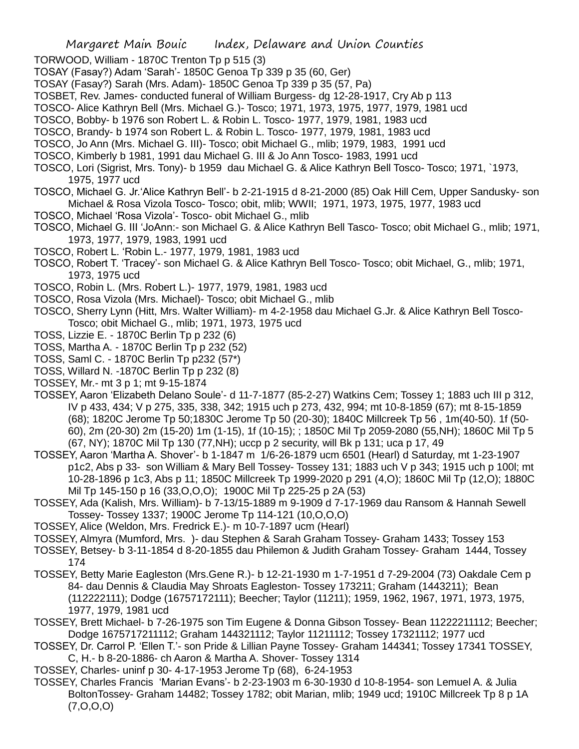- TORWOOD, William 1870C Trenton Tp p 515 (3)
- TOSAY (Fasay?) Adam 'Sarah'- 1850C Genoa Tp 339 p 35 (60, Ger)
- TOSAY (Fasay?) Sarah (Mrs. Adam)- 1850C Genoa Tp 339 p 35 (57, Pa)
- TOSBET, Rev. James- conducted funeral of William Burgess- dg 12-28-1917, Cry Ab p 113
- TOSCO- Alice Kathryn Bell (Mrs. Michael G.)- Tosco; 1971, 1973, 1975, 1977, 1979, 1981 ucd
- TOSCO, Bobby- b 1976 son Robert L. & Robin L. Tosco- 1977, 1979, 1981, 1983 ucd
- TOSCO, Brandy- b 1974 son Robert L. & Robin L. Tosco- 1977, 1979, 1981, 1983 ucd
- TOSCO, Jo Ann (Mrs. Michael G. III)- Tosco; obit Michael G., mlib; 1979, 1983, 1991 ucd
- TOSCO, Kimberly b 1981, 1991 dau Michael G. III & Jo Ann Tosco- 1983, 1991 ucd
- TOSCO, Lori (Sigrist, Mrs. Tony)- b 1959 dau Michael G. & Alice Kathryn Bell Tosco- Tosco; 1971, `1973, 1975, 1977 ucd
- TOSCO, Michael G. Jr.'Alice Kathryn Bell'- b 2-21-1915 d 8-21-2000 (85) Oak Hill Cem, Upper Sandusky- son Michael & Rosa Vizola Tosco- Tosco; obit, mlib; WWII; 1971, 1973, 1975, 1977, 1983 ucd
- TOSCO, Michael 'Rosa Vizola'- Tosco- obit Michael G., mlib
- TOSCO, Michael G. III 'JoAnn:- son Michael G. & Alice Kathryn Bell Tasco- Tosco; obit Michael G., mlib; 1971, 1973, 1977, 1979, 1983, 1991 ucd
- TOSCO, Robert L. 'Robin L.- 1977, 1979, 1981, 1983 ucd
- TOSCO, Robert T. 'Tracey'- son Michael G. & Alice Kathryn Bell Tosco- Tosco; obit Michael, G., mlib; 1971, 1973, 1975 ucd
- TOSCO, Robin L. (Mrs. Robert L.)- 1977, 1979, 1981, 1983 ucd
- TOSCO, Rosa Vizola (Mrs. Michael)- Tosco; obit Michael G., mlib
- TOSCO, Sherry Lynn (Hitt, Mrs. Walter William)- m 4-2-1958 dau Michael G.Jr. & Alice Kathryn Bell Tosco-Tosco; obit Michael G., mlib; 1971, 1973, 1975 ucd
- TOSS, Lizzie E. 1870C Berlin Tp p 232 (6)
- TOSS, Martha A. 1870C Berlin Tp p 232 (52)
- TOSS, Saml C. 1870C Berlin Tp p232 (57\*)
- TOSS, Willard N. -1870C Berlin Tp p 232 (8)
- TOSSEY, Mr.- mt 3 p 1; mt 9-15-1874
- TOSSEY, Aaron 'Elizabeth Delano Soule'- d 11-7-1877 (85-2-27) Watkins Cem; Tossey 1; 1883 uch III p 312, IV p 433, 434; V p 275, 335, 338, 342; 1915 uch p 273, 432, 994; mt 10-8-1859 (67); mt 8-15-1859 (68); 1820C Jerome Tp 50;1830C Jerome Tp 50 (20-30); 1840C Millcreek Tp 56 , 1m(40-50). 1f (50- 60), 2m (20-30) 2m (15-20) 1m (1-15), 1f (10-15); ; 1850C Mil Tp 2059-2080 (55,NH); 1860C Mil Tp 5 (67, NY); 1870C Mil Tp 130 (77,NH); uccp p 2 security, will Bk p 131; uca p 17, 49
- TOSSEY, Aaron 'Martha A. Shover'- b 1-1847 m 1/6-26-1879 ucm 6501 (Hearl) d Saturday, mt 1-23-1907 p1c2, Abs p 33- son William & Mary Bell Tossey- Tossey 131; 1883 uch V p 343; 1915 uch p 100l; mt 10-28-1896 p 1c3, Abs p 11; 1850C Millcreek Tp 1999-2020 p 291 (4,O); 1860C Mil Tp (12,O); 1880C Mil Tp 145-150 p 16 (33,O,O,O); 1900C Mil Tp 225-25 p 2A (53)
- TOSSEY, Ada (Kalish, Mrs. William)- b 7-13/15-1889 m 9-1909 d 7-17-1969 dau Ransom & Hannah Sewell Tossey- Tossey 1337; 1900C Jerome Tp 114-121 (10,O,O,O)
- TOSSEY, Alice (Weldon, Mrs. Fredrick E.)- m 10-7-1897 ucm (Hearl)
- TOSSEY, Almyra (Mumford, Mrs. )- dau Stephen & Sarah Graham Tossey- Graham 1433; Tossey 153
- TOSSEY, Betsey- b 3-11-1854 d 8-20-1855 dau Philemon & Judith Graham Tossey- Graham 1444, Tossey 174
- TOSSEY, Betty Marie Eagleston (Mrs.Gene R.)- b 12-21-1930 m 1-7-1951 d 7-29-2004 (73) Oakdale Cem p 84- dau Dennis & Claudia May Shroats Eagleston- Tossey 173211; Graham (1443211); Bean (112222111); Dodge (16757172111); Beecher; Taylor (11211); 1959, 1962, 1967, 1971, 1973, 1975, 1977, 1979, 1981 ucd
- TOSSEY, Brett Michael- b 7-26-1975 son Tim Eugene & Donna Gibson Tossey- Bean 11222211112; Beecher; Dodge 1675717211112; Graham 144321112; Taylor 11211112; Tossey 17321112; 1977 ucd
- TOSSEY, Dr. Carrol P. 'Ellen T.'- son Pride & Lillian Payne Tossey- Graham 144341; Tossey 17341 TOSSEY, C, H.- b 8-20-1886- ch Aaron & Martha A. Shover- Tossey 1314
- TOSSEY, Charles- uninf p 30- 4-17-1953 Jerome Tp (68), 6-24-1953
- TOSSEY, Charles Francis 'Marian Evans'- b 2-23-1903 m 6-30-1930 d 10-8-1954- son Lemuel A. & Julia BoltonTossey- Graham 14482; Tossey 1782; obit Marian, mlib; 1949 ucd; 1910C Millcreek Tp 8 p 1A (7,O,O,O)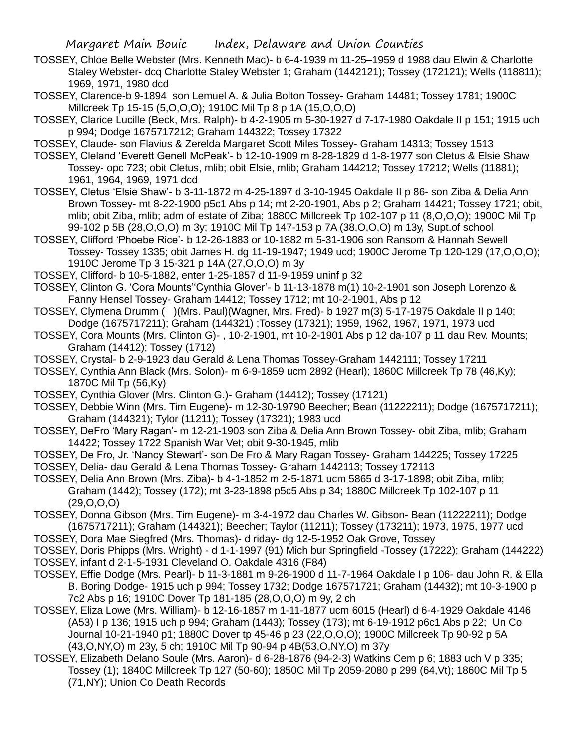- TOSSEY, Chloe Belle Webster (Mrs. Kenneth Mac)- b 6-4-1939 m 11-25–1959 d 1988 dau Elwin & Charlotte Staley Webster- dcq Charlotte Staley Webster 1; Graham (1442121); Tossey (172121); Wells (118811); 1969, 1971, 1980 dcd
- TOSSEY, Clarence-b 9-1894 son Lemuel A. & Julia Bolton Tossey- Graham 14481; Tossey 1781; 1900C Millcreek Tp 15-15 (5,O,O,O); 1910C Mil Tp 8 p 1A (15,O,O,O)
- TOSSEY, Clarice Lucille (Beck, Mrs. Ralph)- b 4-2-1905 m 5-30-1927 d 7-17-1980 Oakdale II p 151; 1915 uch p 994; Dodge 1675717212; Graham 144322; Tossey 17322
- TOSSEY, Claude- son Flavius & Zerelda Margaret Scott Miles Tossey- Graham 14313; Tossey 1513
- TOSSEY, Cleland 'Everett Genell McPeak'- b 12-10-1909 m 8-28-1829 d 1-8-1977 son Cletus & Elsie Shaw Tossey- opc 723; obit Cletus, mlib; obit Elsie, mlib; Graham 144212; Tossey 17212; Wells (11881); 1961, 1964, 1969, 1971 dcd
- TOSSEY, Cletus 'Elsie Shaw'- b 3-11-1872 m 4-25-1897 d 3-10-1945 Oakdale II p 86- son Ziba & Delia Ann Brown Tossey- mt 8-22-1900 p5c1 Abs p 14; mt 2-20-1901, Abs p 2; Graham 14421; Tossey 1721; obit, mlib; obit Ziba, mlib; adm of estate of Ziba; 1880C Millcreek Tp 102-107 p 11 (8,O,O,O); 1900C Mil Tp 99-102 p 5B (28,O,O,O) m 3y; 1910C Mil Tp 147-153 p 7A (38,O,O,O) m 13y, Supt.of school
- TOSSEY, Clifford 'Phoebe Rice'- b 12-26-1883 or 10-1882 m 5-31-1906 son Ransom & Hannah Sewell Tossey- Tossey 1335; obit James H. dg 11-19-1947; 1949 ucd; 1900C Jerome Tp 120-129 (17,O,O,O); 1910C Jerome Tp 3 15-321 p 14A (27,O,O,O) m 3y
- TOSSEY, Clifford- b 10-5-1882, enter 1-25-1857 d 11-9-1959 uninf p 32
- TOSSEY, Clinton G. 'Cora Mounts''Cynthia Glover'- b 11-13-1878 m(1) 10-2-1901 son Joseph Lorenzo & Fanny Hensel Tossey- Graham 14412; Tossey 1712; mt 10-2-1901, Abs p 12
- TOSSEY, Clymena Drumm ( )(Mrs. Paul)(Wagner, Mrs. Fred)- b 1927 m(3) 5-17-1975 Oakdale II p 140; Dodge (1675717211); Graham (144321) ;Tossey (17321); 1959, 1962, 1967, 1971, 1973 ucd
- TOSSEY, Cora Mounts (Mrs. Clinton G)- , 10-2-1901, mt 10-2-1901 Abs p 12 da-107 p 11 dau Rev. Mounts; Graham (14412); Tossey (1712)
- TOSSEY, Crystal- b 2-9-1923 dau Gerald & Lena Thomas Tossey-Graham 1442111; Tossey 17211
- TOSSEY, Cynthia Ann Black (Mrs. Solon)- m 6-9-1859 ucm 2892 (Hearl); 1860C Millcreek Tp 78 (46,Ky); 1870C Mil Tp (56,Ky)
- TOSSEY, Cynthia Glover (Mrs. Clinton G.)- Graham (14412); Tossey (17121)
- TOSSEY, Debbie Winn (Mrs. Tim Eugene)- m 12-30-19790 Beecher; Bean (11222211); Dodge (1675717211); Graham (144321); Tylor (11211); Tossey (17321); 1983 ucd
- TOSSEY, DeFro 'Mary Ragan'- m 12-21-1903 son Ziba & Delia Ann Brown Tossey- obit Ziba, mlib; Graham 14422; Tossey 1722 Spanish War Vet; obit 9-30-1945, mlib
- TOSSEY, De Fro, Jr. 'Nancy Stewart'- son De Fro & Mary Ragan Tossey- Graham 144225; Tossey 17225 TOSSEY, Delia- dau Gerald & Lena Thomas Tossey- Graham 1442113; Tossey 172113
- TOSSEY, Delia Ann Brown (Mrs. Ziba)- b 4-1-1852 m 2-5-1871 ucm 5865 d 3-17-1898; obit Ziba, mlib; Graham (1442); Tossey (172); mt 3-23-1898 p5c5 Abs p 34; 1880C Millcreek Tp 102-107 p 11 (29,O,O,O)
- TOSSEY, Donna Gibson (Mrs. Tim Eugene)- m 3-4-1972 dau Charles W. Gibson- Bean (11222211); Dodge (1675717211); Graham (144321); Beecher; Taylor (11211); Tossey (173211); 1973, 1975, 1977 ucd TOSSEY, Dora Mae Siegfred (Mrs. Thomas)- d riday- dg 12-5-1952 Oak Grove, Tossey
- TOSSEY, Doris Phipps (Mrs. Wright) d 1-1-1997 (91) Mich bur Springfield -Tossey (17222); Graham (144222) TOSSEY, infant d 2-1-5-1931 Cleveland O. Oakdale 4316 (F84)
- TOSSEY, Effie Dodge (Mrs. Pearl)- b 11-3-1881 m 9-26-1900 d 11-7-1964 Oakdale I p 106- dau John R. & Ella B. Boring Dodge- 1915 uch p 994; Tossey 1732; Dodge 167571721; Graham (14432); mt 10-3-1900 p 7c2 Abs p 16; 1910C Dover Tp 181-185 (28,O,O,O) m 9y, 2 ch
- TOSSEY, Eliza Lowe (Mrs. William)- b 12-16-1857 m 1-11-1877 ucm 6015 (Hearl) d 6-4-1929 Oakdale 4146 (A53) I p 136; 1915 uch p 994; Graham (1443); Tossey (173); mt 6-19-1912 p6c1 Abs p 22; Un Co Journal 10-21-1940 p1; 1880C Dover tp 45-46 p 23 (22,O,O,O); 1900C Millcreek Tp 90-92 p 5A (43,O,NY,O) m 23y, 5 ch; 1910C Mil Tp 90-94 p 4B(53,O,NY,O) m 37y
- TOSSEY, Elizabeth Delano Soule (Mrs. Aaron)- d 6-28-1876 (94-2-3) Watkins Cem p 6; 1883 uch V p 335; Tossey (1); 1840C Millcreek Tp 127 (50-60); 1850C Mil Tp 2059-2080 p 299 (64,Vt); 1860C Mil Tp 5 (71,NY); Union Co Death Records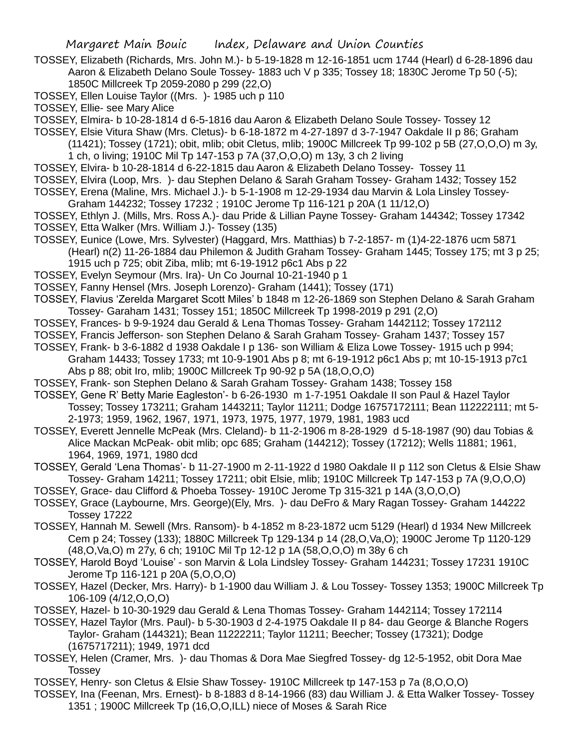TOSSEY, Elizabeth (Richards, Mrs. John M.)- b 5-19-1828 m 12-16-1851 ucm 1744 (Hearl) d 6-28-1896 dau Aaron & Elizabeth Delano Soule Tossey- 1883 uch V p 335; Tossey 18; 1830C Jerome Tp 50 (-5); 1850C Millcreek Tp 2059-2080 p 299 (22,O)

TOSSEY, Ellen Louise Taylor ((Mrs. )- 1985 uch p 110

TOSSEY, Ellie- see Mary Alice

TOSSEY, Elmira- b 10-28-1814 d 6-5-1816 dau Aaron & Elizabeth Delano Soule Tossey- Tossey 12

TOSSEY, Elsie Vitura Shaw (Mrs. Cletus)- b 6-18-1872 m 4-27-1897 d 3-7-1947 Oakdale II p 86; Graham

- (11421); Tossey (1721); obit, mlib; obit Cletus, mlib; 1900C Millcreek Tp 99-102 p 5B (27,O,O,O) m 3y, 1 ch, o living; 1910C Mil Tp 147-153 p 7A (37,O,O,O) m 13y, 3 ch 2 living
- TOSSEY, Elvira- b 10-28-1814 d 6-22-1815 dau Aaron & Elizabeth Delano Tossey- Tossey 11 TOSSEY, Elvira (Loop, Mrs. )- dau Stephen Delano & Sarah Graham Tossey- Graham 1432; Tossey 152
- TOSSEY, Erena (Maline, Mrs. Michael J.)- b 5-1-1908 m 12-29-1934 dau Marvin & Lola Linsley Tossey-Graham 144232; Tossey 17232 ; 1910C Jerome Tp 116-121 p 20A (1 11/12,O)
- TOSSEY, Ethlyn J. (Mills, Mrs. Ross A.)- dau Pride & Lillian Payne Tossey- Graham 144342; Tossey 17342 TOSSEY, Etta Walker (Mrs. William J.)- Tossey (135)
- TOSSEY, Eunice (Lowe, Mrs. Sylvester) (Haggard, Mrs. Matthias) b 7-2-1857- m (1)4-22-1876 ucm 5871 (Hearl) n(2) 11-26-1884 dau Philemon & Judith Graham Tossey- Graham 1445; Tossey 175; mt 3 p 25; 1915 uch p 725; obit Ziba, mlib; mt 6-19-1912 p6c1 Abs p 22
- TOSSEY, Evelyn Seymour (Mrs. Ira)- Un Co Journal 10-21-1940 p 1
- TOSSEY, Fanny Hensel (Mrs. Joseph Lorenzo)- Graham (1441); Tossey (171)
- TOSSEY, Flavius 'Zerelda Margaret Scott Miles' b 1848 m 12-26-1869 son Stephen Delano & Sarah Graham Tossey- Garaham 1431; Tossey 151; 1850C Millcreek Tp 1998-2019 p 291 (2,O)
- TOSSEY, Frances- b 9-9-1924 dau Gerald & Lena Thomas Tossey- Graham 1442112; Tossey 172112
- TOSSEY, Francis Jefferson- son Stephen Delano & Sarah Graham Tossey- Graham 1437; Tossey 157
- TOSSEY, Frank- b 3-6-1882 d 1938 Oakdale I p 136- son William & Eliza Lowe Tossey- 1915 uch p 994; Graham 14433; Tossey 1733; mt 10-9-1901 Abs p 8; mt 6-19-1912 p6c1 Abs p; mt 10-15-1913 p7c1 Abs p 88; obit Iro, mlib; 1900C Millcreek Tp 90-92 p 5A (18,O,O,O)
- TOSSEY, Frank- son Stephen Delano & Sarah Graham Tossey- Graham 1438; Tossey 158
- TOSSEY, Gene R' Betty Marie Eagleston'- b 6-26-1930 m 1-7-1951 Oakdale II son Paul & Hazel Taylor Tossey; Tossey 173211; Graham 1443211; Taylor 11211; Dodge 16757172111; Bean 112222111; mt 5- 2-1973; 1959, 1962, 1967, 1971, 1973, 1975, 1977, 1979, 1981, 1983 ucd
- TOSSEY, Everett Jennelle McPeak (Mrs. Cleland)- b 11-2-1906 m 8-28-1929 d 5-18-1987 (90) dau Tobias & Alice Mackan McPeak- obit mlib; opc 685; Graham (144212); Tossey (17212); Wells 11881; 1961, 1964, 1969, 1971, 1980 dcd
- TOSSEY, Gerald 'Lena Thomas'- b 11-27-1900 m 2-11-1922 d 1980 Oakdale II p 112 son Cletus & Elsie Shaw Tossey- Graham 14211; Tossey 17211; obit Elsie, mlib; 1910C Millcreek Tp 147-153 p 7A (9,O,O,O)
- TOSSEY, Grace- dau Clifford & Phoeba Tossey- 1910C Jerome Tp 315-321 p 14A (3,O,O,O)
- TOSSEY, Grace (Laybourne, Mrs. George)(Ely, Mrs. )- dau DeFro & Mary Ragan Tossey- Graham 144222 Tossey 17222
- TOSSEY, Hannah M. Sewell (Mrs. Ransom)- b 4-1852 m 8-23-1872 ucm 5129 (Hearl) d 1934 New Millcreek Cem p 24; Tossey (133); 1880C Millcreek Tp 129-134 p 14 (28,O,Va,O); 1900C Jerome Tp 1120-129 (48,O,Va,O) m 27y, 6 ch; 1910C Mil Tp 12-12 p 1A (58,O,O,O) m 38y 6 ch
- TOSSEY, Harold Boyd 'Louise' son Marvin & Lola Lindsley Tossey- Graham 144231; Tossey 17231 1910C Jerome Tp 116-121 p 20A (5,O,O,O)
- TOSSEY, Hazel (Decker, Mrs. Harry)- b 1-1900 dau William J. & Lou Tossey- Tossey 1353; 1900C Millcreek Tp 106-109 (4/12,O,O,O)
- TOSSEY, Hazel- b 10-30-1929 dau Gerald & Lena Thomas Tossey- Graham 1442114; Tossey 172114
- TOSSEY, Hazel Taylor (Mrs. Paul)- b 5-30-1903 d 2-4-1975 Oakdale II p 84- dau George & Blanche Rogers Taylor- Graham (144321); Bean 11222211; Taylor 11211; Beecher; Tossey (17321); Dodge (1675717211); 1949, 1971 dcd
- TOSSEY, Helen (Cramer, Mrs. )- dau Thomas & Dora Mae Siegfred Tossey- dg 12-5-1952, obit Dora Mae **Tossey**
- TOSSEY, Henry- son Cletus & Elsie Shaw Tossey- 1910C Millcreek tp 147-153 p 7a (8,O,O,O)
- TOSSEY, Ina (Feenan, Mrs. Ernest)- b 8-1883 d 8-14-1966 (83) dau William J. & Etta Walker Tossey- Tossey 1351 ; 1900C Millcreek Tp (16,O,O,ILL) niece of Moses & Sarah Rice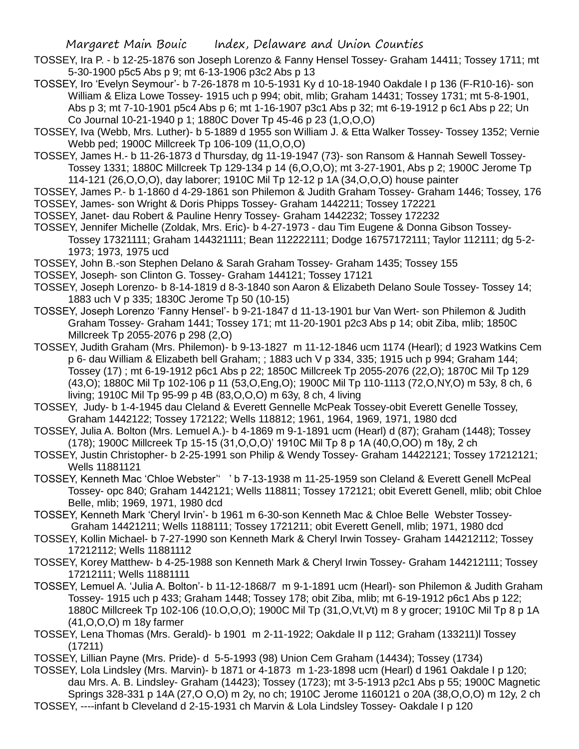- TOSSEY, Ira P. b 12-25-1876 son Joseph Lorenzo & Fanny Hensel Tossey- Graham 14411; Tossey 1711; mt 5-30-1900 p5c5 Abs p 9; mt 6-13-1906 p3c2 Abs p 13
- TOSSEY, Iro 'Evelyn Seymour'- b 7-26-1878 m 10-5-1931 Ky d 10-18-1940 Oakdale I p 136 (F-R10-16)- son William & Eliza Lowe Tossey- 1915 uch p 994; obit, mlib; Graham 14431; Tossey 1731; mt 5-8-1901, Abs p 3; mt 7-10-1901 p5c4 Abs p 6; mt 1-16-1907 p3c1 Abs p 32; mt 6-19-1912 p 6c1 Abs p 22; Un Co Journal 10-21-1940 p 1; 1880C Dover Tp 45-46 p 23 (1,O,O,O)
- TOSSEY, Iva (Webb, Mrs. Luther)- b 5-1889 d 1955 son William J. & Etta Walker Tossey- Tossey 1352; Vernie Webb ped; 1900C Millcreek Tp 106-109 (11,O,O,O)
- TOSSEY, James H.- b 11-26-1873 d Thursday, dg 11-19-1947 (73)- son Ransom & Hannah Sewell Tossey-Tossey 1331; 1880C Millcreek Tp 129-134 p 14 (6,O,O,O); mt 3-27-1901, Abs p 2; 1900C Jerome Tp 114-121 (26,O,O,O), day laborer; 1910C Mil Tp 12-12 p 1A (34,O,O,O) house painter
- TOSSEY, James P.- b 1-1860 d 4-29-1861 son Philemon & Judith Graham Tossey- Graham 1446; Tossey, 176 TOSSEY, James- son Wright & Doris Phipps Tossey- Graham 1442211; Tossey 172221
- TOSSEY, Janet- dau Robert & Pauline Henry Tossey- Graham 1442232; Tossey 172232
- TOSSEY, Jennifer Michelle (Zoldak, Mrs. Eric)- b 4-27-1973 dau Tim Eugene & Donna Gibson Tossey-Tossey 17321111; Graham 144321111; Bean 112222111; Dodge 16757172111; Taylor 112111; dg 5-2- 1973; 1973, 1975 ucd
- TOSSEY, John B.-son Stephen Delano & Sarah Graham Tossey- Graham 1435; Tossey 155
- TOSSEY, Joseph- son Clinton G. Tossey- Graham 144121; Tossey 17121
- TOSSEY, Joseph Lorenzo- b 8-14-1819 d 8-3-1840 son Aaron & Elizabeth Delano Soule Tossey- Tossey 14; 1883 uch V p 335; 1830C Jerome Tp 50 (10-15)
- TOSSEY, Joseph Lorenzo 'Fanny Hensel'- b 9-21-1847 d 11-13-1901 bur Van Wert- son Philemon & Judith Graham Tossey- Graham 1441; Tossey 171; mt 11-20-1901 p2c3 Abs p 14; obit Ziba, mlib; 1850C Millcreek Tp 2055-2076 p 298 (2,O)
- TOSSEY, Judith Graham (Mrs. Philemon)- b 9-13-1827 m 11-12-1846 ucm 1174 (Hearl); d 1923 Watkins Cem p 6- dau William & Elizabeth bell Graham; ; 1883 uch V p 334, 335; 1915 uch p 994; Graham 144; Tossey (17) ; mt 6-19-1912 p6c1 Abs p 22; 1850C Millcreek Tp 2055-2076 (22,O); 1870C Mil Tp 129 (43,O); 1880C Mil Tp 102-106 p 11 (53,O,Eng,O); 1900C Mil Tp 110-1113 (72,O,NY,O) m 53y, 8 ch, 6 living; 1910C Mil Tp 95-99 p 4B (83,O,O,O) m 63y, 8 ch, 4 living
- TOSSEY, Judy- b 1-4-1945 dau Cleland & Everett Gennelle McPeak Tossey-obit Everett Genelle Tossey, Graham 1442122; Tossey 172122; Wells 118812; 1961, 1964, 1969, 1971, 1980 dcd
- TOSSEY, Julia A. Bolton (Mrs. Lemuel A.)- b 4-1869 m 9-1-1891 ucm (Hearl) d (87); Graham (1448); Tossey (178); 1900C Millcreek Tp 15-15 (31,O,O,O)' 1910C Mil Tp 8 p 1A (40,O,OO) m 18y, 2 ch
- TOSSEY, Justin Christopher- b 2-25-1991 son Philip & Wendy Tossey- Graham 14422121; Tossey 17212121; Wells 11881121
- TOSSEY, Kenneth Mac 'Chloe Webster'' ' b 7-13-1938 m 11-25-1959 son Cleland & Everett Genell McPeal Tossey- opc 840; Graham 1442121; Wells 118811; Tossey 172121; obit Everett Genell, mlib; obit Chloe Belle, mlib; 1969, 1971, 1980 dcd
- TOSSEY, Kenneth Mark 'Cheryl Irvin'- b 1961 m 6-30-son Kenneth Mac & Chloe Belle Webster Tossey-Graham 14421211; Wells 1188111; Tossey 1721211; obit Everett Genell, mlib; 1971, 1980 dcd
- TOSSEY, Kollin Michael- b 7-27-1990 son Kenneth Mark & Cheryl Irwin Tossey- Graham 144212112; Tossey 17212112; Wells 11881112
- TOSSEY, Korey Matthew- b 4-25-1988 son Kenneth Mark & Cheryl Irwin Tossey- Graham 144212111; Tossey 17212111; Wells 11881111
- TOSSEY, Lemuel A. 'Julia A. Bolton'- b 11-12-1868/7 m 9-1-1891 ucm (Hearl)- son Philemon & Judith Graham Tossey- 1915 uch p 433; Graham 1448; Tossey 178; obit Ziba, mlib; mt 6-19-1912 p6c1 Abs p 122; 1880C Millcreek Tp 102-106 (10.O,O,O); 1900C Mil Tp (31,O,Vt,Vt) m 8 y grocer; 1910C Mil Tp 8 p 1A (41,O,O,O) m 18y farmer
- TOSSEY, Lena Thomas (Mrs. Gerald)- b 1901 m 2-11-1922; Oakdale II p 112; Graham (133211)l Tossey (17211)
- TOSSEY, Lillian Payne (Mrs. Pride)- d 5-5-1993 (98) Union Cem Graham (14434); Tossey (1734)
- TOSSEY, Lola Lindsley (Mrs. Marvin)- b 1871 or 4-1873 m 1-23-1898 ucm (Hearl) d 1961 Oakdale I p 120; dau Mrs. A. B. Lindsley- Graham (14423); Tossey (1723); mt 3-5-1913 p2c1 Abs p 55; 1900C Magnetic Springs 328-331 p 14A (27,O O,O) m 2y, no ch; 1910C Jerome 1160121 o 20A (38,O,O,O) m 12y, 2 ch TOSSEY, ----infant b Cleveland d 2-15-1931 ch Marvin & Lola Lindsley Tossey- Oakdale I p 120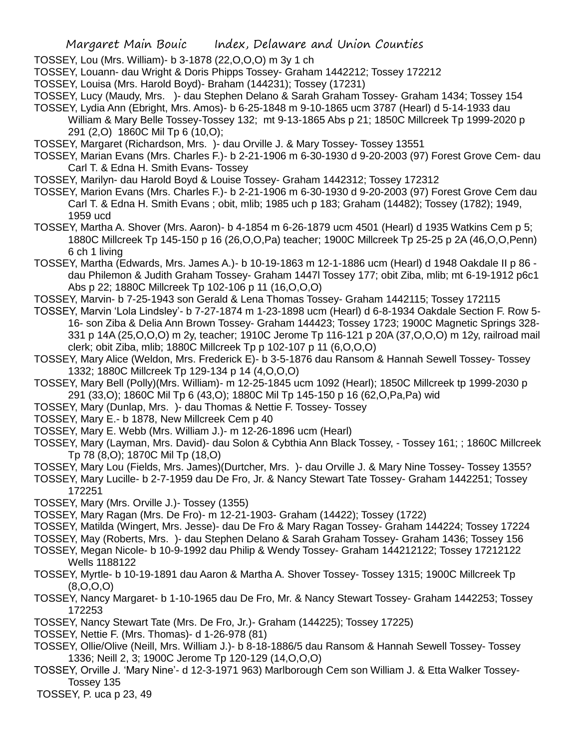TOSSEY, Lou (Mrs. William)- b 3-1878 (22,O,O,O) m 3y 1 ch

TOSSEY, Louann- dau Wright & Doris Phipps Tossey- Graham 1442212; Tossey 172212

TOSSEY, Louisa (Mrs. Harold Boyd)- Braham (144231); Tossey (17231)

TOSSEY, Lucy (Maudy, Mrs. )- dau Stephen Delano & Sarah Graham Tossey- Graham 1434; Tossey 154 TOSSEY, Lydia Ann (Ebright, Mrs. Amos)- b 6-25-1848 m 9-10-1865 ucm 3787 (Hearl) d 5-14-1933 dau

William & Mary Belle Tossey-Tossey 132; mt 9-13-1865 Abs p 21; 1850C Millcreek Tp 1999-2020 p 291 (2,O) 1860C Mil Tp 6 (10,O);

TOSSEY, Margaret (Richardson, Mrs. )- dau Orville J. & Mary Tossey- Tossey 13551

TOSSEY, Marian Evans (Mrs. Charles F.)- b 2-21-1906 m 6-30-1930 d 9-20-2003 (97) Forest Grove Cem- dau Carl T. & Edna H. Smith Evans- Tossey

TOSSEY, Marilyn- dau Harold Boyd & Louise Tossey- Graham 1442312; Tossey 172312

TOSSEY, Marion Evans (Mrs. Charles F.)- b 2-21-1906 m 6-30-1930 d 9-20-2003 (97) Forest Grove Cem dau Carl T. & Edna H. Smith Evans ; obit, mlib; 1985 uch p 183; Graham (14482); Tossey (1782); 1949, 1959 ucd

TOSSEY, Martha A. Shover (Mrs. Aaron)- b 4-1854 m 6-26-1879 ucm 4501 (Hearl) d 1935 Watkins Cem p 5; 1880C Millcreek Tp 145-150 p 16 (26,O,O,Pa) teacher; 1900C Millcreek Tp 25-25 p 2A (46,O,O,Penn) 6 ch 1 living

TOSSEY, Martha (Edwards, Mrs. James A.)- b 10-19-1863 m 12-1-1886 ucm (Hearl) d 1948 Oakdale II p 86 dau Philemon & Judith Graham Tossey- Graham 1447l Tossey 177; obit Ziba, mlib; mt 6-19-1912 p6c1 Abs p 22; 1880C Millcreek Tp 102-106 p 11 (16,O,O,O)

TOSSEY, Marvin- b 7-25-1943 son Gerald & Lena Thomas Tossey- Graham 1442115; Tossey 172115

TOSSEY, Marvin 'Lola Lindsley'- b 7-27-1874 m 1-23-1898 ucm (Hearl) d 6-8-1934 Oakdale Section F. Row 5- 16- son Ziba & Delia Ann Brown Tossey- Graham 144423; Tossey 1723; 1900C Magnetic Springs 328- 331 p 14A (25,O,O,O) m 2y, teacher; 1910C Jerome Tp 116-121 p 20A (37,O,O,O) m 12y, railroad mail clerk; obit Ziba, mlib; 1880C Millcreek Tp p 102-107 p 11 (6,O,O,O)

TOSSEY, Mary Alice (Weldon, Mrs. Frederick E)- b 3-5-1876 dau Ransom & Hannah Sewell Tossey- Tossey 1332; 1880C Millcreek Tp 129-134 p 14 (4,O,O,O)

- TOSSEY, Mary Bell (Polly)(Mrs. William)- m 12-25-1845 ucm 1092 (Hearl); 1850C Millcreek tp 1999-2030 p 291 (33,O); 1860C Mil Tp 6 (43,O); 1880C Mil Tp 145-150 p 16 (62,O,Pa,Pa) wid
- TOSSEY, Mary (Dunlap, Mrs. )- dau Thomas & Nettie F. Tossey- Tossey

TOSSEY, Mary E.- b 1878, New Millcreek Cem p 40

- TOSSEY, Mary E. Webb (Mrs. William J.)- m 12-26-1896 ucm (Hearl)
- TOSSEY, Mary (Layman, Mrs. David)- dau Solon & Cybthia Ann Black Tossey, Tossey 161; ; 1860C Millcreek Tp 78 (8,O); 1870C Mil Tp (18,O)

TOSSEY, Mary Lou (Fields, Mrs. James)(Durtcher, Mrs. )- dau Orville J. & Mary Nine Tossey- Tossey 1355?

TOSSEY, Mary Lucille- b 2-7-1959 dau De Fro, Jr. & Nancy Stewart Tate Tossey- Graham 1442251; Tossey 172251

TOSSEY, Mary (Mrs. Orville J.)- Tossey (1355)

TOSSEY, Mary Ragan (Mrs. De Fro)- m 12-21-1903- Graham (14422); Tossey (1722)

TOSSEY, Matilda (Wingert, Mrs. Jesse)- dau De Fro & Mary Ragan Tossey- Graham 144224; Tossey 17224

TOSSEY, May (Roberts, Mrs. )- dau Stephen Delano & Sarah Graham Tossey- Graham 1436; Tossey 156

TOSSEY, Megan Nicole- b 10-9-1992 dau Philip & Wendy Tossey- Graham 144212122; Tossey 17212122 Wells 1188122

- TOSSEY, Myrtle- b 10-19-1891 dau Aaron & Martha A. Shover Tossey- Tossey 1315; 1900C Millcreek Tp (8,O,O,O)
- TOSSEY, Nancy Margaret- b 1-10-1965 dau De Fro, Mr. & Nancy Stewart Tossey- Graham 1442253; Tossey 172253

TOSSEY, Nancy Stewart Tate (Mrs. De Fro, Jr.)- Graham (144225); Tossey 17225)

TOSSEY, Nettie F. (Mrs. Thomas)- d 1-26-978 (81)

- TOSSEY, Ollie/Olive (Neill, Mrs. William J.)- b 8-18-1886/5 dau Ransom & Hannah Sewell Tossey- Tossey 1336; Neill 2, 3; 1900C Jerome Tp 120-129 (14,O,O,O)
- TOSSEY, Orville J. 'Mary Nine'- d 12-3-1971 963) Marlborough Cem son William J. & Etta Walker Tossey-Tossey 135

TOSSEY, P. uca p 23, 49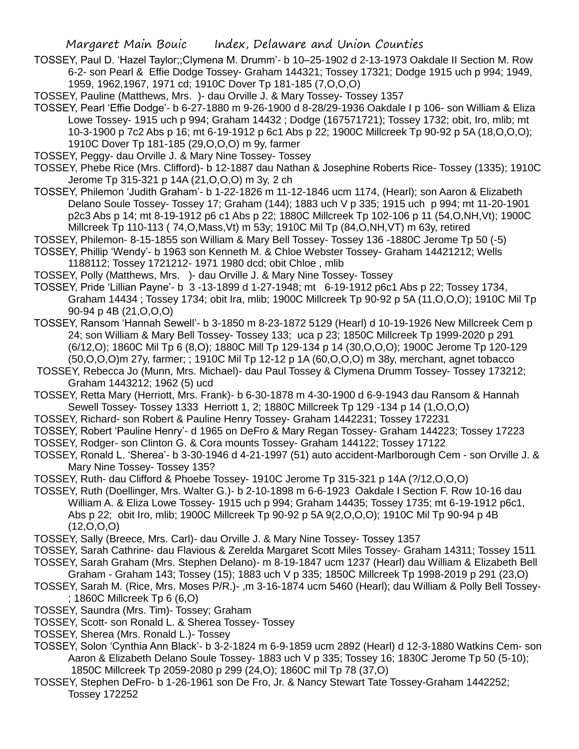- TOSSEY, Paul D. 'Hazel Taylor;;Clymena M. Drumm'- b 10–25-1902 d 2-13-1973 Oakdale II Section M. Row 6-2- son Pearl & Effie Dodge Tossey- Graham 144321; Tossey 17321; Dodge 1915 uch p 994; 1949, 1959, 1962,1967, 1971 cd; 1910C Dover Tp 181-185 (7,O,O,O)
- TOSSEY, Pauline (Matthews, Mrs. )- dau Orville J. & Mary Tossey- Tossey 1357
- TOSSEY, Pearl 'Effie Dodge'- b 6-27-1880 m 9-26-1900 d 8-28/29-1936 Oakdale I p 106- son William & Eliza Lowe Tossey- 1915 uch p 994; Graham 14432 ; Dodge (167571721); Tossey 1732; obit, Iro, mlib; mt 10-3-1900 p 7c2 Abs p 16; mt 6-19-1912 p 6c1 Abs p 22; 1900C Millcreek Tp 90-92 p 5A (18,O,O,O); 1910C Dover Tp 181-185 (29,O,O,O) m 9y, farmer
- TOSSEY, Peggy- dau Orville J. & Mary Nine Tossey- Tossey
- TOSSEY, Phebe Rice (Mrs. Clifford)- b 12-1887 dau Nathan & Josephine Roberts Rice- Tossey (1335); 1910C Jerome Tp 315-321 p 14A (21,O,O,O) m 3y, 2 ch
- TOSSEY, Philemon 'Judith Graham'- b 1-22-1826 m 11-12-1846 ucm 1174, (Hearl); son Aaron & Elizabeth Delano Soule Tossey- Tossey 17; Graham (144); 1883 uch V p 335; 1915 uch p 994; mt 11-20-1901 p2c3 Abs p 14; mt 8-19-1912 p6 c1 Abs p 22; 1880C Millcreek Tp 102-106 p 11 (54,O,NH,Vt); 1900C Millcreek Tp 110-113 ( 74,O,Mass,Vt) m 53y; 1910C Mil Tp (84,O,NH,VT) m 63y, retired
- TOSSEY, Philemon- 8-15-1855 son William & Mary Bell Tossey- Tossey 136 -1880C Jerome Tp 50 (-5)
- TOSSEY, Phillip 'Wendy'- b 1963 son Kenneth M. & Chloe Webster Tossey- Graham 14421212; Wells 1188112; Tossey 1721212- 1971 1980 dcd; obit Chloe , mlib
- TOSSEY, Polly (Matthews, Mrs. )- dau Orville J. & Mary Nine Tossey- Tossey
- TOSSEY, Pride 'Lillian Payne'- b 3 -13-1899 d 1-27-1948; mt 6-19-1912 p6c1 Abs p 22; Tossey 1734, Graham 14434 ; Tossey 1734; obit Ira, mlib; 1900C Millcreek Tp 90-92 p 5A (11,O,O,O); 1910C Mil Tp 90-94 p 4B (21,O,O,O)
- TOSSEY, Ransom 'Hannah Sewell'- b 3-1850 m 8-23-1872 5129 (Hearl) d 10-19-1926 New Millcreek Cem p 24; son William & Mary Bell Tossey- Tossey 133; uca p 23; 1850C Millcreek Tp 1999-2020 p 291 (6/12,O); 1860C Mil Tp 6 (8,O); 1880C Mill Tp 129-134 p 14 (30,O,O,O); 1900C Jerome Tp 120-129 (50,O,O,O)m 27y, farmer; ; 1910C Mil Tp 12-12 p 1A (60,O,O,O) m 38y, merchant, agnet tobacco
- TOSSEY, Rebecca Jo (Munn, Mrs. Michael)- dau Paul Tossey & Clymena Drumm Tossey- Tossey 173212; Graham 1443212; 1962 (5) ucd
- TOSSEY, Retta Mary (Herriott, Mrs. Frank)- b 6-30-1878 m 4-30-1900 d 6-9-1943 dau Ransom & Hannah Sewell Tossey- Tossey 1333 Herriott 1, 2; 1880C Millcreek Tp 129 -134 p 14 (1,O,O,O)
- TOSSEY, Richard- son Robert & Pauline Henry Tossey- Graham 1442231; Tossey 172231
- TOSSEY, Robert 'Pauline Henry'- d 1965 on DeFro & Mary Regan Tossey- Graham 144223; Tossey 17223
- TOSSEY, Rodger- son Clinton G. & Cora mounts Tossey- Graham 144122; Tossey 17122
- TOSSEY, Ronald L. 'Sherea'- b 3-30-1946 d 4-21-1997 (51) auto accident-Marlborough Cem son Orville J. & Mary Nine Tossey- Tossey 135?
- TOSSEY, Ruth- dau Clifford & Phoebe Tossey- 1910C Jerome Tp 315-321 p 14A (?/12,O,O,O)
- TOSSEY, Ruth (Doellinger, Mrs. Walter G.)- b 2-10-1898 m 6-6-1923 Oakdale I Section F. Row 10-16 dau William A. & Eliza Lowe Tossey- 1915 uch p 994; Graham 14435; Tossey 1735; mt 6-19-1912 p6c1, Abs p 22; obit Iro, mlib; 1900C Millcreek Tp 90-92 p 5A 9(2,O,O,O); 1910C Mil Tp 90-94 p 4B  $(12,0,0,0)$
- TOSSEY, Sally (Breece, Mrs. Carl)- dau Orville J. & Mary Nine Tossey- Tossey 1357
- TOSSEY, Sarah Cathrine- dau Flavious & Zerelda Margaret Scott Miles Tossey- Graham 14311; Tossey 1511
- TOSSEY, Sarah Graham (Mrs. Stephen Delano)- m 8-19-1847 ucm 1237 (Hearl) dau William & Elizabeth Bell Graham - Graham 143; Tossey (15); 1883 uch V p 335; 1850C Millcreek Tp 1998-2019 p 291 (23,O)
- TOSSEY, Sarah M. (Rice, Mrs. Moses P/R.)- ,m 3-16-1874 ucm 5460 (Hearl); dau William & Polly Bell Tossey- ; 1860C Millcreek Tp 6 (6,O)
- TOSSEY, Saundra (Mrs. Tim)- Tossey; Graham
- TOSSEY, Scott- son Ronald L. & Sherea Tossey- Tossey
- TOSSEY, Sherea (Mrs. Ronald L.)- Tossey
- TOSSEY, Solon 'Cynthia Ann Black'- b 3-2-1824 m 6-9-1859 ucm 2892 (Hearl) d 12-3-1880 Watkins Cem- son Aaron & Elizabeth Delano Soule Tossey- 1883 uch V p 335; Tossey 16; 1830C Jerome Tp 50 (5-10); 1850C Millcreek Tp 2059-2080 p 299 (24,O); 1860C mil Tp 78 (37,O)
- TOSSEY, Stephen DeFro- b 1-26-1961 son De Fro, Jr. & Nancy Stewart Tate Tossey-Graham 1442252; Tossey 172252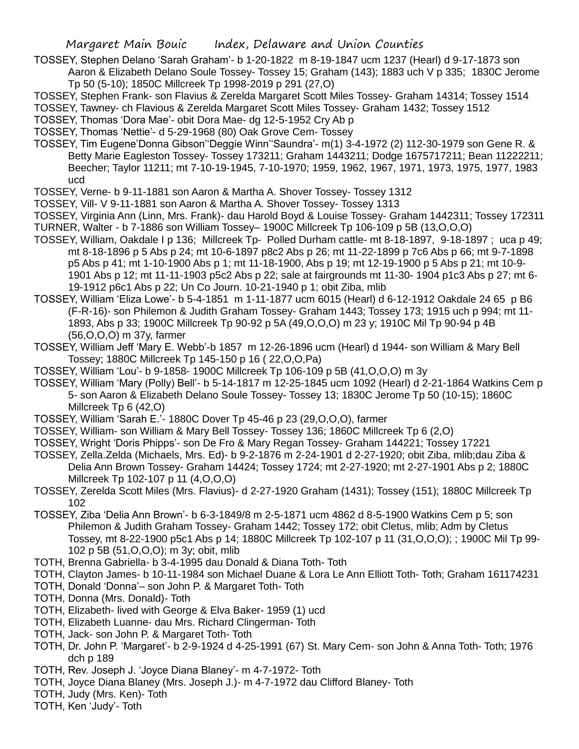- TOSSEY, Stephen Delano 'Sarah Graham'- b 1-20-1822 m 8-19-1847 ucm 1237 (Hearl) d 9-17-1873 son Aaron & Elizabeth Delano Soule Tossey- Tossey 15; Graham (143); 1883 uch V p 335; 1830C Jerome
	- Tp 50 (5-10); 1850C Millcreek Tp 1998-2019 p 291 (27,O)

TOSSEY, Stephen Frank- son Flavius & Zerelda Margaret Scott Miles Tossey- Graham 14314; Tossey 1514 TOSSEY, Tawney- ch Flavious & Zerelda Margaret Scott Miles Tossey- Graham 1432; Tossey 1512

- TOSSEY, Thomas 'Dora Mae'- obit Dora Mae- dg 12-5-1952 Cry Ab p
- TOSSEY, Thomas 'Nettie'- d 5-29-1968 (80) Oak Grove Cem- Tossey
- TOSSEY, Tim Eugene'Donna Gibson''Deggie Winn''Saundra'- m(1) 3-4-1972 (2) 112-30-1979 son Gene R. & Betty Marie Eagleston Tossey- Tossey 173211; Graham 1443211; Dodge 1675717211; Bean 11222211; Beecher; Taylor 11211; mt 7-10-19-1945, 7-10-1970; 1959, 1962, 1967, 1971, 1973, 1975, 1977, 1983 ucd
- TOSSEY, Verne- b 9-11-1881 son Aaron & Martha A. Shover Tossey- Tossey 1312
- TOSSEY, Vill- V 9-11-1881 son Aaron & Martha A. Shover Tossey- Tossey 1313
- TOSSEY, Virginia Ann (Linn, Mrs. Frank)- dau Harold Boyd & Louise Tossey- Graham 1442311; Tossey 172311 TURNER, Walter - b 7-1886 son William Tossey– 1900C Millcreek Tp 106-109 p 5B (13,O,O,O)
- TOSSEY, William, Oakdale I p 136; Millcreek Tp- Polled Durham cattle- mt 8-18-1897, 9-18-1897 ; uca p 49; mt 8-18-1896 p 5 Abs p 24; mt 10-6-1897 p8c2 Abs p 26; mt 11-22-1899 p 7c6 Abs p 66; mt 9-7-1898 p5 Abs p 41; mt 1-10-1900 Abs p 1; mt 11-18-1900, Abs p 19; mt 12-19-1900 p 5 Abs p 21; mt 10-9- 1901 Abs p 12; mt 11-11-1903 p5c2 Abs p 22; sale at fairgrounds mt 11-30- 1904 p1c3 Abs p 27; mt 6- 19-1912 p6c1 Abs p 22; Un Co Journ. 10-21-1940 p 1; obit Ziba, mlib
- TOSSEY, William 'Eliza Lowe'- b 5-4-1851 m 1-11-1877 ucm 6015 (Hearl) d 6-12-1912 Oakdale 24 65 p B6 (F-R-16)- son Philemon & Judith Graham Tossey- Graham 1443; Tossey 173; 1915 uch p 994; mt 11- 1893, Abs p 33; 1900C Millcreek Tp 90-92 p 5A (49,O,O,O) m 23 y; 1910C Mil Tp 90-94 p 4B (56,O,O,O) m 37y, farmer
- TOSSEY, William Jeff 'Mary E. Webb'-b 1857 m 12-26-1896 ucm (Hearl) d 1944- son William & Mary Bell Tossey; 1880C Millcreek Tp 145-150 p 16 ( 22,O,O,Pa)
- TOSSEY, William 'Lou'- b 9-1858- 1900C Millcreek Tp 106-109 p 5B (41,O,O,O) m 3y
- TOSSEY, William 'Mary (Polly) Bell'- b 5-14-1817 m 12-25-1845 ucm 1092 (Hearl) d 2-21-1864 Watkins Cem p 5- son Aaron & Elizabeth Delano Soule Tossey- Tossey 13; 1830C Jerome Tp 50 (10-15); 1860C Millcreek Tp 6 (42,O)
- TOSSEY, William 'Sarah E.'- 1880C Dover Tp 45-46 p 23 (29,O,O,O), farmer
- TOSSEY, William- son William & Mary Bell Tossey- Tossey 136; 1860C Millcreek Tp 6 (2,O)
- TOSSEY, Wright 'Doris Phipps'- son De Fro & Mary Regan Tossey- Graham 144221; Tossey 17221
- TOSSEY, Zella.Zelda (Michaels, Mrs. Ed)- b 9-2-1876 m 2-24-1901 d 2-27-1920; obit Ziba, mlib;dau Ziba & Delia Ann Brown Tossey- Graham 14424; Tossey 1724; mt 2-27-1920; mt 2-27-1901 Abs p 2; 1880C Millcreek Tp 102-107 p 11 (4,O,O,O)
- TOSSEY, Zerelda Scott Miles (Mrs. Flavius)- d 2-27-1920 Graham (1431); Tossey (151); 1880C Millcreek Tp 102
- TOSSEY, Ziba 'Delia Ann Brown'- b 6-3-1849/8 m 2-5-1871 ucm 4862 d 8-5-1900 Watkins Cem p 5; son Philemon & Judith Graham Tossey- Graham 1442; Tossey 172; obit Cletus, mlib; Adm by Cletus Tossey, mt 8-22-1900 p5c1 Abs p 14; 1880C Millcreek Tp 102-107 p 11 (31,O,O,O); ; 1900C Mil Tp 99- 102 p 5B (51,O,O,O); m 3y; obit, mlib
- TOTH, Brenna Gabriella- b 3-4-1995 dau Donald & Diana Toth- Toth
- TOTH, Clayton James- b 10-11-1984 son Michael Duane & Lora Le Ann Elliott Toth- Toth; Graham 161174231
- TOTH, Donald 'Donna'– son John P. & Margaret Toth- Toth
- TOTH, Donna (Mrs. Donald)- Toth
- TOTH, Elizabeth- lived with George & Elva Baker- 1959 (1) ucd
- TOTH, Elizabeth Luanne- dau Mrs. Richard Clingerman- Toth
- TOTH, Jack- son John P. & Margaret Toth- Toth
- TOTH, Dr. John P. 'Margaret'- b 2-9-1924 d 4-25-1991 (67) St. Mary Cem- son John & Anna Toth- Toth; 1976 dch p 189
- TOTH, Rev. Joseph J. 'Joyce Diana Blaney'- m 4-7-1972- Toth
- TOTH, Joyce Diana Blaney (Mrs. Joseph J.)- m 4-7-1972 dau Clifford Blaney- Toth
- TOTH, Judy (Mrs. Ken)- Toth
- TOTH, Ken 'Judy'- Toth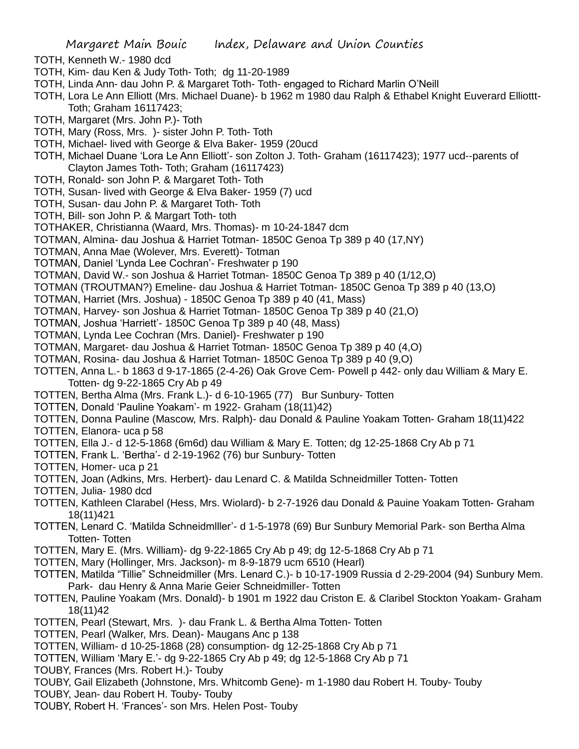- TOTH, Kenneth W.- 1980 dcd
- TOTH, Kim- dau Ken & Judy Toth- Toth; dg 11-20-1989
- TOTH, Linda Ann- dau John P. & Margaret Toth- Toth- engaged to Richard Marlin O'Neill
- TOTH, Lora Le Ann Elliott (Mrs. Michael Duane)- b 1962 m 1980 dau Ralph & Ethabel Knight Euverard Elliottt-Toth; Graham 16117423;
- TOTH, Margaret (Mrs. John P.)- Toth
- TOTH, Mary (Ross, Mrs. )- sister John P. Toth- Toth
- TOTH, Michael- lived with George & Elva Baker- 1959 (20ucd
- TOTH, Michael Duane 'Lora Le Ann Elliott'- son Zolton J. Toth- Graham (16117423); 1977 ucd--parents of Clayton James Toth- Toth; Graham (16117423)
- TOTH, Ronald- son John P. & Margaret Toth- Toth
- TOTH, Susan- lived with George & Elva Baker- 1959 (7) ucd
- TOTH, Susan- dau John P. & Margaret Toth- Toth
- TOTH, Bill- son John P. & Margart Toth- toth
- TOTHAKER, Christianna (Waard, Mrs. Thomas)- m 10-24-1847 dcm
- TOTMAN, Almina- dau Joshua & Harriet Totman- 1850C Genoa Tp 389 p 40 (17,NY)
- TOTMAN, Anna Mae (Wolever, Mrs. Everett)- Totman
- TOTMAN, Daniel 'Lynda Lee Cochran'- Freshwater p 190
- TOTMAN, David W.- son Joshua & Harriet Totman- 1850C Genoa Tp 389 p 40 (1/12,O)
- TOTMAN (TROUTMAN?) Emeline- dau Joshua & Harriet Totman- 1850C Genoa Tp 389 p 40 (13,O)
- TOTMAN, Harriet (Mrs. Joshua) 1850C Genoa Tp 389 p 40 (41, Mass)
- TOTMAN, Harvey- son Joshua & Harriet Totman- 1850C Genoa Tp 389 p 40 (21,O)
- TOTMAN, Joshua 'Harriett'- 1850C Genoa Tp 389 p 40 (48, Mass)
- TOTMAN, Lynda Lee Cochran (Mrs. Daniel)- Freshwater p 190
- TOTMAN, Margaret- dau Joshua & Harriet Totman- 1850C Genoa Tp 389 p 40 (4,O)
- TOTMAN, Rosina- dau Joshua & Harriet Totman- 1850C Genoa Tp 389 p 40 (9,O)
- TOTTEN, Anna L.- b 1863 d 9-17-1865 (2-4-26) Oak Grove Cem- Powell p 442- only dau William & Mary E. Totten- dg 9-22-1865 Cry Ab p 49
- TOTTEN, Bertha Alma (Mrs. Frank L.)- d 6-10-1965 (77) Bur Sunbury- Totten
- TOTTEN, Donald 'Pauline Yoakam'- m 1922- Graham (18(11)42)
- TOTTEN, Donna Pauline (Mascow, Mrs. Ralph)- dau Donald & Pauline Yoakam Totten- Graham 18(11)422
- TOTTEN, Elanora- uca p 58
- TOTTEN, Ella J.- d 12-5-1868 (6m6d) dau William & Mary E. Totten; dg 12-25-1868 Cry Ab p 71
- TOTTEN, Frank L. 'Bertha'- d 2-19-1962 (76) bur Sunbury- Totten
- TOTTEN, Homer- uca p 21
- TOTTEN, Joan (Adkins, Mrs. Herbert)- dau Lenard C. & Matilda Schneidmiller Totten- Totten
- TOTTEN, Julia- 1980 dcd
- TOTTEN, Kathleen Clarabel (Hess, Mrs. Wiolard)- b 2-7-1926 dau Donald & Pauine Yoakam Totten- Graham 18(11)421
- TOTTEN, Lenard C. 'Matilda Schneidmlller'- d 1-5-1978 (69) Bur Sunbury Memorial Park- son Bertha Alma Totten- Totten
- TOTTEN, Mary E. (Mrs. William)- dg 9-22-1865 Cry Ab p 49; dg 12-5-1868 Cry Ab p 71
- TOTTEN, Mary (Hollinger, Mrs. Jackson)- m 8-9-1879 ucm 6510 (Hearl)
- TOTTEN, Matilda "Tillie" Schneidmiller (Mrs. Lenard C.)- b 10-17-1909 Russia d 2-29-2004 (94) Sunbury Mem. Park- dau Henry & Anna Marie Geier Schneidmiller- Totten
- TOTTEN, Pauline Yoakam (Mrs. Donald)- b 1901 m 1922 dau Criston E. & Claribel Stockton Yoakam- Graham 18(11)42
- TOTTEN, Pearl (Stewart, Mrs. )- dau Frank L. & Bertha Alma Totten- Totten
- TOTTEN, Pearl (Walker, Mrs. Dean)- Maugans Anc p 138
- TOTTEN, William- d 10-25-1868 (28) consumption- dg 12-25-1868 Cry Ab p 71
- TOTTEN, William 'Mary E.'- dg 9-22-1865 Cry Ab p 49; dg 12-5-1868 Cry Ab p 71
- TOUBY, Frances (Mrs. Robert H.)- Touby
- TOUBY, Gail Elizabeth (Johnstone, Mrs. Whitcomb Gene)- m 1-1980 dau Robert H. Touby- Touby
- TOUBY, Jean- dau Robert H. Touby- Touby
- TOUBY, Robert H. 'Frances'- son Mrs. Helen Post- Touby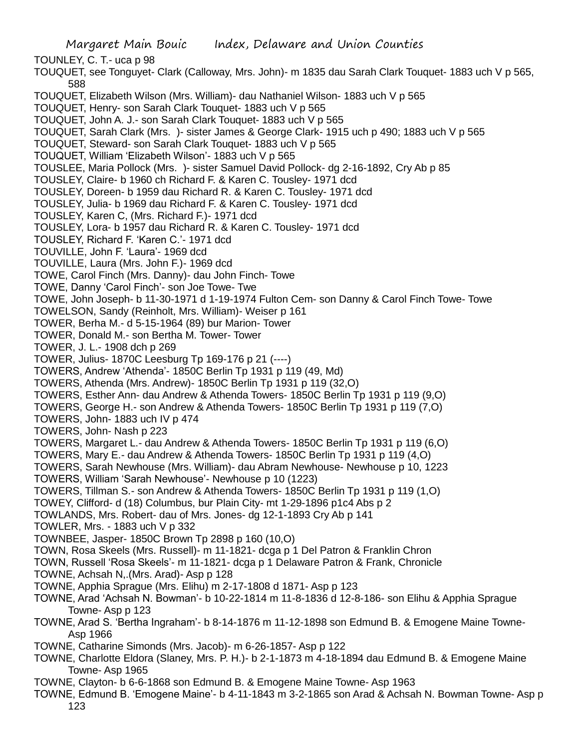TOUNLEY, C. T.- uca p 98

- TOUQUET, see Tonguyet- Clark (Calloway, Mrs. John)- m 1835 dau Sarah Clark Touquet- 1883 uch V p 565, 588
- TOUQUET, Elizabeth Wilson (Mrs. William)- dau Nathaniel Wilson- 1883 uch V p 565
- TOUQUET, Henry- son Sarah Clark Touquet- 1883 uch V p 565
- TOUQUET, John A. J.- son Sarah Clark Touquet- 1883 uch V p 565
- TOUQUET, Sarah Clark (Mrs. )- sister James & George Clark- 1915 uch p 490; 1883 uch V p 565
- TOUQUET, Steward- son Sarah Clark Touquet- 1883 uch V p 565
- TOUQUET, William 'Elizabeth Wilson'- 1883 uch V p 565
- TOUSLEE, Maria Pollock (Mrs. )- sister Samuel David Pollock- dg 2-16-1892, Cry Ab p 85
- TOUSLEY, Claire- b 1960 ch Richard F. & Karen C. Tousley- 1971 dcd
- TOUSLEY, Doreen- b 1959 dau Richard R. & Karen C. Tousley- 1971 dcd
- TOUSLEY, Julia- b 1969 dau Richard F. & Karen C. Tousley- 1971 dcd
- TOUSLEY, Karen C, (Mrs. Richard F.)- 1971 dcd
- TOUSLEY, Lora- b 1957 dau Richard R. & Karen C. Tousley- 1971 dcd
- TOUSLEY, Richard F. 'Karen C.'- 1971 dcd
- TOUVILLE, John F. 'Laura'- 1969 dcd
- TOUVILLE, Laura (Mrs. John F.)- 1969 dcd
- TOWE, Carol Finch (Mrs. Danny)- dau John Finch- Towe
- TOWE, Danny 'Carol Finch'- son Joe Towe- Twe
- TOWE, John Joseph- b 11-30-1971 d 1-19-1974 Fulton Cem- son Danny & Carol Finch Towe- Towe
- TOWELSON, Sandy (Reinholt, Mrs. William)- Weiser p 161
- TOWER, Berha M.- d 5-15-1964 (89) bur Marion- Tower
- TOWER, Donald M.- son Bertha M. Tower- Tower
- TOWER, J. L.- 1908 dch p 269
- TOWER, Julius- 1870C Leesburg Tp 169-176 p 21 (----)
- TOWERS, Andrew 'Athenda'- 1850C Berlin Tp 1931 p 119 (49, Md)
- TOWERS, Athenda (Mrs. Andrew)- 1850C Berlin Tp 1931 p 119 (32,O)
- TOWERS, Esther Ann- dau Andrew & Athenda Towers- 1850C Berlin Tp 1931 p 119 (9,O)
- TOWERS, George H.- son Andrew & Athenda Towers- 1850C Berlin Tp 1931 p 119 (7,O)
- TOWERS, John- 1883 uch IV p 474
- TOWERS, John- Nash p 223
- TOWERS, Margaret L.- dau Andrew & Athenda Towers- 1850C Berlin Tp 1931 p 119 (6,O)
- TOWERS, Mary E.- dau Andrew & Athenda Towers- 1850C Berlin Tp 1931 p 119 (4,O)
- TOWERS, Sarah Newhouse (Mrs. William)- dau Abram Newhouse- Newhouse p 10, 1223
- TOWERS, William 'Sarah Newhouse'- Newhouse p 10 (1223)
- TOWERS, Tillman S.- son Andrew & Athenda Towers- 1850C Berlin Tp 1931 p 119 (1,O)
- TOWEY, Clifford- d (18) Columbus, bur Plain City- mt 1-29-1896 p1c4 Abs p 2
- TOWLANDS, Mrs. Robert- dau of Mrs. Jones- dg 12-1-1893 Cry Ab p 141
- TOWLER, Mrs. 1883 uch V p 332
- TOWNBEE, Jasper- 1850C Brown Tp 2898 p 160 (10,O)
- TOWN, Rosa Skeels (Mrs. Russell)- m 11-1821- dcga p 1 Del Patron & Franklin Chron
- TOWN, Russell 'Rosa Skeels'- m 11-1821- dcga p 1 Delaware Patron & Frank, Chronicle
- TOWNE, Achsah N,.(Mrs. Arad)- Asp p 128
- TOWNE, Apphia Sprague (Mrs. Elihu) m 2-17-1808 d 1871- Asp p 123
- TOWNE, Arad 'Achsah N. Bowman'- b 10-22-1814 m 11-8-1836 d 12-8-186- son Elihu & Apphia Sprague Towne- Asp p 123
- TOWNE, Arad S. 'Bertha Ingraham'- b 8-14-1876 m 11-12-1898 son Edmund B. & Emogene Maine Towne-Asp 1966
- TOWNE, Catharine Simonds (Mrs. Jacob)- m 6-26-1857- Asp p 122
- TOWNE, Charlotte Eldora (Slaney, Mrs. P. H.)- b 2-1-1873 m 4-18-1894 dau Edmund B. & Emogene Maine Towne- Asp 1965
- TOWNE, Clayton- b 6-6-1868 son Edmund B. & Emogene Maine Towne- Asp 1963
- TOWNE, Edmund B. 'Emogene Maine'- b 4-11-1843 m 3-2-1865 son Arad & Achsah N. Bowman Towne- Asp p 123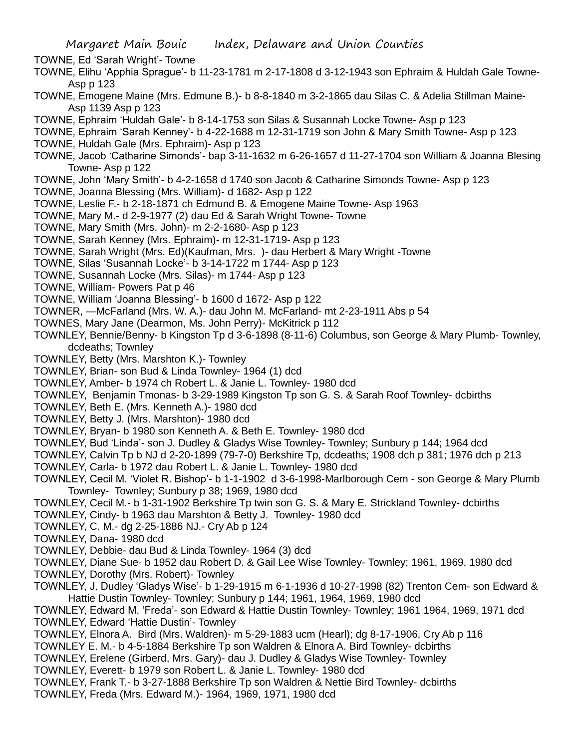TOWNE, Ed 'Sarah Wright'- Towne

- TOWNE, Elihu 'Apphia Sprague'- b 11-23-1781 m 2-17-1808 d 3-12-1943 son Ephraim & Huldah Gale Towne-Asp p 123
- TOWNE, Emogene Maine (Mrs. Edmune B.)- b 8-8-1840 m 3-2-1865 dau Silas C. & Adelia Stillman Maine-Asp 1139 Asp p 123
- TOWNE, Ephraim 'Huldah Gale'- b 8-14-1753 son Silas & Susannah Locke Towne- Asp p 123
- TOWNE, Ephraim 'Sarah Kenney'- b 4-22-1688 m 12-31-1719 son John & Mary Smith Towne- Asp p 123 TOWNE, Huldah Gale (Mrs. Ephraim)- Asp p 123
- TOWNE, Jacob 'Catharine Simonds'- bap 3-11-1632 m 6-26-1657 d 11-27-1704 son William & Joanna Blesing Towne- Asp p 122
- TOWNE, John 'Mary Smith'- b 4-2-1658 d 1740 son Jacob & Catharine Simonds Towne- Asp p 123
- TOWNE, Joanna Blessing (Mrs. William)- d 1682- Asp p 122
- TOWNE, Leslie F.- b 2-18-1871 ch Edmund B. & Emogene Maine Towne- Asp 1963
- TOWNE, Mary M.- d 2-9-1977 (2) dau Ed & Sarah Wright Towne- Towne
- TOWNE, Mary Smith (Mrs. John)- m 2-2-1680- Asp p 123
- TOWNE, Sarah Kenney (Mrs. Ephraim)- m 12-31-1719- Asp p 123
- TOWNE, Sarah Wright (Mrs. Ed)(Kaufman, Mrs. )- dau Herbert & Mary Wright -Towne
- TOWNE, Silas 'Susannah Locke'- b 3-14-1722 m 1744- Asp p 123
- TOWNE, Susannah Locke (Mrs. Silas)- m 1744- Asp p 123
- TOWNE, William- Powers Pat p 46
- TOWNE, William 'Joanna Blessing'- b 1600 d 1672- Asp p 122
- TOWNER, —McFarland (Mrs. W. A.)- dau John M. McFarland- mt 2-23-1911 Abs p 54
- TOWNES, Mary Jane (Dearmon, Ms. John Perry)- McKitrick p 112
- TOWNLEY, Bennie/Benny- b Kingston Tp d 3-6-1898 (8-11-6) Columbus, son George & Mary Plumb- Townley, dcdeaths; Townley
- TOWNLEY, Betty (Mrs. Marshton K.)- Townley
- TOWNLEY, Brian- son Bud & Linda Townley- 1964 (1) dcd
- TOWNLEY, Amber- b 1974 ch Robert L. & Janie L. Townley- 1980 dcd
- TOWNLEY, Benjamin Tmonas- b 3-29-1989 Kingston Tp son G. S. & Sarah Roof Townley- dcbirths
- TOWNLEY, Beth E. (Mrs. Kenneth A.)- 1980 dcd
- TOWNLEY, Betty J. (Mrs. Marshton)- 1980 dcd
- TOWNLEY, Bryan- b 1980 son Kenneth A. & Beth E. Townley- 1980 dcd
- TOWNLEY, Bud 'Linda'- son J. Dudley & Gladys Wise Townley- Townley; Sunbury p 144; 1964 dcd
- TOWNLEY, Calvin Tp b NJ d 2-20-1899 (79-7-0) Berkshire Tp, dcdeaths; 1908 dch p 381; 1976 dch p 213
- TOWNLEY, Carla- b 1972 dau Robert L. & Janie L. Townley- 1980 dcd
- TOWNLEY, Cecil M. 'Violet R. Bishop'- b 1-1-1902 d 3-6-1998-Marlborough Cem son George & Mary Plumb Townley- Townley; Sunbury p 38; 1969, 1980 dcd
- TOWNLEY, Cecil M.- b 1-31-1902 Berkshire Tp twin son G. S. & Mary E. Strickland Townley- dcbirths
- TOWNLEY, Cindy- b 1963 dau Marshton & Betty J. Townley- 1980 dcd
- TOWNLEY, C. M.- dg 2-25-1886 NJ.- Cry Ab p 124
- TOWNLEY, Dana- 1980 dcd
- TOWNLEY, Debbie- dau Bud & Linda Townley- 1964 (3) dcd
- TOWNLEY, Diane Sue- b 1952 dau Robert D. & Gail Lee Wise Townley- Townley; 1961, 1969, 1980 dcd
- TOWNLEY, Dorothy (Mrs. Robert)- Townley
- TOWNLEY, J. Dudley 'Gladys Wise'- b 1-29-1915 m 6-1-1936 d 10-27-1998 (82) Trenton Cem- son Edward & Hattie Dustin Townley- Townley; Sunbury p 144; 1961, 1964, 1969, 1980 dcd
- TOWNLEY, Edward M. 'Freda'- son Edward & Hattie Dustin Townley- Townley; 1961 1964, 1969, 1971 dcd TOWNLEY, Edward 'Hattie Dustin'- Townley
- TOWNLEY, Elnora A. Bird (Mrs. Waldren)- m 5-29-1883 ucm (Hearl); dg 8-17-1906, Cry Ab p 116
- TOWNLEY E. M.- b 4-5-1884 Berkshire Tp son Waldren & Elnora A. Bird Townley- dcbirths
- TOWNLEY, Erelene (Girberd, Mrs. Gary)- dau J. Dudley & Gladys Wise Townley- Townley
- TOWNLEY, Everett- b 1979 son Robert L. & Janie L. Townley- 1980 dcd
- TOWNLEY, Frank T.- b 3-27-1888 Berkshire Tp son Waldren & Nettie Bird Townley- dcbirths
- TOWNLEY, Freda (Mrs. Edward M.)- 1964, 1969, 1971, 1980 dcd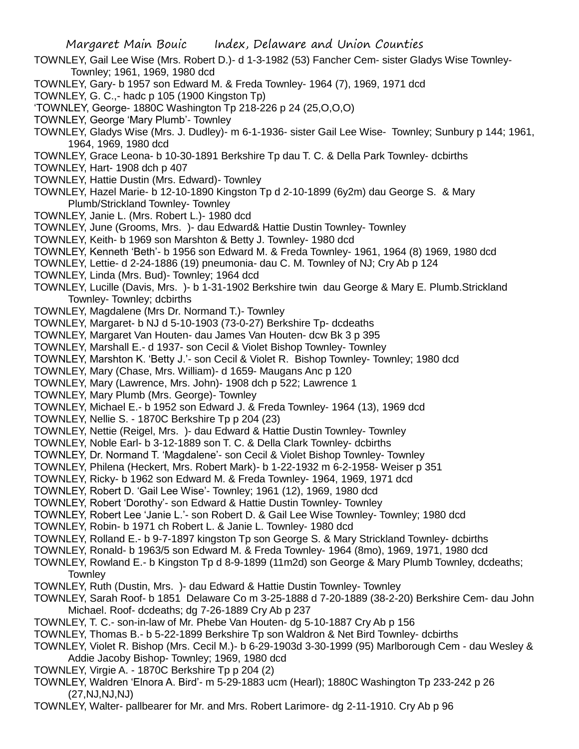Margaret Main Bouic Index, Delaware and Union Counties TOWNLEY, Gail Lee Wise (Mrs. Robert D.)- d 1-3-1982 (53) Fancher Cem- sister Gladys Wise Townley-Townley; 1961, 1969, 1980 dcd TOWNLEY, Gary- b 1957 son Edward M. & Freda Townley- 1964 (7), 1969, 1971 dcd TOWNLEY, G. C.,- hadc p 105 (1900 Kingston Tp) 'TOWNLEY, George- 1880C Washington Tp 218-226 p 24 (25,O,O,O) TOWNLEY, George 'Mary Plumb'- Townley TOWNLEY, Gladys Wise (Mrs. J. Dudley)- m 6-1-1936- sister Gail Lee Wise- Townley; Sunbury p 144; 1961, 1964, 1969, 1980 dcd TOWNLEY, Grace Leona- b 10-30-1891 Berkshire Tp dau T. C. & Della Park Townley- dcbirths TOWNLEY, Hart- 1908 dch p 407 TOWNLEY, Hattie Dustin (Mrs. Edward)- Townley TOWNLEY, Hazel Marie- b 12-10-1890 Kingston Tp d 2-10-1899 (6y2m) dau George S. & Mary Plumb/Strickland Townley- Townley TOWNLEY, Janie L. (Mrs. Robert L.)- 1980 dcd TOWNLEY, June (Grooms, Mrs. )- dau Edward& Hattie Dustin Townley- Townley TOWNLEY, Keith- b 1969 son Marshton & Betty J. Townley- 1980 dcd TOWNLEY, Kenneth 'Beth'- b 1956 son Edward M. & Freda Townley- 1961, 1964 (8) 1969, 1980 dcd TOWNLEY, Lettie- d 2-24-1886 (19) pneumonia- dau C. M. Townley of NJ; Cry Ab p 124 TOWNLEY, Linda (Mrs. Bud)- Townley; 1964 dcd TOWNLEY, Lucille (Davis, Mrs. )- b 1-31-1902 Berkshire twin dau George & Mary E. Plumb.Strickland Townley- Townley; dcbirths TOWNLEY, Magdalene (Mrs Dr. Normand T.)- Townley TOWNLEY, Margaret- b NJ d 5-10-1903 (73-0-27) Berkshire Tp- dcdeaths TOWNLEY, Margaret Van Houten- dau James Van Houten- dcw Bk 3 p 395 TOWNLEY, Marshall E.- d 1937- son Cecil & Violet Bishop Townley- Townley TOWNLEY, Marshton K. 'Betty J.'- son Cecil & Violet R. Bishop Townley- Townley; 1980 dcd TOWNLEY, Mary (Chase, Mrs. William)- d 1659- Maugans Anc p 120 TOWNLEY, Mary (Lawrence, Mrs. John)- 1908 dch p 522; Lawrence 1 TOWNLEY, Mary Plumb (Mrs. George)- Townley TOWNLEY, Michael E.- b 1952 son Edward J. & Freda Townley- 1964 (13), 1969 dcd TOWNLEY, Nellie S. - 1870C Berkshire Tp p 204 (23) TOWNLEY, Nettie (Reigel, Mrs. )- dau Edward & Hattie Dustin Townley- Townley TOWNLEY, Noble Earl- b 3-12-1889 son T. C. & Della Clark Townley- dcbirths TOWNLEY, Dr. Normand T. 'Magdalene'- son Cecil & Violet Bishop Townley- Townley TOWNLEY, Philena (Heckert, Mrs. Robert Mark)- b 1-22-1932 m 6-2-1958- Weiser p 351 TOWNLEY, Ricky- b 1962 son Edward M. & Freda Townley- 1964, 1969, 1971 dcd TOWNLEY, Robert D. 'Gail Lee Wise'- Townley; 1961 (12), 1969, 1980 dcd

- TOWNLEY, Robert 'Dorothy'- son Edward & Hattie Dustin Townley- Townley
- TOWNLEY, Robert Lee 'Janie L.'- son Robert D. & Gail Lee Wise Townley- Townley; 1980 dcd
- TOWNLEY, Robin- b 1971 ch Robert L. & Janie L. Townley- 1980 dcd
- TOWNLEY, Rolland E.- b 9-7-1897 kingston Tp son George S. & Mary Strickland Townley- dcbirths
- TOWNLEY, Ronald- b 1963/5 son Edward M. & Freda Townley- 1964 (8mo), 1969, 1971, 1980 dcd
- TOWNLEY, Rowland E.- b Kingston Tp d 8-9-1899 (11m2d) son George & Mary Plumb Townley, dcdeaths; **Townley**
- TOWNLEY, Ruth (Dustin, Mrs. )- dau Edward & Hattie Dustin Townley- Townley
- TOWNLEY, Sarah Roof- b 1851 Delaware Co m 3-25-1888 d 7-20-1889 (38-2-20) Berkshire Cem- dau John Michael. Roof- dcdeaths; dg 7-26-1889 Cry Ab p 237
- TOWNLEY, T. C.- son-in-law of Mr. Phebe Van Houten- dg 5-10-1887 Cry Ab p 156
- TOWNLEY, Thomas B.- b 5-22-1899 Berkshire Tp son Waldron & Net Bird Townley- dcbirths
- TOWNLEY, Violet R. Bishop (Mrs. Cecil M.)- b 6-29-1903d 3-30-1999 (95) Marlborough Cem dau Wesley & Addie Jacoby Bishop- Townley; 1969, 1980 dcd
- TOWNLEY, Virgie A. 1870C Berkshire Tp p 204 (2)
- TOWNLEY, Waldren 'Elnora A. Bird'- m 5-29-1883 ucm (Hearl); 1880C Washington Tp 233-242 p 26 (27,NJ,NJ,NJ)
- TOWNLEY, Walter- pallbearer for Mr. and Mrs. Robert Larimore- dg 2-11-1910. Cry Ab p 96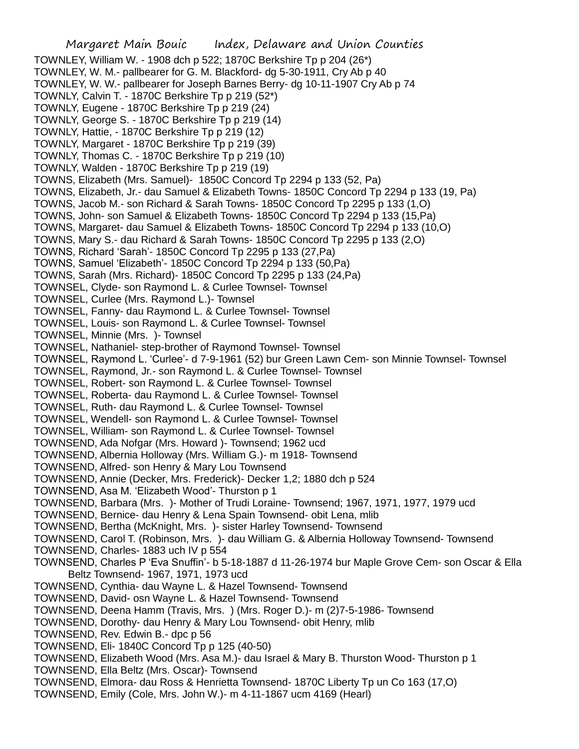Margaret Main Bouic Index, Delaware and Union Counties TOWNLEY, William W. - 1908 dch p 522; 1870C Berkshire Tp p 204 (26\*) TOWNLEY, W. M.- pallbearer for G. M. Blackford- dg 5-30-1911, Cry Ab p 40 TOWNLEY, W. W.- pallbearer for Joseph Barnes Berry- dg 10-11-1907 Cry Ab p 74 TOWNLY, Calvin T. - 1870C Berkshire Tp p 219 (52\*) TOWNLY, Eugene - 1870C Berkshire Tp p 219 (24) TOWNLY, George S. - 1870C Berkshire Tp p 219 (14) TOWNLY, Hattie, - 1870C Berkshire Tp p 219 (12) TOWNLY, Margaret - 1870C Berkshire Tp p 219 (39) TOWNLY, Thomas C. - 1870C Berkshire Tp p 219 (10) TOWNLY, Walden - 1870C Berkshire Tp p 219 (19) TOWNS, Elizabeth (Mrs. Samuel)- 1850C Concord Tp 2294 p 133 (52, Pa) TOWNS, Elizabeth, Jr.- dau Samuel & Elizabeth Towns- 1850C Concord Tp 2294 p 133 (19, Pa) TOWNS, Jacob M.- son Richard & Sarah Towns- 1850C Concord Tp 2295 p 133 (1,O) TOWNS, John- son Samuel & Elizabeth Towns- 1850C Concord Tp 2294 p 133 (15,Pa) TOWNS, Margaret- dau Samuel & Elizabeth Towns- 1850C Concord Tp 2294 p 133 (10,O) TOWNS, Mary S.- dau Richard & Sarah Towns- 1850C Concord Tp 2295 p 133 (2,O) TOWNS, Richard 'Sarah'- 1850C Concord Tp 2295 p 133 (27,Pa) TOWNS, Samuel 'Elizabeth'- 1850C Concord Tp 2294 p 133 (50,Pa) TOWNS, Sarah (Mrs. Richard)- 1850C Concord Tp 2295 p 133 (24,Pa) TOWNSEL, Clyde- son Raymond L. & Curlee Townsel- Townsel TOWNSEL, Curlee (Mrs. Raymond L.)- Townsel TOWNSEL, Fanny- dau Raymond L. & Curlee Townsel- Townsel TOWNSEL, Louis- son Raymond L. & Curlee Townsel- Townsel TOWNSEL, Minnie (Mrs. )- Townsel TOWNSEL, Nathaniel- step-brother of Raymond Townsel- Townsel TOWNSEL, Raymond L. 'Curlee'- d 7-9-1961 (52) bur Green Lawn Cem- son Minnie Townsel- Townsel TOWNSEL, Raymond, Jr.- son Raymond L. & Curlee Townsel- Townsel TOWNSEL, Robert- son Raymond L. & Curlee Townsel- Townsel TOWNSEL, Roberta- dau Raymond L. & Curlee Townsel- Townsel TOWNSEL, Ruth- dau Raymond L. & Curlee Townsel- Townsel TOWNSEL, Wendell- son Raymond L. & Curlee Townsel- Townsel TOWNSEL, William- son Raymond L. & Curlee Townsel- Townsel TOWNSEND, Ada Nofgar (Mrs. Howard )- Townsend; 1962 ucd TOWNSEND, Albernia Holloway (Mrs. William G.)- m 1918- Townsend TOWNSEND, Alfred- son Henry & Mary Lou Townsend TOWNSEND, Annie (Decker, Mrs. Frederick)- Decker 1,2; 1880 dch p 524 TOWNSEND, Asa M. 'Elizabeth Wood'- Thurston p 1 TOWNSEND, Barbara (Mrs. )- Mother of Trudi Loraine- Townsend; 1967, 1971, 1977, 1979 ucd TOWNSEND, Bernice- dau Henry & Lena Spain Townsend- obit Lena, mlib TOWNSEND, Bertha (McKnight, Mrs. )- sister Harley Townsend- Townsend TOWNSEND, Carol T. (Robinson, Mrs. )- dau William G. & Albernia Holloway Townsend- Townsend TOWNSEND, Charles- 1883 uch IV p 554 TOWNSEND, Charles P 'Eva Snuffin'- b 5-18-1887 d 11-26-1974 bur Maple Grove Cem- son Oscar & Ella Beltz Townsend- 1967, 1971, 1973 ucd TOWNSEND, Cynthia- dau Wayne L. & Hazel Townsend- Townsend TOWNSEND, David- osn Wayne L. & Hazel Townsend- Townsend TOWNSEND, Deena Hamm (Travis, Mrs. ) (Mrs. Roger D.)- m (2)7-5-1986- Townsend TOWNSEND, Dorothy- dau Henry & Mary Lou Townsend- obit Henry, mlib TOWNSEND, Rev. Edwin B.- dpc p 56 TOWNSEND, Eli- 1840C Concord Tp p 125 (40-50) TOWNSEND, Elizabeth Wood (Mrs. Asa M.)- dau Israel & Mary B. Thurston Wood- Thurston p 1 TOWNSEND, Ella Beltz (Mrs. Oscar)- Townsend TOWNSEND, Elmora- dau Ross & Henrietta Townsend- 1870C Liberty Tp un Co 163 (17,O) TOWNSEND, Emily (Cole, Mrs. John W.)- m 4-11-1867 ucm 4169 (Hearl)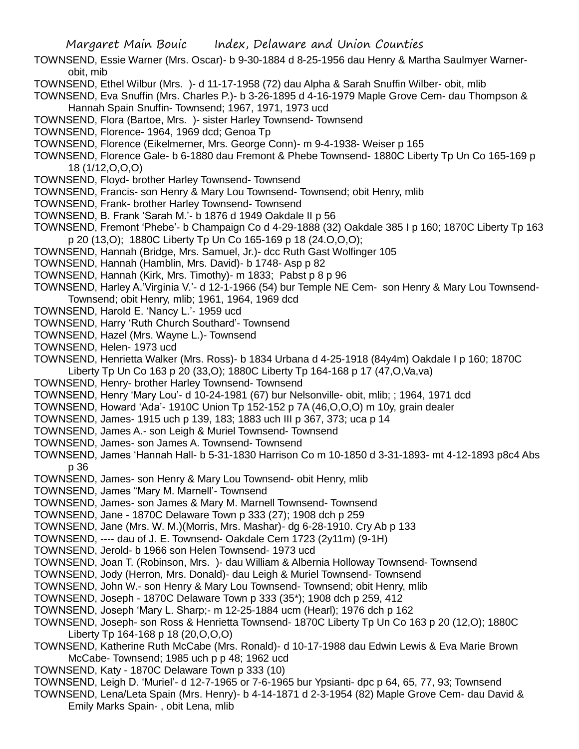- TOWNSEND, Essie Warner (Mrs. Oscar)- b 9-30-1884 d 8-25-1956 dau Henry & Martha Saulmyer Warnerobit, mib
- TOWNSEND, Ethel Wilbur (Mrs. )- d 11-17-1958 (72) dau Alpha & Sarah Snuffin Wilber- obit, mlib
- TOWNSEND, Eva Snuffin (Mrs. Charles P.)- b 3-26-1895 d 4-16-1979 Maple Grove Cem- dau Thompson & Hannah Spain Snuffin- Townsend; 1967, 1971, 1973 ucd
- TOWNSEND, Flora (Bartoe, Mrs. )- sister Harley Townsend- Townsend
- TOWNSEND, Florence- 1964, 1969 dcd; Genoa Tp

TOWNSEND, Florence (Eikelmerner, Mrs. George Conn)- m 9-4-1938- Weiser p 165

- TOWNSEND, Florence Gale- b 6-1880 dau Fremont & Phebe Townsend- 1880C Liberty Tp Un Co 165-169 p 18 (1/12,O,O,O)
- TOWNSEND, Floyd- brother Harley Townsend- Townsend
- TOWNSEND, Francis- son Henry & Mary Lou Townsend- Townsend; obit Henry, mlib
- TOWNSEND, Frank- brother Harley Townsend- Townsend
- TOWNSEND, B. Frank 'Sarah M.'- b 1876 d 1949 Oakdale II p 56
- TOWNSEND, Fremont 'Phebe'- b Champaign Co d 4-29-1888 (32) Oakdale 385 I p 160; 1870C Liberty Tp 163 p 20 (13,O); 1880C Liberty Tp Un Co 165-169 p 18 (24.O,O,O);
- TOWNSEND, Hannah (Bridge, Mrs. Samuel, Jr.)- dcc Ruth Gast Wolfinger 105
- TOWNSEND, Hannah (Hamblin, Mrs. David)- b 1748- Asp p 82
- TOWNSEND, Hannah (Kirk, Mrs. Timothy)- m 1833; Pabst p 8 p 96
- TOWNSEND, Harley A.'Virginia V.'- d 12-1-1966 (54) bur Temple NE Cem- son Henry & Mary Lou Townsend-Townsend; obit Henry, mlib; 1961, 1964, 1969 dcd
- TOWNSEND, Harold E. 'Nancy L.'- 1959 ucd
- TOWNSEND, Harry 'Ruth Church Southard'- Townsend
- TOWNSEND, Hazel (Mrs. Wayne L.)- Townsend
- TOWNSEND, Helen- 1973 ucd
- TOWNSEND, Henrietta Walker (Mrs. Ross)- b 1834 Urbana d 4-25-1918 (84y4m) Oakdale I p 160; 1870C Liberty Tp Un Co 163 p 20 (33,O); 1880C Liberty Tp 164-168 p 17 (47,O,Va,va)
- TOWNSEND, Henry- brother Harley Townsend- Townsend
- TOWNSEND, Henry 'Mary Lou'- d 10-24-1981 (67) bur Nelsonville- obit, mlib; ; 1964, 1971 dcd
- TOWNSEND, Howard 'Ada'- 1910C Union Tp 152-152 p 7A (46,O,O,O) m 10y, grain dealer
- TOWNSEND, James- 1915 uch p 139, 183; 1883 uch III p 367, 373; uca p 14
- TOWNSEND, James A.- son Leigh & Muriel Townsend- Townsend
- TOWNSEND, James- son James A. Townsend- Townsend
- TOWNSEND, James 'Hannah Hall- b 5-31-1830 Harrison Co m 10-1850 d 3-31-1893- mt 4-12-1893 p8c4 Abs p 36
- TOWNSEND, James- son Henry & Mary Lou Townsend- obit Henry, mlib
- TOWNSEND, James "Mary M. Marnell'- Townsend
- TOWNSEND, James- son James & Mary M. Marnell Townsend- Townsend
- TOWNSEND, Jane 1870C Delaware Town p 333 (27); 1908 dch p 259
- TOWNSEND, Jane (Mrs. W. M.)(Morris, Mrs. Mashar)- dg 6-28-1910. Cry Ab p 133
- TOWNSEND, ---- dau of J. E. Townsend- Oakdale Cem 1723 (2y11m) (9-1H)
- TOWNSEND, Jerold- b 1966 son Helen Townsend- 1973 ucd
- TOWNSEND, Joan T. (Robinson, Mrs. )- dau William & Albernia Holloway Townsend- Townsend
- TOWNSEND, Jody (Herron, Mrs. Donald)- dau Leigh & Muriel Townsend- Townsend
- TOWNSEND, John W.- son Henry & Mary Lou Townsend- Townsend; obit Henry, mlib
- TOWNSEND, Joseph 1870C Delaware Town p 333 (35\*); 1908 dch p 259, 412
- TOWNSEND, Joseph 'Mary L. Sharp;- m 12-25-1884 ucm (Hearl); 1976 dch p 162
- TOWNSEND, Joseph- son Ross & Henrietta Townsend- 1870C Liberty Tp Un Co 163 p 20 (12,O); 1880C Liberty Tp 164-168 p 18 (20,O,O,O)
- TOWNSEND, Katherine Ruth McCabe (Mrs. Ronald)- d 10-17-1988 dau Edwin Lewis & Eva Marie Brown McCabe- Townsend; 1985 uch p p 48; 1962 ucd
- TOWNSEND, Katy 1870C Delaware Town p 333 (10)
- TOWNSEND, Leigh D. 'Muriel'- d 12-7-1965 or 7-6-1965 bur Ypsianti- dpc p 64, 65, 77, 93; Townsend
- TOWNSEND, Lena/Leta Spain (Mrs. Henry)- b 4-14-1871 d 2-3-1954 (82) Maple Grove Cem- dau David & Emily Marks Spain- , obit Lena, mlib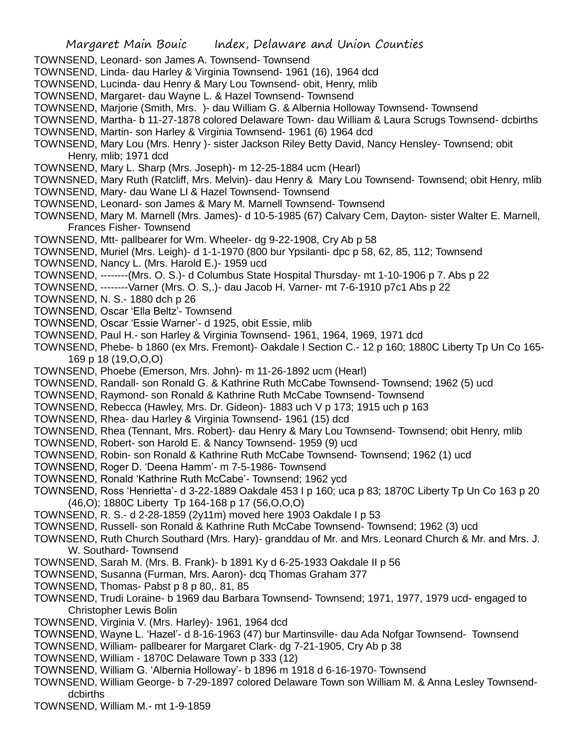- TOWNSEND, Leonard- son James A. Townsend- Townsend
- TOWNSEND, Linda- dau Harley & Virginia Townsend- 1961 (16), 1964 dcd
- TOWNSEND, Lucinda- dau Henry & Mary Lou Townsend- obit, Henry, mlib
- TOWNSEND, Margaret- dau Wayne L. & Hazel Townsend- Townsend
- TOWNSEND, Marjorie (Smith, Mrs. )- dau William G. & Albernia Holloway Townsend- Townsend
- TOWNSEND, Martha- b 11-27-1878 colored Delaware Town- dau William & Laura Scrugs Townsend- dcbirths
- TOWNSEND, Martin- son Harley & Virginia Townsend- 1961 (6) 1964 dcd
- TOWNSEND, Mary Lou (Mrs. Henry )- sister Jackson Riley Betty David, Nancy Hensley- Townsend; obit Henry, mlib; 1971 dcd
- TOWNSEND, Mary L. Sharp (Mrs. Joseph)- m 12-25-1884 ucm (Hearl)
- TOWNSNED, Mary Ruth (Ratcliff, Mrs. Melvin)- dau Henry & Mary Lou Townsend- Townsend; obit Henry, mlib
- TOWNSEND, Mary- dau Wane Ll & Hazel Townsend- Townsend
- TOWNSEND, Leonard- son James & Mary M. Marnell Townsend- Townsend
- TOWNSEND, Mary M. Marnell (Mrs. James)- d 10-5-1985 (67) Calvary Cem, Dayton- sister Walter E. Marnell, Frances Fisher- Townsend
- TOWNSEND, Mtt- pallbearer for Wm. Wheeler- dg 9-22-1908, Cry Ab p 58
- TOWNSEND, Muriel (Mrs. Leigh)- d 1-1-1970 (800 bur Ypsilanti- dpc p 58, 62, 85, 112; Townsend
- TOWNSEND, Nancy L. (Mrs. Harold E.)- 1959 ucd
- TOWNSEND, --------(Mrs. O. S.)- d Columbus State Hospital Thursday- mt 1-10-1906 p 7. Abs p 22
- TOWNSEND, --------Varner (Mrs. O. S,.)- dau Jacob H. Varner- mt 7-6-1910 p7c1 Abs p 22
- TOWNSEND, N. S.- 1880 dch p 26
- TOWNSEND, Oscar 'Ella Beltz'- Townsend
- TOWNSEND, Oscar 'Essie Warner'- d 1925, obit Essie, mlib
- TOWNSEND, Paul H.- son Harley & Virginia Townsend- 1961, 1964, 1969, 1971 dcd
- TOWNSEND, Phebe- b 1860 (ex Mrs. Fremont)- Oakdale I Section C.- 12 p 160; 1880C Liberty Tp Un Co 165- 169 p 18 (19,O,O,O)
- TOWNSEND, Phoebe (Emerson, Mrs. John)- m 11-26-1892 ucm (Hearl)
- TOWNSEND, Randall- son Ronald G. & Kathrine Ruth McCabe Townsend- Townsend; 1962 (5) ucd
- TOWNSEND, Raymond- son Ronald & Kathrine Ruth McCabe Townsend- Townsend
- TOWNSEND, Rebecca (Hawley, Mrs. Dr. Gideon)- 1883 uch V p 173; 1915 uch p 163
- TOWNSEND, Rhea- dau Harley & Virginia Townsend- 1961 (15) dcd
- TOWNSEND, Rhea (Tennant, Mrs. Robert)- dau Henry & Mary Lou Townsend- Townsend; obit Henry, mlib
- TOWNSEND, Robert- son Harold E. & Nancy Townsend- 1959 (9) ucd
- TOWNSEND, Robin- son Ronald & Kathrine Ruth McCabe Townsend- Townsend; 1962 (1) ucd
- TOWNSEND, Roger D. 'Deena Hamm'- m 7-5-1986- Townsend
- TOWNSEND, Ronald 'Kathrine Ruth McCabe'- Townsend; 1962 ycd
- TOWNSEND, Ross 'Henrietta'- d 3-22-1889 Oakdale 453 I p 160; uca p 83; 1870C Liberty Tp Un Co 163 p 20 (46,O); 1880C Liberty Tp 164-168 p 17 (56,O,O,O)
- TOWNSEND, R. S.- d 2-28-1859 (2y11m) moved here 1903 Oakdale I p 53
- TOWNSEND, Russell- son Ronald & Kathrine Ruth McCabe Townsend- Townsend; 1962 (3) ucd
- TOWNSEND, Ruth Church Southard (Mrs. Hary)- granddau of Mr. and Mrs. Leonard Church & Mr. and Mrs. J. W. Southard- Townsend
- TOWNSEND, Sarah M. (Mrs. B. Frank)- b 1891 Ky d 6-25-1933 Oakdale II p 56
- TOWNSEND, Susanna (Furman, Mrs. Aaron)- dcq Thomas Graham 377
- TOWNSEND, Thomas- Pabst p 8 p 80,. 81, 85
- TOWNSEND, Trudi Loraine- b 1969 dau Barbara Townsend- Townsend; 1971, 1977, 1979 ucd- engaged to Christopher Lewis Bolin
- TOWNSEND, Virginia V. (Mrs. Harley)- 1961, 1964 dcd
- TOWNSEND, Wayne L. 'Hazel'- d 8-16-1963 (47) bur Martinsville- dau Ada Nofgar Townsend- Townsend
- TOWNSEND, William- pallbearer for Margaret Clark- dg 7-21-1905, Cry Ab p 38
- TOWNSEND, William 1870C Delaware Town p 333 (12)
- TOWNSEND, William G. 'Albernia Holloway'- b 1896 m 1918 d 6-16-1970- Townsend
- TOWNSEND, William George- b 7-29-1897 colored Delaware Town son William M. & Anna Lesley Townsenddcbirths
- TOWNSEND, William M.- mt 1-9-1859